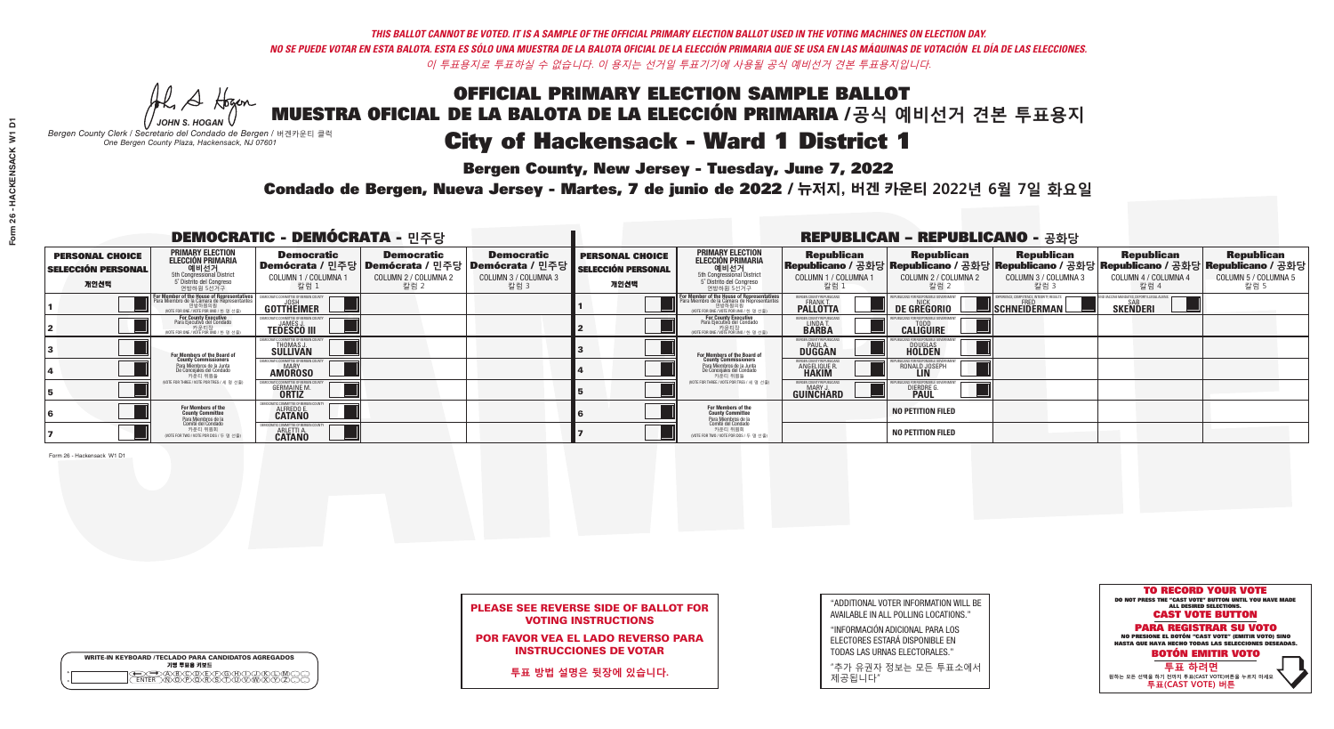## OFFICIAL PRIMARY ELECTION SAMPLE BALLOT MUESTRA OFICIAL DE LA BALOTA DE LA ELECCIÓN PRIMARIA /**공식 예비선거 견본 투표용지** *-*<br>Bergen County, New Jersey - Tuesday, June 7, 2022 City of Hackensack - Ward 1 District 1

A Hogan *JOHN S. HOGAN*

|                    | <b>WRITE-IN KEYBOARD /TECLADO PARA CANDIDATOS AGREGADOS</b><br>기명 투표용 키보드 |
|--------------------|---------------------------------------------------------------------------|
| $\circ$<br>$\circ$ |                                                                           |

*Bergen County Clerk / Secretario del Condado de Bergen /* 버겐카운티 클럭 *One Bergen County Plaza, Hackensack, NJ 07601*



### PLEASE SEE REVERSE SIDE OF BALLOT FOR VOTING INSTRUCTIONS

POR FAVOR VEA EL LADO REVERSO PARA INSTRUCCIONES DE VOTAR

**투표 방법 설명은 뒷장에 있습니다.**

| "ADDITIONAL VOTER INFORMATION WILL BE |
|---------------------------------------|
| AVAILABLE IN ALL POLLING LOCATIONS."  |
|                                       |

"INFORMACIÓN ADICIONAL PARA LOS ELECTORES ESTARÁ DISPONIBLE EN TODAS LAS URNAS ELECTORALES."

"추가 유권자 정보는 모든 투표소에서 제공됩니다"

Condado de Bergen, Nueva Jersey - Martes, 7 de junio de 2022 / 뉴저지, 버겐 카운티 2022년 6월 7일 화요일 *One Bergen County Plaza, Hackensack, NJ 07601*

|                                                             |                                                                                                                                    | <b>DEMOCRATIC - DEMÓCRATA - 민주당</b>                           |                                                   |                                                                                                              |                                                             |                                                                                                                                                  |                                                                      | <b>REPUBLICAN - REPUBLICANO - 공화당</b>                                                                                                            |                                                          |                                                               |                                                   |
|-------------------------------------------------------------|------------------------------------------------------------------------------------------------------------------------------------|---------------------------------------------------------------|---------------------------------------------------|--------------------------------------------------------------------------------------------------------------|-------------------------------------------------------------|--------------------------------------------------------------------------------------------------------------------------------------------------|----------------------------------------------------------------------|--------------------------------------------------------------------------------------------------------------------------------------------------|----------------------------------------------------------|---------------------------------------------------------------|---------------------------------------------------|
| <b>PERSONAL CHOICE</b><br><b>SELECCIÓN PERSONAL</b><br>개인선택 | <b>PRIMARY ELECTION</b><br><b>ELECCIÓN PRIMARIA</b><br>예비선거<br>5th Congressional District<br>5° Distrito del Congreso<br>연방하원 5선거구 | <b>Democratic</b><br>COLUMN 1 / COLUMNA<br>칼럼 1               | <b>Democratic</b><br>COLUMN 2 / COLUMNA 2<br>칼럼 2 | <b>Democratic</b><br>  Demócrata / 민주당   Demócrata / 민주당   Demócrata / 민주당  <br>COLUMN 3 / COLUMNA 3<br>칼럼 3 | <b>PERSONAL CHOICE</b><br><b>SELECCIÓN PERSONAL</b><br>개인선택 | <b>PRIMARY ELECTION</b><br><b>ELECCIÓN PRIMARIA</b><br>예비선거<br>5th Congressional District<br>5 Distrito del Congreso<br>연방하원 5선거구                | <b>Republican</b><br>COLUMN 1 / COLUMNA 1<br>"칼럼 1                   | <b>Republican</b><br> Republicano / 공화당 Republicano / 공화당 Republicano / 공화당 Republicano / 공화당 Republicano / 공화당<br>COLUMN 2 / COLUMNA 2<br>·칼럼 2 | <b>Republican</b><br>COLUMN 3 / COLUMNA 3<br>칼럼 3        | <b>Republican</b><br>COLUMN 4 / COLUMNA 4<br>칼럼 4             | <b>Republican</b><br>COLUMN 5 / COLUMNA 5<br>칼럼 5 |
|                                                             | For Member of the House of Representatives<br>Para Miembro de la Cámara de Representantes<br>NOTE FOR ONE 7 VOTE POR UNO / 한 명 선출) | DEMOCRATIC COMMITTEE OF BERGEN COUN'<br>GOTTHËIMER            |                                                   |                                                                                                              |                                                             | F <mark>or Member of the House of Representatives</mark><br>Para Miembro de la Cámara de Representantes<br>NOTE FOR ONE / VOTE POR UNO / 한 명 선출) | BERGEN COUNTY REPUBLICANS<br><b>FRANK T.</b><br><b>PALLOTTA</b>      | <b>DE GREGORIO</b>                                                                                                                               | PERIENCE, COMPETENCE, INTEGRITY, RESULTS<br>SCHNEIDERMAN | VD VACCINE MANDATES, DEPORT ILLEGAL ALIENS<br><b>SKENDERI</b> |                                                   |
|                                                             | For County Executive<br>Para Ejecutivo del Condado<br>가운티장<br>VOTE FOR ONE / VOTE POR UNO / 한 명 선출)                                | <b>JAMES J</b><br><b>TEDESCO III</b>                          |                                                   |                                                                                                              |                                                             | For County Executive<br>Para Ejecutivo del Condado<br>. 카운티장<br>(VOTE FOR ONE / VOTE POR UNO / 한 명 선출)                                           | BERGEN COUNTY REPUBLICAN<br>LINDA T.                                 | <b>CALIGUIRE</b>                                                                                                                                 |                                                          |                                                               |                                                   |
|                                                             | For Members of the Board of<br>County Commissioners                                                                                | <b>THOMAS J.</b><br><b>SULLIVAN</b>                           |                                                   |                                                                                                              |                                                             | <b>For Members of the Board of County Commissioners</b>                                                                                          | ERGEN COUNTY REPUBLICAN<br><b>PAUL A.</b><br><b>DUGGAN</b>           | <b>DOUGLAS</b>                                                                                                                                   |                                                          |                                                               |                                                   |
|                                                             | Para Miembros de la Junta<br>De Concejales del Condado<br>카운티 위원들                                                                  | TIC COMMITTEE OF RERGEN COUN<br><b>MARY</b><br><b>AMOROSO</b> |                                                   |                                                                                                              |                                                             | Para Miembros de la Junta<br>De Concejales del Condado<br>카운티 위원들                                                                                | <b>FRGEN COUNTY REPUBLICAN</b><br><b>ANGELIQUE R</b><br><b>HAKIM</b> | RONALD JOSEPH                                                                                                                                    |                                                          |                                                               |                                                   |
|                                                             | NOTE FOR THREE / VOTE POR TRES / 세 명 선출)                                                                                           | <b>GERMAINE M</b><br><b>ORTIZ</b>                             |                                                   |                                                                                                              |                                                             | (VOTE FOR THREE / VOTE POR TRES / 세 명 선출)                                                                                                        | ERGEN COUNTY REPUBLICANS<br>MARY J.<br><b>GUINCHARD</b>              | <b>DIERDRE</b>                                                                                                                                   |                                                          |                                                               |                                                   |
|                                                             | For Members of the<br>County Committee<br>Para Miembros de la<br>Comité del Condado                                                | DEMOCRATIC COMMITTEE OF BERGEN<br>ALFREDO E.<br><b>CATANO</b> |                                                   |                                                                                                              |                                                             | For Members of the<br>County Committee<br>Para Miembros de la<br>Comité del Condado                                                              |                                                                      | <b>NO PETITION FILED</b>                                                                                                                         |                                                          |                                                               |                                                   |
|                                                             | 카운티 위원회<br>(VOTE FOR TWO / VOTE POR DOS / 두 명 선출)                                                                                  | CRATIC COMMITTEE OF BERGEN<br><b>ARLETTI A</b>                |                                                   |                                                                                                              |                                                             | 카운티 위원회<br>NOTE FOR TWO / VOTE POR DOS / 두 명 선출)                                                                                                 |                                                                      | <b>NO PETITION FILED</b>                                                                                                                         |                                                          |                                                               |                                                   |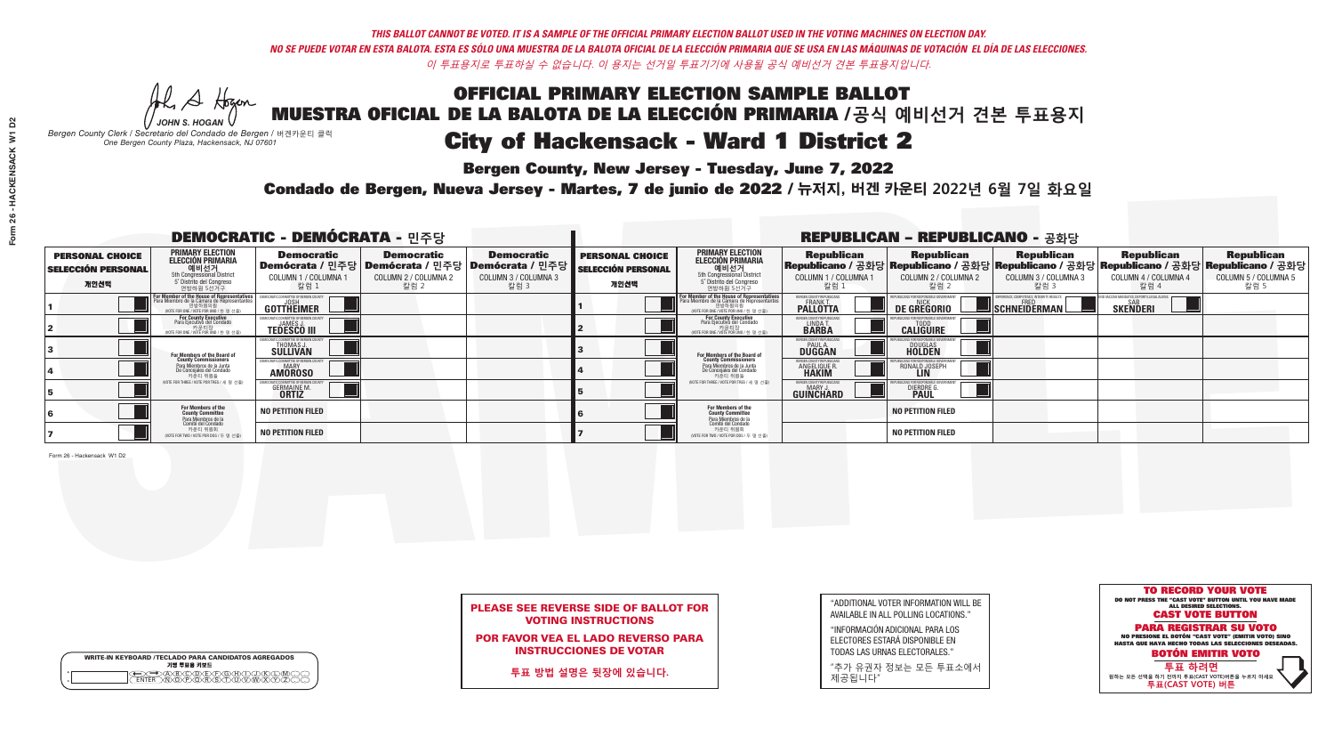*-*<br>Bergen County, New Jersey - Tuesday, June 7, 2022

Al Stogan *JOHN S. HOGAN*

|              | <b>WRITE-IN KEYBOARD /TECLADO PARA CANDIDATOS AGREGADOS</b><br>기명 투표용 키보드 |
|--------------|---------------------------------------------------------------------------|
| o<br>$\circ$ |                                                                           |

*Bergen County Clerk / Secretario del Condado de Bergen /* 버겐카운티 클럭 *One Bergen County Plaza, Hackensack, NJ 07601*



### PLEASE SEE REVERSE SIDE OF BALLOT FOR VOTING INSTRUCTIONS

POR FAVOR VEA EL LADO REVERSO PARA INSTRUCCIONES DE VOTAR

**투표 방법 설명은 뒷장에 있습니다.**

| "ADDITIONAL VOTER INFORMATION WILL BE |
|---------------------------------------|
| AVAILABLE IN ALL POLLING LOCATIONS."  |
|                                       |

"INFORMACIÓN ADICIONAL PARA LOS ELECTORES ESTARÁ DISPONIBLE EN TODAS LAS URNAS ELECTORALES."

"추가 유권자 정보는 모든 투표소에서 제공됩니다"

Condado de Bergen, Nueva Jersey - Martes, 7 de junio de 2022 / 뉴저지, 버겐 카운티 2022년 6월 7일 화요일 *One Bergen County Plaza, Hackensack, NJ 07601*

| <b>DEMOCRATIC - DEMÓCRATA - 민주당</b>                         |                                                                                                                                               |                                                             |                                                   |                                                                                                               |                                                             |                                                                                                                                            |                                                   | <b>REPUBLICAN - REPUBLICANO - 공화당</b>                                                                                                            |                                                           |                                                   |                                                   |
|-------------------------------------------------------------|-----------------------------------------------------------------------------------------------------------------------------------------------|-------------------------------------------------------------|---------------------------------------------------|---------------------------------------------------------------------------------------------------------------|-------------------------------------------------------------|--------------------------------------------------------------------------------------------------------------------------------------------|---------------------------------------------------|--------------------------------------------------------------------------------------------------------------------------------------------------|-----------------------------------------------------------|---------------------------------------------------|---------------------------------------------------|
| <b>PERSONAL CHOICE</b><br><b>SELECCIÓN PERSONAL</b><br>개인선택 | <b>PRIMARY ELECTION</b><br><b>ELECCIÓN PRIMARIA</b><br>예비선거<br><sup>5th</sup> Congressional District<br>5° Distrito del Congreso<br>연방하원 5선거구 | <b>Democratic</b><br><b>COLUMN 1 / COLUMNA 1</b><br>칼럼 :    | <b>Democratic</b><br>COLUMN 2 / COLUMNA 2<br>칼럼 2 | <b>Democratic</b><br>│Demócrata / 민주당│Demócrata / 민주당│Demócrata / 민주당┃<br><b>COLUMN 3 / COLUMNA 3</b><br>칼럼 3 | <b>PERSONAL CHOICE</b><br><b>SELECCIÓN PERSONAL</b><br>개인선택 | <b>PRIMARY ELECTION</b><br><b>ELECCIÓN PRIMARIA</b><br>예비선거<br>5th Congressional District<br>5 Distrito del Congreso<br>연방하원 5선거구          | <b>Republican</b><br>COLUMN 1 / COLUMNA 1<br>칼럼 : | <b>Republican</b><br>Republicano / 공화당 Republicano / 공화당 Republicano / 공화당 Republicano / 공화당 Republicano / 공화당<br>COLUMN 2 / COLUMNA 2<br>- 칼럼 2 | <b>Republican</b><br>COLUMN 3 / COLUMNA 3<br>칼럼 3         | <b>Republican</b><br>COLUMN 4 / COLUMNA 4<br>칼럼 4 | <b>Republican</b><br>COLUMN 5 / COLUMNA 5<br>칼럼 5 |
|                                                             | For Member of the House of Representatives<br>Para Miembro de la Cámara de Representantes                                                     | COMMITTEE OF BERGEN COUN<br>GOTTHEIMER                      |                                                   |                                                                                                               |                                                             | <b>For Member of the House of Representatives<br/>Para Miembro de la Cámara de Representantes</b><br>WOTE FOR ONE / VOTE POR UNO / 한 명 선출) | BERGEN COUNTY REPUBLICANS<br><b>PALLOTTA</b>      | DE GREGORIO                                                                                                                                      | YPERIENCE, COMPETENCE, INTEGRITY. RESULTS<br>SCHNEIDERMAN | SAB<br><b>SKENDERI</b>                            |                                                   |
|                                                             | For County Executive<br>Para Ejecutivo del Condado<br>,<br>기운티장<br>VOTE FOR ONE / VOTE POR UNO / 한 명 선출)                                      | <b>TEDESCO III</b>                                          |                                                   |                                                                                                               |                                                             | For County Executive<br>Para Ejecutivo del Condado<br>개운티장<br>"TH ED TO NE / VOTE POR UNO / 한 명 선춘                                         | BERGEN COUNTY REPUBLICAN<br>LINDA T.              | <b>CALIGUIRE</b>                                                                                                                                 |                                                           |                                                   |                                                   |
|                                                             | For Members of the Board of<br>County Commissioners                                                                                           | CRATIC COMMITTEE OF BERGEN CO<br>THOMAS J.                  |                                                   |                                                                                                               |                                                             | For Members of the Board of<br>County Commissioners                                                                                        | ERGEN COUNTY REPUBLICAN:<br>PAUL A.<br>DUGGAN     | <b>DOUGLAS</b>                                                                                                                                   |                                                           |                                                   |                                                   |
|                                                             | Para Miembros de la Junta<br>De Conceiales del Condado<br>카운티 위원들                                                                             | C COMMITTEE OF BERGEN COUN<br><b>MARY</b><br><b>AMOROSO</b> |                                                   |                                                                                                               |                                                             | Para Miembros de la Junta<br>De Concejales del Condado<br>카운티 위원들                                                                          | RGEN COUNTY REPUBLICAN<br><b>ANGELIQUE R</b>      | RONALD JOSEPH<br><b>LIN</b>                                                                                                                      |                                                           |                                                   |                                                   |
|                                                             | NOTE FOR THREE / VOTE POR TRES / 세 명 선출)                                                                                                      | <b>GERMAINE M.</b><br><b>ORTIZ</b>                          |                                                   |                                                                                                               |                                                             | NOTE FOR THREE / VOTE POR TRES / 세 명 선출                                                                                                    | BERGEN COUNTY REPUBLICANS<br><b>GUINCHARD</b>     | <b>DIERDRE</b>                                                                                                                                   |                                                           |                                                   |                                                   |
|                                                             | For Members of the<br>County Committee<br>Para Miembros de la<br>Comité del Condado                                                           | <b>NO PETITION FILED</b>                                    |                                                   |                                                                                                               |                                                             | For Members of the<br>County Committee<br>Para Miembros de la<br>Comité del Condado                                                        |                                                   | <b>NO PETITION FILED</b>                                                                                                                         |                                                           |                                                   |                                                   |
|                                                             | 카운티 위원회<br>(VOTE FOR TWO / VOTE POR DOS / 두 명 선출)                                                                                             | <b>NO PETITION FILED</b>                                    |                                                   |                                                                                                               |                                                             | 카운티 위원회<br>NOTE FOR TWO / VOTE POR DOS / 두 명 선출)                                                                                           |                                                   | <b>NO PETITION FILED</b>                                                                                                                         |                                                           |                                                   |                                                   |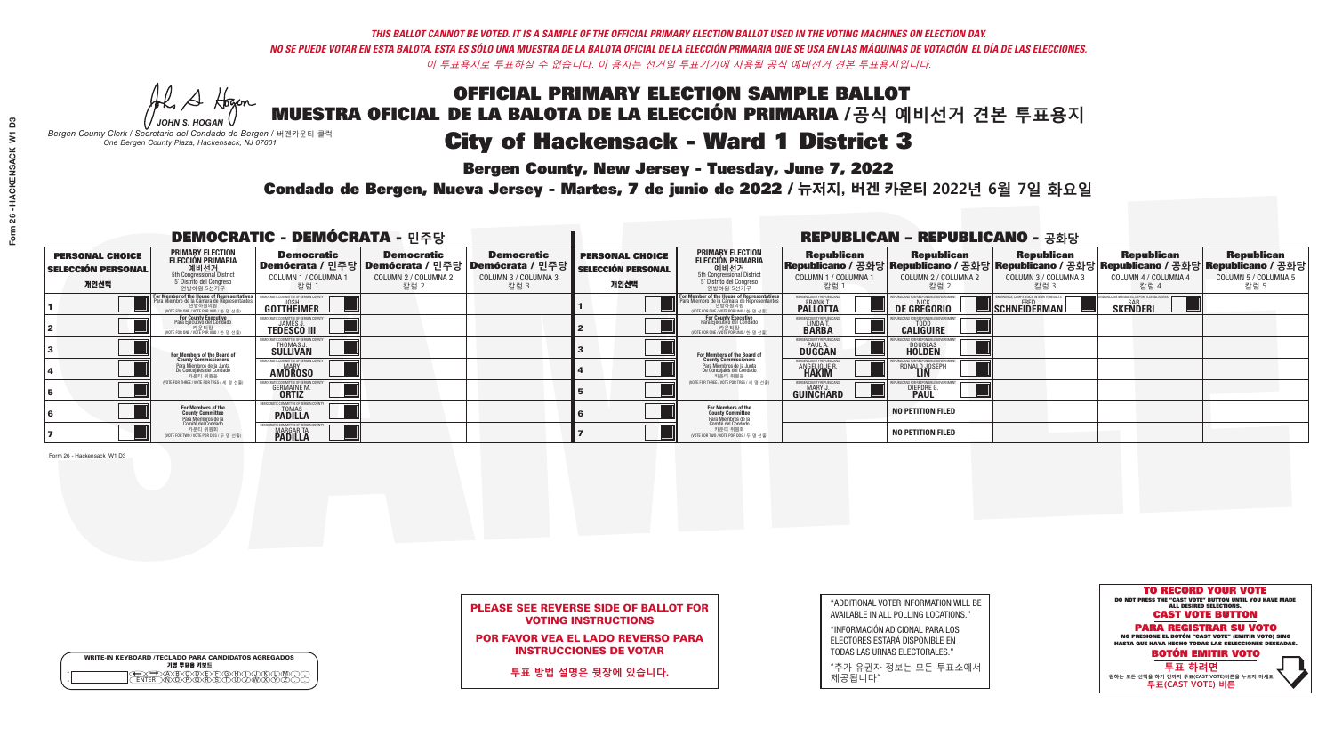## OFFICIAL PRIMARY ELECTION SAMPLE BALLOT MUESTRA OFICIAL DE LA BALOTA DE LA ELECCIÓN PRIMARIA /**공식 예비선거 견본 투표용지** *-*<br>Bergen County, New Jersey - Tuesday, June 7, 2022 City of Hackensack - Ward 1 District 3

Al Stogan *JOHN S. HOGAN*

*Bergen County Clerk / Secretario del Condado de Bergen /* 버겐카운티 클럭 *One Bergen County Plaza, Hackensack, NJ 07601*

WRITE-IN KEYBOARD /TECLADO PARA CANDIDATOS AGREGADOS<br>기명 투표용 키보드

 $\bigoplus \bigoplus \mathbb{A} \oplus \mathbb{C} \oplus \mathbb{C} \oplus \mathbb{C} \oplus \mathbb{C} \oplus \mathbb{C} \cup \mathbb{W} \oplus \mathbb{Z} \oplus \mathbb{Z} \oplus \mathbb{C}$ 



### PLEASE SEE REVERSE SIDE OF BALLOT FOR VOTING INSTRUCTIONS

POR FAVOR VEA EL LADO REVERSO PARA INSTRUCCIONES DE VOTAR

**투표 방법 설명은 뒷장에 있습니다.**

| "ADDITIONAL VOTER INFORMATION WILL BE |
|---------------------------------------|
| AVAILABLE IN ALL POLLING LOCATIONS."  |
|                                       |

"INFORMACIÓN ADICIONAL PARA LOS ELECTORES ESTARÁ DISPONIBLE EN TODAS LAS URNAS ELECTORALES."

"추가 유권자 정보는 모든 투표소에서 제공됩니다"

Condado de Bergen, Nueva Jersey - Martes, 7 de junio de 2022 / 뉴저지, 버겐 카운티 2022년 6월 7일 화요일 *One Bergen County Plaza, Hackensack, NJ 07601*

| <b>DEMOCRATIC - DEMÓCRATA - 민주당</b>                         |                                                                                                                                        |                                                                     |                                                   |                                                                                                              | <b>REPUBLICAN - REPUBLICANO - 공화당</b>                       |                                                                                                                                          |                                                             |                                                    |                                                   |                                                                                                                                                |                                                   |  |
|-------------------------------------------------------------|----------------------------------------------------------------------------------------------------------------------------------------|---------------------------------------------------------------------|---------------------------------------------------|--------------------------------------------------------------------------------------------------------------|-------------------------------------------------------------|------------------------------------------------------------------------------------------------------------------------------------------|-------------------------------------------------------------|----------------------------------------------------|---------------------------------------------------|------------------------------------------------------------------------------------------------------------------------------------------------|---------------------------------------------------|--|
| <b>PERSONAL CHOICE</b><br><b>SELECCIÓN PERSONAL</b><br>개인선택 | <b>PRIMARY ELECTION</b><br><b>ELECCIÓN PRIMARIA</b><br>5th Congressional District<br>5 <sup>o</sup> Distrito del Congreso<br>연방하원 5선거구 | <b>Democratic</b><br>COLUMN 1 / COLUMNA 1<br>칼럼 1                   | <b>Democratic</b><br>COLUMN 2 / COLUMNA 2<br>칼럼 2 | <b>Democratic</b><br>  Demócrata / 민주당   Demócrata / 민주당   Demócrata / 민주당  <br>COLUMN 3 / COLUMNA 3<br>칼럼 3 | <b>PERSONAL CHOICE</b><br><b>SELECCIÓN PERSONAL</b><br>개인선택 | <b>PRIMARY ELECTION</b><br>ELECCIÓN PRIMARIA<br>예비선거<br>5th Congressional District<br>5 Distrito del Congreso<br>연방하원 5선거구               | <b>Republican</b><br>COLUMN 1 / COLUMNA 1<br>칼럼 :           | <b>Republican</b><br>COLUMN 2 / COLUMNA 2<br>,칼럼 2 | <b>Republican</b><br>COLUMN 3 / COLUMNA 3<br>칼럼 3 | <b>Republican</b><br>Republicano / 공화당 Republicano / 공화당 Republicano / 공화당 Republicano / 공화당 Republicano / 공화당<br>COLUMN 4 / COLUMNA 4<br>칼럼 4 | <b>Republican</b><br>COLUMN 5 / COLUMNA 5<br>칼럼 5 |  |
|                                                             | or Member of the House of Representatives<br>Para Miembro de la Cámara de Representantes<br>(VOTE FOR ONE / VOTE POR UNO / 한 명 선출)     | <b>GOTTHEIMER</b>                                                   |                                                   |                                                                                                              |                                                             | <b>For Member of the House of Representatives</b><br>Para Miembro de la Cámara de Representantes<br>NOTE FOR ONE / VOTE POR UNO / 한 명 선출 | ERGEN COUNTY REPUBLICAN<br><b>PALLOTTA</b>                  | DE GREGORIO                                        | SCHNEIDERMAN                                      | <b>SKENDERI</b>                                                                                                                                |                                                   |  |
|                                                             | For County Executive<br>Para Ejecutivo del Condado<br>가운티장<br>(VOTE FOR ONE / VOTE POR UNO / 한 명 선출)                                   | <b>TEDESCO III</b>                                                  |                                                   |                                                                                                              |                                                             | <b>For County Executive</b><br>Para Ejecutivo del Condado<br>가운티장<br>(VOTE FOR ONE / VOTE POR UNO / 한 명 선출                               | BERGEN COUNTY REPUBLICAL<br>LINDA T.                        | <b>CALIGUIRE</b>                                   |                                                   |                                                                                                                                                |                                                   |  |
|                                                             | For Members of the Board of<br>County Commissioners                                                                                    | EMOCRATIC COMMITTEE OF BERGEN C<br>THOMAS J.<br>SULLIVAN            |                                                   |                                                                                                              |                                                             | <b>For Members of the Board of<br/>County Commissioners</b>                                                                              | BERGEN COUNTY REPUBLICAN<br><b>PAUL A.</b><br><b>DUGGAN</b> | <b>DOUGLAS</b>                                     |                                                   |                                                                                                                                                |                                                   |  |
|                                                             | Para Miembros de la Junta<br>De Concejales del Condado<br>카우티 위원들                                                                      | IOCRATIC COMMITTEE OF BERGEN COUNT<br><b>MARY</b><br><b>AMOROSO</b> |                                                   |                                                                                                              |                                                             | Para Miembros de la Junta<br>De Concejales del Condado<br>카운티 위원들                                                                        | BERGEN COUNTY REPUBLICAN<br>ANGELIQUE R                     | RONALD JOSEPH<br><b>LIN</b>                        |                                                   |                                                                                                                                                |                                                   |  |
|                                                             | NOTE FOR THREE / VOTE POR TRES / 세 명 선출)                                                                                               | <b>GERMAINE M.</b><br><b>ORTIZ</b>                                  |                                                   |                                                                                                              |                                                             | NOTE FOR THREE / VOTE POR TRES / 세 명 선출)                                                                                                 | BERGEN COUNTY REPUBLICAN<br>MARY J.<br>GUINCHARD            | <b>DIERDRE</b>                                     |                                                   |                                                                                                                                                |                                                   |  |
|                                                             | For Members of the<br>County Committee<br>Para Miembros de la<br>Comité del Condado                                                    | MOCRATIC COMMITTEE OF BERGE<br><b>TOMAS</b><br><b>PADILLA</b>       |                                                   |                                                                                                              |                                                             | For Members of the<br>County Committee<br>Para Miembros de la<br>Comité del Condado                                                      |                                                             | <b>NO PETITION FILED</b>                           |                                                   |                                                                                                                                                |                                                   |  |
|                                                             | 카운티 위원회<br>(VOTE FOR TWO / VOTE POR DOS / 두 명 선출)                                                                                      | CRATIC COMMITTEE OF BERG<br><b>MARGARITA</b>                        |                                                   |                                                                                                              |                                                             | 카운티 위원회<br>NOTE FOR TWO / VOTE POR DOS / 두 명 선출)                                                                                         |                                                             | <b>NO PETITION FILED</b>                           |                                                   |                                                                                                                                                |                                                   |  |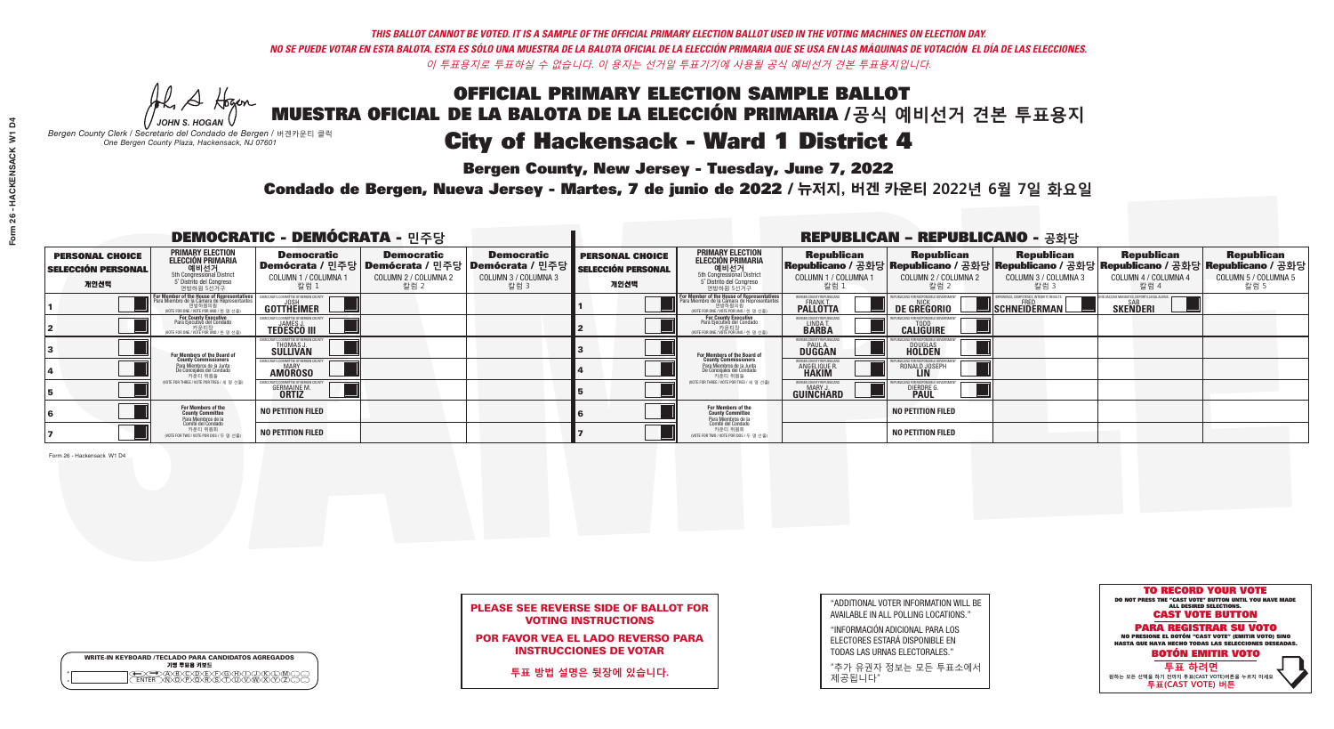## OFFICIAL PRIMARY ELECTION SAMPLE BALLOT MUESTRA OFICIAL DE LA BALOTA DE LA ELECCIÓN PRIMARIA /**공식 예비선거 견본 투표용지** *-*<br>Bergen County, New Jersey - Tuesday, June 7, 2022 City of Hackensack - Ward 1 District 4

A Hogan *JOHN S. HOGAN*

|              | <b>WRITE-IN KEYBOARD /TECLADO PARA CANDIDATOS AGREGADOS</b><br>기명 투표용 키보드 |
|--------------|---------------------------------------------------------------------------|
| ٥<br>$\circ$ |                                                                           |

*Bergen County Clerk / Secretario del Condado de Bergen /* 버겐카운티 클럭 *One Bergen County Plaza, Hackensack, NJ 07601*



### PLEASE SEE REVERSE SIDE OF BALLOT FOR VOTING INSTRUCTIONS

POR FAVOR VEA EL LADO REVERSO PARA INSTRUCCIONES DE VOTAR

**투표 방법 설명은 뒷장에 있습니다.**

| "ADDITIONAL VOTER INFORMATION WILL BE |
|---------------------------------------|
| AVAILABLE IN ALL POLLING LOCATIONS."  |
|                                       |

"INFORMACIÓN ADICIONAL PARA LOS ELECTORES ESTARÁ DISPONIBLE EN TODAS LAS URNAS ELECTORALES."

"추가 유권자 정보는 모든 투표소에서 제공됩니다"

Condado de Bergen, Nueva Jersey - Martes, 7 de junio de 2022 / 뉴저지, 버겐 카운티 2022년 6월 7일 화요일 *One Bergen County Plaza, Hackensack, NJ 07601*

| <b>DEMOCRATIC - DEMÓCRATA - 민주당</b>                         |                                                                                                                                        |                                                                |                                                   |                                                                                                        |                                                             |                                                                                                                                           |                                                        | <b>REPUBLICAN - REPUBLICANO - 공화당</b>              |                                                           |                                                                                                                                                |                                                   |
|-------------------------------------------------------------|----------------------------------------------------------------------------------------------------------------------------------------|----------------------------------------------------------------|---------------------------------------------------|--------------------------------------------------------------------------------------------------------|-------------------------------------------------------------|-------------------------------------------------------------------------------------------------------------------------------------------|--------------------------------------------------------|----------------------------------------------------|-----------------------------------------------------------|------------------------------------------------------------------------------------------------------------------------------------------------|---------------------------------------------------|
| <b>PERSONAL CHOICE</b><br><b>SELECCIÓN PERSONAL</b><br>개인선택 | <b>PRIMARY ELECTION</b><br>ELECCIÓN PRIMARIA<br>예비선거<br><sub>5th Congressional District</sub><br>5° Distrito del Congreso<br>연방하원 5선거구 | <b>Democratic</b><br><b>COLUMN 1 / COLUMNA 1</b><br>칼럼 1       | <b>Democratic</b><br>COLUMN 2 / COLUMNA 2<br>칼럼 2 | <b>Democratic</b><br>│Demócrata / 민주당│Demócrata / 민주당│Demócrata / 민주당┃<br>COLUMN 3 / COLUMNA 3<br>칼럼 3 | <b>PERSONAL CHOICE</b><br><b>SELECCIÓN PERSONAL</b><br>개인선택 | <b>PRIMARY ELECTION</b><br><b>ELECCIÓN PRIMARIA</b><br>예비선거<br>5th Congressional District<br>5 Distrito del Congreso<br>연방하원 5선거구         | <b>Republican</b><br>COLUMN 1 / COLUMNA 1<br>칼럼 :      | <b>Republican</b><br>COLUMN 2 / COLUMNA 2<br>·칼럼 2 | <b>Republican</b><br>COLUMN 3 / COLUMNA 3<br>칼럼 3         | <b>Republican</b><br>Republicano / 공화당 Republicano / 공화당 Republicano / 공화당 Republicano / 공화당 Republicano / 공화당<br>COLUMN 4 / COLUMNA 4<br>칼럼 4 | <b>Republican</b><br>COLUMN 5 / COLUMNA 5<br>칼럼 5 |
|                                                             | For Member of the House of Representatives<br>Para Miembro de la Cámara de Representantes                                              | COMMITTEE OF BERGEN COUN'<br>GOTTHEIMER                        |                                                   |                                                                                                        |                                                             | <b>For Member of the House of Representatives<br/>Para Miembro de la Cámara de Representantes</b><br>WOTE FOR ONE / VOTE POR UNO / 한 명 선출 | BERGEN COUNTY REPUBLICANS<br><b>PALLOTTA</b>           | DE GREGORIO                                        | 'PERIENCE, COMPETENCE, INTEGRITY, RESULTS<br>SCHNEIDERMAN | <b>SKENDERI</b>                                                                                                                                |                                                   |
|                                                             | For County Executive<br>Para Ejecutivo del Condado<br>,<br><b>기운티장</b><br>VOTE FOR ONE / VOTE POR UNO / 한 명 선출)                        | <b>TEDESCO III</b>                                             |                                                   |                                                                                                        |                                                             | <b>For County Executive</b><br>Para Ejecutivo del Condado<br>.<br>VOTE FOR ONE / VOTE POR UNO / 한 명 선출                                    | BERGEN COUNTY REPUBLICAN<br>LINDA T.                   | <b>CALIGUIRE</b>                                   |                                                           |                                                                                                                                                |                                                   |
|                                                             | For Members of the Board of<br>County Commissioners                                                                                    | THOMAS J.                                                      |                                                   |                                                                                                        |                                                             | <b>For Members of the Board of<br/>County Commissioners</b>                                                                               | <b>BERGEN COUNTY REPUBLICAN<br/>PAUL A.<br/>DUGGAN</b> | <b>DOUGLAS</b>                                     |                                                           |                                                                                                                                                |                                                   |
|                                                             | Para Miembros de la Junta<br>De Conceiales del Condado<br>카운티 위원들                                                                      | IC COMMITTEE OF RERGEN COLIN'<br><b>MARY</b><br><b>AMOROSO</b> |                                                   |                                                                                                        |                                                             | Para Miembros de la Junta<br>De Concejales del Condado<br>카운티 위원들                                                                         | <b>RGEN COUNTY REPUBLICAN</b><br><b>ANGELIQUE R</b>    | RONALD JOSEPH<br><b>LIN</b>                        |                                                           |                                                                                                                                                |                                                   |
|                                                             | NOTE FOR THREE / VOTE POR TRES / 세 명 선출)                                                                                               | <b>GERMAINE M.</b><br><b>ORTIZ</b>                             |                                                   |                                                                                                        |                                                             | NOTE FOR THREE / VOTE POR TRES / 세 명 선출                                                                                                   | BERGEN COUNTY REPUBLICANS<br>MARY J<br>GUINCHARD       | <b>DIERDRE</b>                                     |                                                           |                                                                                                                                                |                                                   |
|                                                             | For Members of the<br>County Committee<br>Para Miembros de la<br>Comité del Condado                                                    | <b>NO PETITION FILED</b>                                       |                                                   |                                                                                                        |                                                             | For Members of the<br>County Committee<br>Para Miembros de la<br>Comité del Condado                                                       |                                                        | <b>NO PETITION FILED</b>                           |                                                           |                                                                                                                                                |                                                   |
|                                                             | 카운티 위원회<br>(VOTE FOR TWO / VOTE POR DOS / 두 명 선출)                                                                                      | <b>NO PETITION FILED</b>                                       |                                                   |                                                                                                        |                                                             | 카운티 위원회<br>NOTE FOR TWO / VOTE POR DOS / 두 명 선출)                                                                                          |                                                        | <b>NO PETITION FILED</b>                           |                                                           |                                                                                                                                                |                                                   |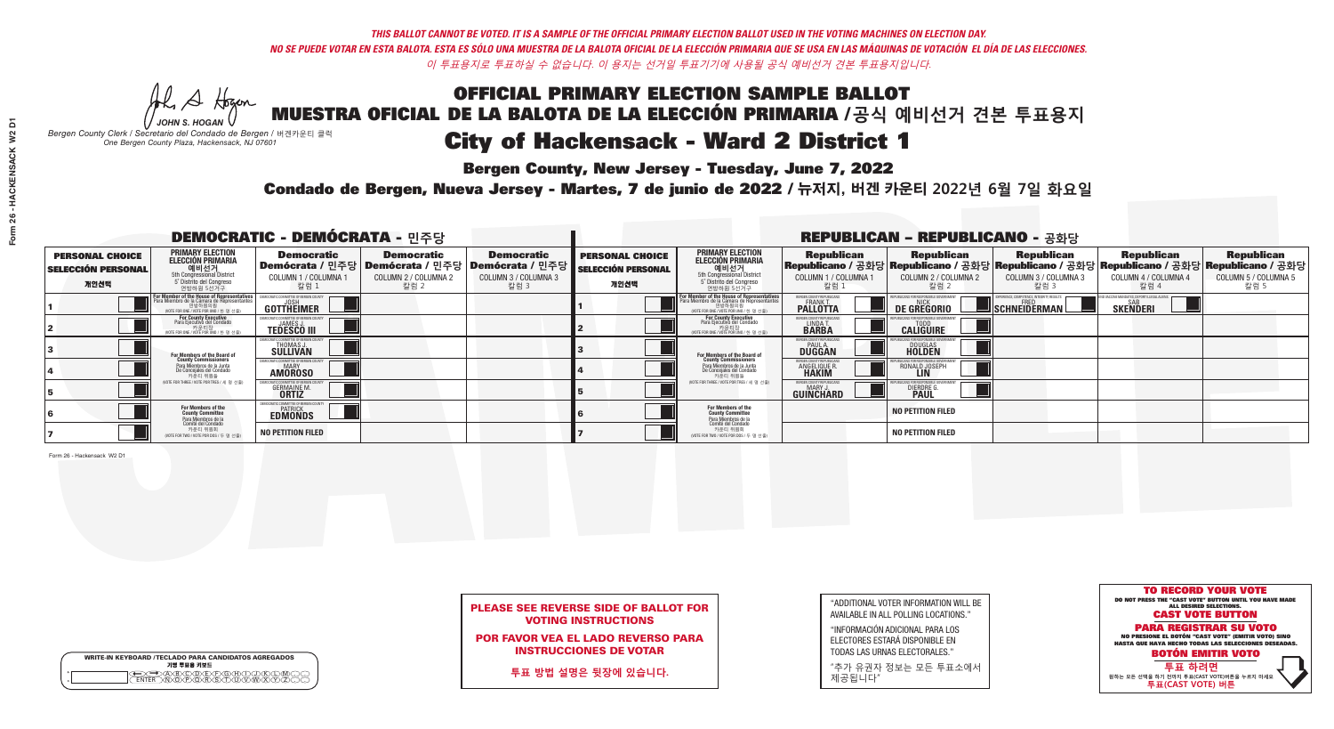## OFFICIAL PRIMARY ELECTION SAMPLE BALLOT MUESTRA OFICIAL DE LA BALOTA DE LA ELECCIÓN PRIMARIA /**공식 예비선거 견본 투표용지** *-*<br>Bergen County, New Jersey - Tuesday, June 7, 2022 City of Hackensack - Ward 2 District 1

Al Stogan *JOHN S. HOGAN*

|              | <b>WRITE-IN KEYBOARD /TECLADO PARA CANDIDATOS AGREGADOS</b><br>기명 투표용 키보드 |  |
|--------------|---------------------------------------------------------------------------|--|
| ٥<br>$\circ$ | $\sqrt{D}\sqrt{C}$                                                        |  |

*Bergen County Clerk / Secretario del Condado de Bergen /* 버겐카운티 클럭 *One Bergen County Plaza, Hackensack, NJ 07601*



### PLEASE SEE REVERSE SIDE OF BALLOT FOR VOTING INSTRUCTIONS

POR FAVOR VEA EL LADO REVERSO PARA INSTRUCCIONES DE VOTAR

**투표 방법 설명은 뒷장에 있습니다.**

| "ADDITIONAL VOTER INFORMATION WILL BE |
|---------------------------------------|
| AVAILABLE IN ALL POLLING LOCATIONS."  |
|                                       |

"INFORMACIÓN ADICIONAL PARA LOS ELECTORES ESTARÁ DISPONIBLE EN TODAS LAS URNAS ELECTORALES."

"추가 유권자 정보는 모든 투표소에서 제공됩니다"

Condado de Bergen, Nueva Jersey - Martes, 7 de junio de 2022 / 뉴저지, 버겐 카운티 2022년 6월 7일 화요일 *One Bergen County Plaza, Hackensack, NJ 07601*

| <b>DEMOCRATIC - DEMÓCRATA - 민주당</b>                         |                                                                                                                                               |                                                                  |                                                   |                                                                                                               | <b>REPUBLICAN - REPUBLICANO - 공화당</b>                       |                                                                                                                                            |                                                   |                                                                                                                                                  |                                                           |                                                                      |                                                   |
|-------------------------------------------------------------|-----------------------------------------------------------------------------------------------------------------------------------------------|------------------------------------------------------------------|---------------------------------------------------|---------------------------------------------------------------------------------------------------------------|-------------------------------------------------------------|--------------------------------------------------------------------------------------------------------------------------------------------|---------------------------------------------------|--------------------------------------------------------------------------------------------------------------------------------------------------|-----------------------------------------------------------|----------------------------------------------------------------------|---------------------------------------------------|
| <b>PERSONAL CHOICE</b><br><b>SELECCIÓN PERSONAL</b><br>개인선택 | <b>PRIMARY ELECTION</b><br><b>ELECCIÓN PRIMARIA</b><br>예비선거<br><sup>5th</sup> Congressional District<br>5° Distrito del Congreso<br>연방하원 5선거구 | <b>Democratic</b><br><b>COLUMN 1 / COLUMNA 1</b><br>칼럼 :         | <b>Democratic</b><br>COLUMN 2 / COLUMNA 2<br>칼럼 2 | <b>Democratic</b><br>│Demócrata / 민주당│Demócrata / 민주당│Demócrata / 민주당┃<br><b>COLUMN 3 / COLUMNA 3</b><br>칼럼 3 | <b>PERSONAL CHOICE</b><br><b>SELECCIÓN PERSONAL</b><br>개인선택 | <b>PRIMARY ELECTION</b><br><b>ELECCIÓN PRIMARIA</b><br>예비선거<br>5th Congressional District<br>5 Distrito del Congreso<br>연방하원 5선거구          | <b>Republican</b><br>COLUMN 1 / COLUMNA 1<br>칼럼 : | <b>Republican</b><br>Republicano / 공화당 Republicano / 공화당 Republicano / 공화당 Republicano / 공화당 Republicano / 공화당<br>COLUMN 2 / COLUMNA 2<br>- 칼럼 2 | <b>Republican</b><br>COLUMN 3 / COLUMNA 3<br>칼럼 3         | <b>Republican</b><br>COLUMN 4 / COLUMNA 4<br>칼럼 4                    | <b>Republican</b><br>COLUMN 5 / COLUMNA 5<br>칼럼 5 |
|                                                             | For Member of the House of Representatives<br>Para Miembro de la Cámara de Representantes                                                     | COMMITTEE OF BERGEN COUN<br>GOTTHEIMER                           |                                                   |                                                                                                               |                                                             | <b>For Member of the House of Representatives<br/>Para Miembro de la Cámara de Representantes</b><br>WOTE FOR ONE / VOTE POR UNO / 한 명 선출) | BERGEN COUNTY REPUBLICANS<br><b>PALLOTTA</b>      | DE GREGORIO                                                                                                                                      | YPERIENCE, COMPETENCE, INTEGRITY. RESULTS<br>SCHNEIDERMAN | END VACCINE MANDATES, DEPORT ILLEGAL ALIEN<br>SAB<br><b>SKENDERI</b> |                                                   |
|                                                             | For County Executive<br>Para Ejecutivo del Condado<br>,<br>기운티장<br>VOTE FOR ONE / VOTE POR UNO / 한 명 선출)                                      | <b>TEDESCO III</b>                                               |                                                   |                                                                                                               |                                                             | For County Executive<br>Para Ejecutivo del Condado<br>개운티장<br>"TH ED TO NE / VOTE POR UNO / 한 명 선춘                                         | BERGEN COUNTY REPUBLICAN<br>LINDA T.              | <b>CALIGUIRE</b>                                                                                                                                 |                                                           |                                                                      |                                                   |
|                                                             | For Members of the Board of<br>County Commissioners                                                                                           | CRATIC COMMITTEE OF BERGEN CO<br>THOMAS J.                       |                                                   |                                                                                                               |                                                             | For Members of the Board of<br>County Commissioners                                                                                        | ERGEN COUNTY REPUBLICAN:<br>PAUL A.<br>DUGGAN     | <b>DOUGLAS</b><br><b>HOLDEN</b>                                                                                                                  |                                                           |                                                                      |                                                   |
|                                                             | Para Miembros de la Junta<br>De Conceiales del Condado<br>카운티 위원들                                                                             | C COMMITTEE OF BERGEN COUN<br><b>MARY</b><br><b>AMOROSO</b>      |                                                   |                                                                                                               |                                                             | Para Miembros de la Junta<br>De Concejales del Condado<br>카운티 위원들                                                                          | RGEN COUNTY REPUBLICAN<br><b>ANGELIQUE R</b>      | RONALD JOSEPH<br><b>LIN</b>                                                                                                                      |                                                           |                                                                      |                                                   |
|                                                             | NOTE FOR THREE / VOTE POR TRES / 세 명 선출)                                                                                                      | <b>GERMAINE M.</b><br><b>ORTIZ</b>                               |                                                   |                                                                                                               |                                                             | NOTE FOR THREE / VOTE POR TRES / 세 명 선출                                                                                                    | BERGEN COUNTY REPUBLICANS<br><b>GUINCHARD</b>     | <b>DIERDRE</b>                                                                                                                                   |                                                           |                                                                      |                                                   |
|                                                             | For Members of the<br>County Committee<br>Para Miembros de la<br>Comité del Condado                                                           | <b>ENOCRATIC COMMITTEE OF BERGEN CL.<br/>PATRICK<br/>EDMONDS</b> |                                                   |                                                                                                               |                                                             | For Members of the<br>County Committee<br>Para Miembros de la<br>Comité del Condado                                                        |                                                   | <b>NO PETITION FILED</b>                                                                                                                         |                                                           |                                                                      |                                                   |
|                                                             | 카운티 위원회<br>(VOTE FOR TWO / VOTE POR DOS / 두 명 선출)                                                                                             | <b>NO PETITION FILED</b>                                         |                                                   |                                                                                                               |                                                             | 카운티 위원회<br>NOTE FOR TWO / VOTE POR DOS / 두 명 선출)                                                                                           |                                                   | <b>NO PETITION FILED</b>                                                                                                                         |                                                           |                                                                      |                                                   |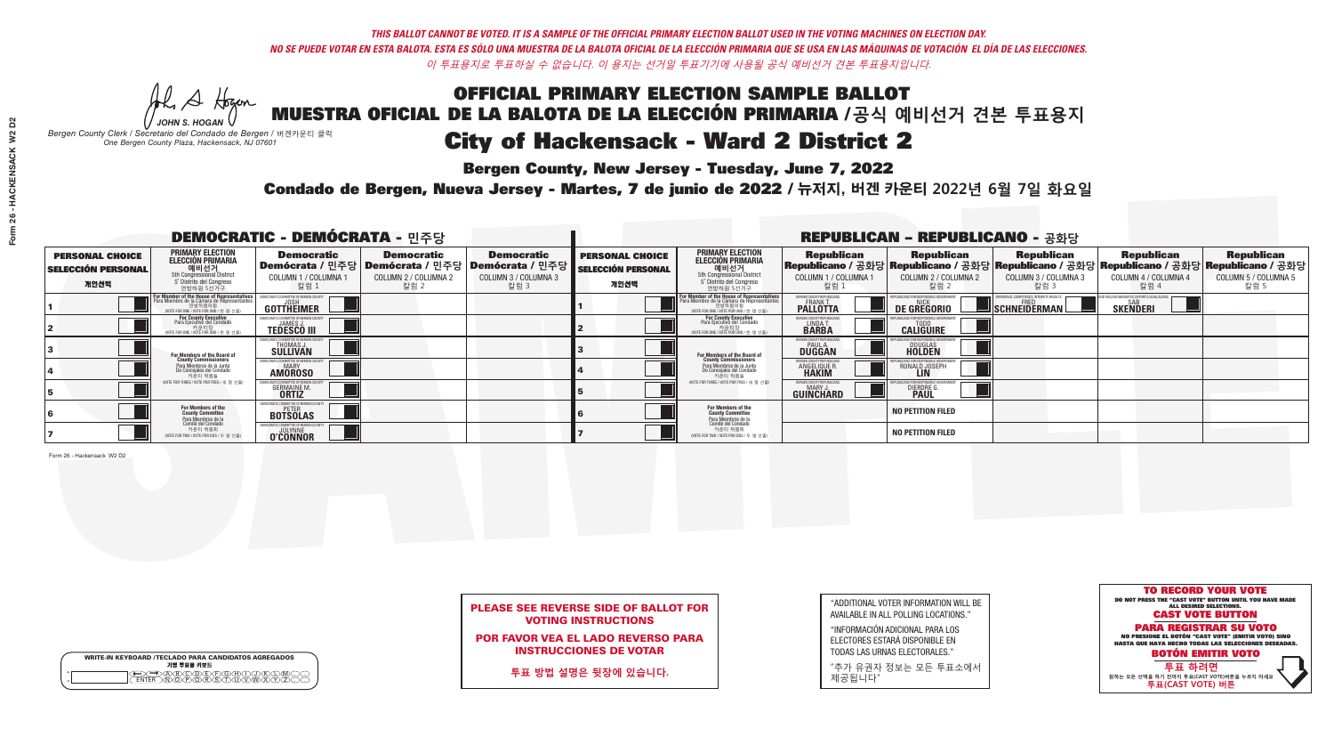*-*<br>Bergen County, New Jersey - Tuesday, June 7, 2022

Al Stogan *JOHN S. HOGAN*

*Bergen County Clerk / Secretario del Condado de Bergen /* 버겐카운티 클럭 *One Bergen County Plaza, Hackensack, NJ 07601*

WRITE-IN KEYBOARD /TECLADO PARA CANDIDATOS AGREGADOS<br>기명 투표용 키보드

 $\bigoplus \bigoplus \mathbb{A} \oplus \mathbb{C} \oplus \mathbb{C} \oplus \mathbb{C} \oplus \mathbb{C} \oplus \mathbb{C} \cup \mathbb{W} \oplus \mathbb{Z} \oplus \mathbb{Z} \oplus \mathbb{C}$ 



### PLEASE SEE REVERSE SIDE OF BALLOT FOR VOTING INSTRUCTIONS

POR FAVOR VEA EL LADO REVERSO PARA INSTRUCCIONES DE VOTAR

**투표 방법 설명은 뒷장에 있습니다.**

| "ADDITIONAL VOTER INFORMATION WILL BE |
|---------------------------------------|
| AVAILABLE IN ALL POLLING LOCATIONS."  |
|                                       |

"INFORMACIÓN ADICIONAL PARA LOS ELECTORES ESTARÁ DISPONIBLE EN TODAS LAS URNAS ELECTORALES."

"추가 유권자 정보는 모든 투표소에서 제공됩니다"

Condado de Bergen, Nueva Jersey - Martes, 7 de junio de 2022 / 뉴저지, 버겐 카운티 2022년 6월 7일 화요일 *One Bergen County Plaza, Hackensack, NJ 07601*

| <b>DEMOCRATIC - DEMÓCRATA - 민주당</b>                         |                                                                                                                                        |                                                          |                                                   |                                                                                                              | <b>REPUBLICAN - REPUBLICANO - 공화당</b>                       |                                                                                                                                          |                                                             |                                                    |                                                                                                                                                |                                                   |                                                   |
|-------------------------------------------------------------|----------------------------------------------------------------------------------------------------------------------------------------|----------------------------------------------------------|---------------------------------------------------|--------------------------------------------------------------------------------------------------------------|-------------------------------------------------------------|------------------------------------------------------------------------------------------------------------------------------------------|-------------------------------------------------------------|----------------------------------------------------|------------------------------------------------------------------------------------------------------------------------------------------------|---------------------------------------------------|---------------------------------------------------|
| <b>PERSONAL CHOICE</b><br><b>SELECCIÓN PERSONAL</b><br>개인선택 | <b>PRIMARY ELECTION</b><br><b>ELECCIÓN PRIMARIA</b><br>5th Congressional District<br>5 <sup>o</sup> Distrito del Congreso<br>연방하원 5선거구 | <b>Democratic</b><br>COLUMN 1 / COLUMNA 1<br>칼럼 1        | <b>Democratic</b><br>COLUMN 2 / COLUMNA 2<br>칼럼 2 | <b>Democratic</b><br>  Demócrata / 민주당   Demócrata / 민주당   Demócrata / 민주당  <br>COLUMN 3 / COLUMNA 3<br>칼럼 3 | <b>PERSONAL CHOICE</b><br><b>SELECCIÓN PERSONAL</b><br>개인선택 | <b>PRIMARY ELECTION</b><br>ELECCIÓN PRIMARIA<br>예비선거<br>5th Congressional District<br>5 Distrito del Congreso<br>연방하원 5선거구               | <b>Republican</b><br>COLUMN 1 / COLUMNA 1<br>칼럼 :           | <b>Republican</b><br>COLUMN 2 / COLUMNA 2<br>,칼럼 2 | <b>Republican</b><br>Republicano / 공화당 Republicano / 공화당 Republicano / 공화당 Republicano / 공화당 Republicano / 공화당<br>COLUMN 3 / COLUMNA 3<br>칼럼 3 | <b>Republican</b><br>COLUMN 4 / COLUMNA 4<br>칼럼 4 | <b>Republican</b><br>COLUMN 5 / COLUMNA 5<br>칼럼 5 |
|                                                             | or Member of the House of Representatives<br>Para Miembro de la Cámara de Representantes<br>WOTE FOR ONE / VOTE POR UNO / 한 명 선출)      | <b>GOTTHEIMER</b>                                        |                                                   |                                                                                                              |                                                             | <b>For Member of the House of Representatives</b><br>Para Miembro de la Cámara de Representantes<br>NOTE FOR ONE / VOTE POR UNO / 한 명 선출 | ERGEN COUNTY REPUBLICAN<br><b>PALLOTTA</b>                  | DE GREGORIO                                        | SCHNEIDERMAN                                                                                                                                   | <b>SKENDERI</b>                                   |                                                   |
|                                                             | For County Executive<br>Para Ejecutivo del Condado<br>가운티장<br>(VOTE FOR ONE / VOTE POR UNO / 한 명 선출)                                   | <b>TEDESCO III</b>                                       |                                                   |                                                                                                              |                                                             | <b>For County Executive</b><br>Para Ejecutivo del Condado<br>가운티장<br>(VOTE FOR ONE / VOTE POR UNO / 한 명 선출                               | BERGEN COUNTY REPUBLICAL<br>LINDA T.                        | <b>CALIGUIRE</b>                                   |                                                                                                                                                |                                                   |                                                   |
|                                                             | For Members of the Board of<br>County Commissioners                                                                                    | EMOCRATIC COMMITTEE OF BERGEN C<br>THOMAS J.<br>SULLIVAN |                                                   |                                                                                                              |                                                             | <b>For Members of the Board of<br/>County Commissioners</b>                                                                              | BERGEN COUNTY REPUBLICAN<br><b>PAUL A.</b><br><b>DUGGAN</b> | <b>DOUGLAS</b>                                     |                                                                                                                                                |                                                   |                                                   |
|                                                             | Para Miembros de la Junta<br>De Concejales del Condado<br>카우티 위원들                                                                      | OCRATIC COMMITTEE OF BEBGEN COUNT<br><b>AMOROSO</b>      |                                                   |                                                                                                              |                                                             | Para Miembros de la Junta<br>De Concejales del Condado<br>카운티 위원들                                                                        | BERGEN COUNTY REPUBLICAN<br>ANGELIQUE R                     | RONALD JOSEPH<br><b>LIN</b>                        |                                                                                                                                                |                                                   |                                                   |
|                                                             | NOTE FOR THREE / VOTE POR TRES / 세 명 선출)                                                                                               | <b>GERMAINE M.</b><br><b>ORTIZ</b>                       |                                                   |                                                                                                              |                                                             | NOTE FOR THREE / VOTE POR TRES / 세 명 선출)                                                                                                 | BERGEN COUNTY REPUBLICAN<br>MARY J.<br>GUINCHARD            | <b>DIERDRE</b>                                     |                                                                                                                                                |                                                   |                                                   |
|                                                             | For Members of the<br>County Committee<br>Para Miembros de la<br>Comité del Condado                                                    | EMOCRATIC COMMITTEE OF BERGEN<br><b>BOTSOLAS</b>         |                                                   |                                                                                                              |                                                             | For Members of the<br>County Committee<br>Para Miembros de la<br>Comité del Condado                                                      |                                                             | <b>NO PETITION FILED</b>                           |                                                                                                                                                |                                                   |                                                   |
|                                                             | 카운티 위원회<br>(VOTE FOR TWO / VOTE POR DOS / 두 명 선출)                                                                                      | MOCRATIC COMMITTEE OF BERGE<br><b>O'ČONNOR</b>           |                                                   |                                                                                                              |                                                             | 카운티 위원회<br>NOTE FOR TWO / VOTE POR DOS / 두 명 선출)                                                                                         |                                                             | <b>NO PETITION FILED</b>                           |                                                                                                                                                |                                                   |                                                   |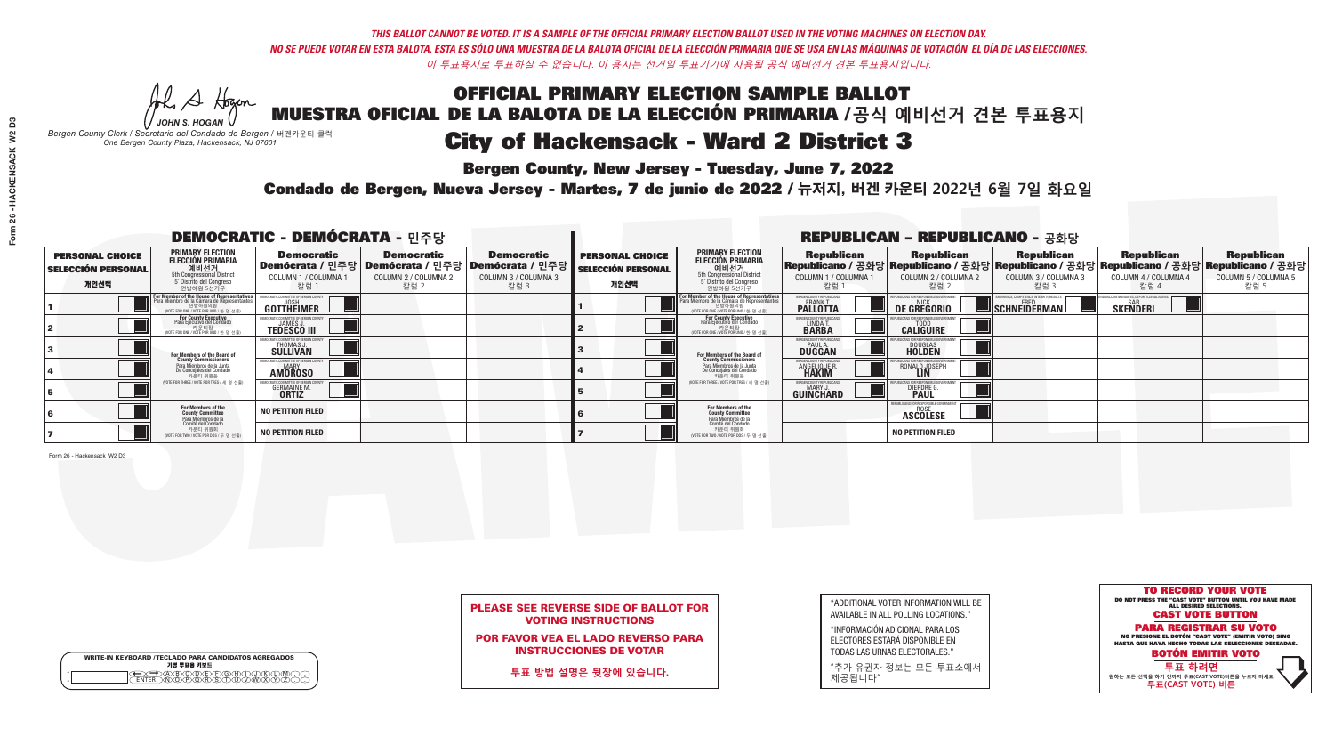*-*<br>Bergen County, New Jersey - Tuesday, June 7, 2022

Al Stogan *JOHN S. HOGAN*

|              | <b>WRITE-IN KEYBOARD /TECLADO PARA CANDIDATOS AGREGADOS</b><br>기명 투표용 키보드 |  |
|--------------|---------------------------------------------------------------------------|--|
| o<br>$\circ$ |                                                                           |  |

*Bergen County Clerk / Secretario del Condado de Bergen /* 버겐카운티 클럭 *One Bergen County Plaza, Hackensack, NJ 07601*



### PLEASE SEE REVERSE SIDE OF BALLOT FOR VOTING INSTRUCTIONS

POR FAVOR VEA EL LADO REVERSO PARA INSTRUCCIONES DE VOTAR

**투표 방법 설명은 뒷장에 있습니다.**

| "ADDITIONAL VOTER INFORMATION WILL BE |
|---------------------------------------|
| AVAILABLE IN ALL POLLING LOCATIONS."  |
|                                       |

"INFORMACIÓN ADICIONAL PARA LOS ELECTORES ESTARÁ DISPONIBLE EN TODAS LAS URNAS ELECTORALES."

"추가 유권자 정보는 모든 투표소에서 제공됩니다"

Condado de Bergen, Nueva Jersey - Martes, 7 de junio de 2022 / 뉴저지, 버겐 카운티 2022년 6월 7일 화요일 *One Bergen County Plaza, Hackensack, NJ 07601*

| <b>DEMOCRATIC - DEMÓCRATA - 민주당</b>                         |                                                                                                                                           |                                                                                                        |                                                   |                                                   |                                                             |                                                                                                                                                      |                                                   | <b>REPUBLICAN - REPUBLICANO - 공화당</b>                           |                                                                                                                                                |                                                   |                                                   |
|-------------------------------------------------------------|-------------------------------------------------------------------------------------------------------------------------------------------|--------------------------------------------------------------------------------------------------------|---------------------------------------------------|---------------------------------------------------|-------------------------------------------------------------|------------------------------------------------------------------------------------------------------------------------------------------------------|---------------------------------------------------|-----------------------------------------------------------------|------------------------------------------------------------------------------------------------------------------------------------------------|---------------------------------------------------|---------------------------------------------------|
| <b>PERSONAL CHOICE</b><br><b>SELECCIÓN PERSONAL</b><br>개인선택 | <b>PRIMARY ELECTION</b><br>ELECCIÓN PRIMARIA<br>예비선거<br><sub>5th Congressional District</sub><br>5° Distrito del Congreso<br>연방하원 5선거구    | <b>Democratic</b><br>│Demócrata / 민주당│Demócrata / 민주당│Demócrata / 민주당┃<br>COLUMN 1 / COLUMNA ·<br>칼럼 1 | <b>Democratic</b><br>COLUMN 2 / COLUMNA 2<br>칼럼 2 | <b>Democratic</b><br>COLUMN 3 / COLUMNA 3<br>칼럼 3 | <b>PERSONAL CHOICE</b><br><b>SELECCIÓN PERSONAL</b><br>개인선택 | <b>PRIMARY ELECTION</b><br><b>ELECCIÓN PRIMARIA</b><br><b>에비선거</b><br>5 Distrito del Congreso<br>연방하원 5선거구                                           | <b>Republican</b><br>COLUMN 1 / COLUMNA 1<br>칼럼 1 | <b>Republican</b><br>COLUMN 2 / COLUMNA 2<br>칼럼 2               | <b>Republican</b><br>Republicano / 공화당 Republicano / 공화당 Republicano / 공화당 Republicano / 공화당 Republicano / 공화당<br>COLUMN 3 / COLUMNA 3<br>칼럼 3 | <b>Republican</b><br>COLUMN 4 / COLUMNA 4<br>칼럼 4 | <b>Republican</b><br>COLUMN 5 / COLUMNA 5<br>칼럼 5 |
|                                                             | or Member of the House of Representatives<br>ara Miembro de la Cámara de Representantes<br>연방하원의원<br>(VOTE FOR ONE / VOTE POR UNO / 한명선출) | COMMITTEE OF BERGEN COUNT<br><b>GOTTHEIMER</b>                                                         |                                                   |                                                   |                                                             | <b>For Member of the House of Representatives<br/>Para Miembro de la Cámara de Representantes</b><br>연방하원의원<br>MOTE FOR ONE / VOTE POR UNO / 한 명 선출) | BERGEN COUNTY REPUBLICANS<br><b>PALLOTTA</b>      | DE GREGORIO                                                     | SCHNEIDERMAN                                                                                                                                   | <b>SKENDERI</b>                                   |                                                   |
|                                                             | <b>For County Executive</b><br>Para Ejecutivo del Condado<br>NOTE FOR ONE / VOTE POR UNO / 한 명 선출)                                        | <b>TEDESCO III</b>                                                                                     |                                                   |                                                   |                                                             | <b>For County Executive</b><br>Para Ejecutivo del Condado<br>카운티장<br>"카운티장<br>"예TE FOR ONE / VOTE POR UNO / 한 명 선수                                   | BERGEN COUNTY REPUBLICAN<br>LINDAT.               | <b>CALIGUIRE</b>                                                |                                                                                                                                                |                                                   |                                                   |
|                                                             | For Members of the Board of<br>County Commissioners                                                                                       | MOCRATIC COMMITTEE OF BERGEN COUNT<br>THOMAS J.                                                        |                                                   |                                                   |                                                             | For Members of the Board of<br>County Commissioners                                                                                                  | BERGEN COUNTY REPUBLICAN<br><b>DUGGAN</b>         | <b>DOUGLAS</b><br><b>HOLDEN</b>                                 |                                                                                                                                                |                                                   |                                                   |
|                                                             | Para Miembros de la Junta<br>De Conceiales del Condado<br>카운티 위원들                                                                         | MOCRATIC COMMITTEE OF BERGEN COUNT<br><b>AMOROSO</b>                                                   |                                                   |                                                   |                                                             | Para Miembros de la Junta<br>De Concejales del Condado<br>카운티 위원들                                                                                    | ERGEN COUNTY REPUBLICAN<br><b>ANGELIQUE R</b>     | RONALD JOSEPH                                                   |                                                                                                                                                |                                                   |                                                   |
|                                                             | NOTE FOR THREE / VOTE POR TRES / 세 명 선출                                                                                                   | <b>GERMAINE M.</b>                                                                                     |                                                   |                                                   |                                                             | (VOTE FOR THREE / VOTE POR TRES / 세 명 선출                                                                                                             | BERGEN COUNTY REPUBLICANS<br>MARY J<br>GUINCHARD  | <b>DIERDRE</b>                                                  |                                                                                                                                                |                                                   |                                                   |
|                                                             | For Members of the<br>County Committee<br>Para Miembros de la<br>Comité del Condado                                                       | <b>NO PETITION FILED</b>                                                                               |                                                   |                                                   |                                                             | For Members of the<br>County Committee                                                                                                               |                                                   | EPUBLICANS FOR RESPONSIBLE GO<br><b>ROSE</b><br><b>ASCOLESE</b> |                                                                                                                                                |                                                   |                                                   |
|                                                             | 카운티 위원회<br>NOTE FOR TWO / VOTE POR DOS / 두 명 선출)                                                                                          | <b>NO PETITION FILED</b>                                                                               |                                                   |                                                   |                                                             | Para Miembros de la<br>Comité del Condado<br>카운티 위원회<br>NOTE FOR TWO / VOTE POR DOS / 두 명 선출)                                                        |                                                   | <b>NO PETITION FILED</b>                                        |                                                                                                                                                |                                                   |                                                   |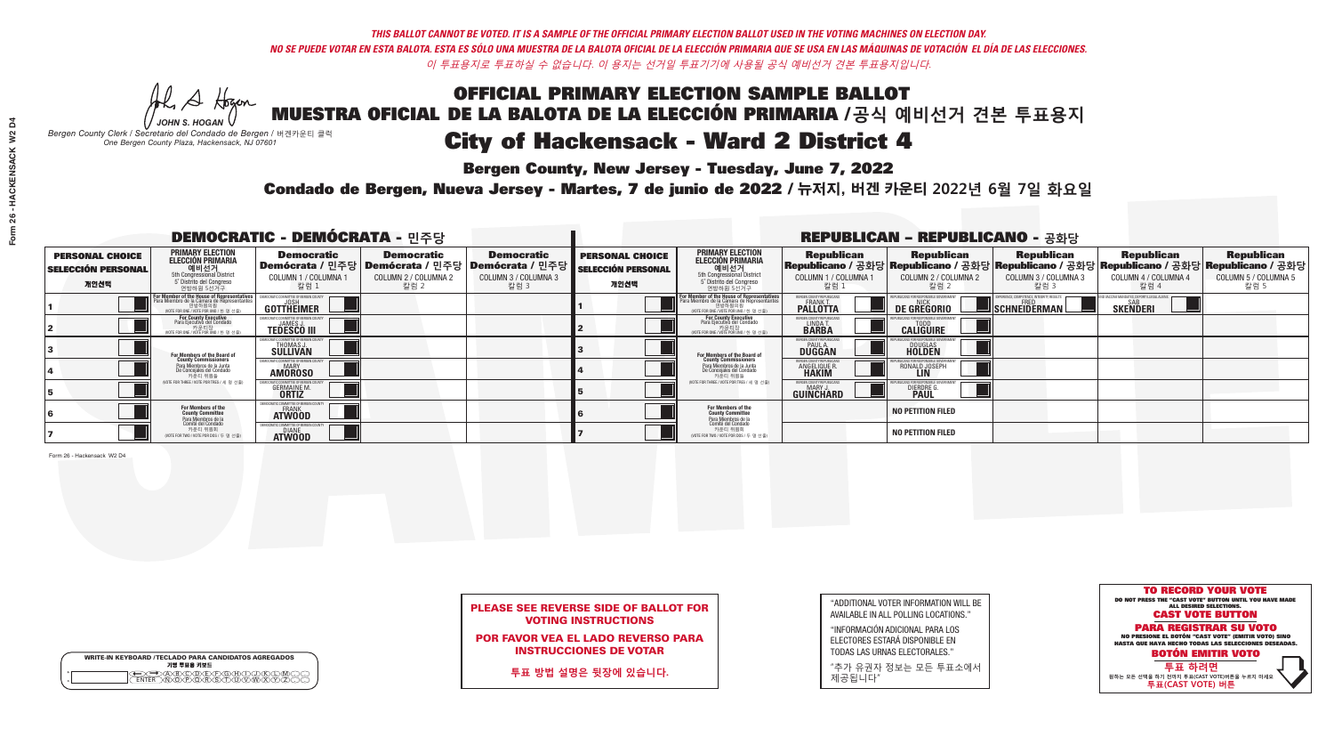## OFFICIAL PRIMARY ELECTION SAMPLE BALLOT MUESTRA OFICIAL DE LA BALOTA DE LA ELECCIÓN PRIMARIA /**공식 예비선거 견본 투표용지** *-*<br>Bergen County, New Jersey - Tuesday, June 7, 2022 City of Hackensack - Ward 2 District 4

A Hogan *JOHN S. HOGAN*

|         | <b>WRITE-IN KEYBOARD /TECLADO PARA CANDIDATOS AGREGADOS</b><br>기명 투표용 키보드 |  |
|---------|---------------------------------------------------------------------------|--|
| $\circ$ |                                                                           |  |

*Bergen County Clerk / Secretario del Condado de Bergen /* 버겐카운티 클럭 *One Bergen County Plaza, Hackensack, NJ 07601*



### PLEASE SEE REVERSE SIDE OF BALLOT FOR VOTING INSTRUCTIONS

POR FAVOR VEA EL LADO REVERSO PARA INSTRUCCIONES DE VOTAR

**투표 방법 설명은 뒷장에 있습니다.**

| "ADDITIONAL VOTER INFORMATION WILL BE                                                                           |
|-----------------------------------------------------------------------------------------------------------------|
| AVAILABLE IN ALL POLLING LOCATIONS."                                                                            |
| the contract of the contract of the contract of the contract of the contract of the contract of the contract of |

"INFORMACIÓN ADICIONAL PARA LOS ELECTORES ESTARÁ DISPONIBLE EN TODAS LAS URNAS ELECTORALES."

"추가 유권자 정보는 모든 투표소에서 제공됩니다"

Condado de Bergen, Nueva Jersey - Martes, 7 de junio de 2022 / 뉴저지, 버겐 카운티 2022년 6월 7일 화요일 *One Bergen County Plaza, Hackensack, NJ 07601*

|                                                             |                                                                                                                                     | <b>DEMOCRATIC - DEMÓCRATA - 민주당</b>                          |                                                   |                                                                                                              |                                                             |                                                                                                                                   |                                                        | <b>REPUBLICAN - REPUBLICANO - 공화당</b>              |                                                           |                                                                                                                                                |                                                   |
|-------------------------------------------------------------|-------------------------------------------------------------------------------------------------------------------------------------|--------------------------------------------------------------|---------------------------------------------------|--------------------------------------------------------------------------------------------------------------|-------------------------------------------------------------|-----------------------------------------------------------------------------------------------------------------------------------|--------------------------------------------------------|----------------------------------------------------|-----------------------------------------------------------|------------------------------------------------------------------------------------------------------------------------------------------------|---------------------------------------------------|
| <b>PERSONAL CHOICE</b><br><b>SELECCIÓN PERSONAL</b><br>개인선택 | <b>PRIMARY ELECTION</b><br><b>ELECCIÓN PRIMARIA</b><br>예비선거<br>5th Congressional District<br>5° Distrito del Congreso<br>연방하원 5선거구  | <b>Democratic</b><br>COLUMN 1 / COLUMNA<br>칼럼 1              | <b>Democratic</b><br>COLUMN 2 / COLUMNA 2<br>칼럼 2 | <b>Democratic</b><br>  Demócrata / 민주당   Demócrata / 민주당   Demócrata / 민주당  <br>COLUMN 3 / COLUMNA 3<br>칼럼 3 | <b>PERSONAL CHOICE</b><br><b>SELECCIÓN PERSONAL</b><br>개인선택 | <b>PRIMARY ELECTION</b><br><b>ELECCIÓN PRIMARIA</b><br>예비선거<br>5th Congressional District<br>5 Distrito del Congreso<br>연방하원 5선거구 | <b>Republican</b><br>COLUMN 1 / COLUMNA 1<br>칼럼 :      | <b>Republican</b><br>COLUMN 2 / COLUMNA 2<br>,칼럼 2 | <b>Republican</b><br>COLUMN 3 / COLUMNA 3<br>칼럼 3         | <b>Republican</b><br>Republicano / 공화당 Republicano / 공화당 Republicano / 공화당 Republicano / 공화당 Republicano / 공화당<br>COLUMN 4 / COLUMNA 4<br>칼럼 4 | <b>Republican</b><br>COLUMN 5 / COLUMNA 5<br>칼럼 5 |
|                                                             | For Member of the House of Representatives<br>Para Miembro de la Cámara de Representantes<br>(VOTE FOR ONE / VOTE POR UNO / 한 명 선출) | COMMITTEE OF BERGEN COUN<br>GOTTHËIMER                       |                                                   |                                                                                                              |                                                             | For Member of the House of Representatives<br>Para Miembro de la Cámara de Representantes<br>WOTE FOR ONE / VOTE POR UNO / 한 명 선출 | BERGEN COUNTY REPUBLICANS<br><b>PALLOTTA</b>           | DE GREGORIO                                        | 'PERIENCE, COMPETENCE, INTEGRITY, RESULTS<br>SCHNEIDERMAN | <b>SAR</b><br><b>SKENDERI</b>                                                                                                                  |                                                   |
|                                                             | For County Executive<br>Para Ejecutivo del Condado<br>, 카운티장<br>/OTE FOR ONE /VOTE POR UNO / 한 명 선출)                                | <b>TEDESCO III</b>                                           |                                                   |                                                                                                              |                                                             | For County Executive<br>Para Ejecutivo del Condado<br>, "아운티장<br>"카운티장<br>"MOTE FOR ONE / VOTE POR UNO / 한 명 선축                   | BERGEN COUNTY REPUBLICAN<br>LINDA T.                   | <b>CALIGUIRE</b>                                   |                                                           |                                                                                                                                                |                                                   |
|                                                             | For Members of the Board of<br>County Commissioners                                                                                 | THOMAS J.                                                    |                                                   |                                                                                                              |                                                             | <b>For Members of the Board of<br/>County Commissioners</b>                                                                       | <b>BERGEN COUNTY REPUBLICAN<br/>PAUL A.<br/>DUGGAN</b> | <b>DOUGLAS</b>                                     |                                                           |                                                                                                                                                |                                                   |
|                                                             | Para Miembros de la Junta<br>De Concejales del Condado<br>카운티 위원들                                                                   | IC COMMITTEE OF RERGEN COUN<br><b>MARY</b><br><b>AMOROSO</b> |                                                   |                                                                                                              |                                                             | Para Miembros de la Junta<br>De Concejales del Condado<br>카운티 위원들                                                                 | <b>FRGEN COUNTY REPUBLICAN</b><br><b>ANGELIQUE R</b>   | RONALD JOSEPH<br><b>LIN</b>                        |                                                           |                                                                                                                                                |                                                   |
|                                                             | NOTE FOR THREE / VOTE POR TRES / 세 명 선출)                                                                                            | <b>GERMAINE M</b><br><b>ORTIZ</b>                            |                                                   |                                                                                                              |                                                             | (VOTE FOR THREE / VOTE POR TRES / 세 명 선출)                                                                                         | BERGEN COUNTY REPUBLICANS<br>MARY J<br>GUINCHARD       | <b>DIERDRE</b>                                     |                                                           |                                                                                                                                                |                                                   |
|                                                             | For Members of the<br>County Committee<br>Para Miembros de la<br>Comité del Condado                                                 | MOCRATIC COMMITTEE OF BERGEN<br><b>ATWOOD</b>                |                                                   |                                                                                                              |                                                             | For Members of the<br>County Committee                                                                                            |                                                        | <b>NO PETITION FILED</b>                           |                                                           |                                                                                                                                                |                                                   |
|                                                             | 카운티 위원회<br>(VOTE FOR TWO / VOTE POR DOS / 두 명 선출)                                                                                   | 10CRATIC COMMITTEE OF BERGE<br><b>DIANE</b><br><b>ATWOOD</b> |                                                   |                                                                                                              |                                                             | Para Miembros de la<br>Comité del Condado<br>카운티 위원회<br>NOTE FOR TWO / VOTE POR DOS / 두 명 선출)                                     |                                                        | <b>NO PETITION FILED</b>                           |                                                           |                                                                                                                                                |                                                   |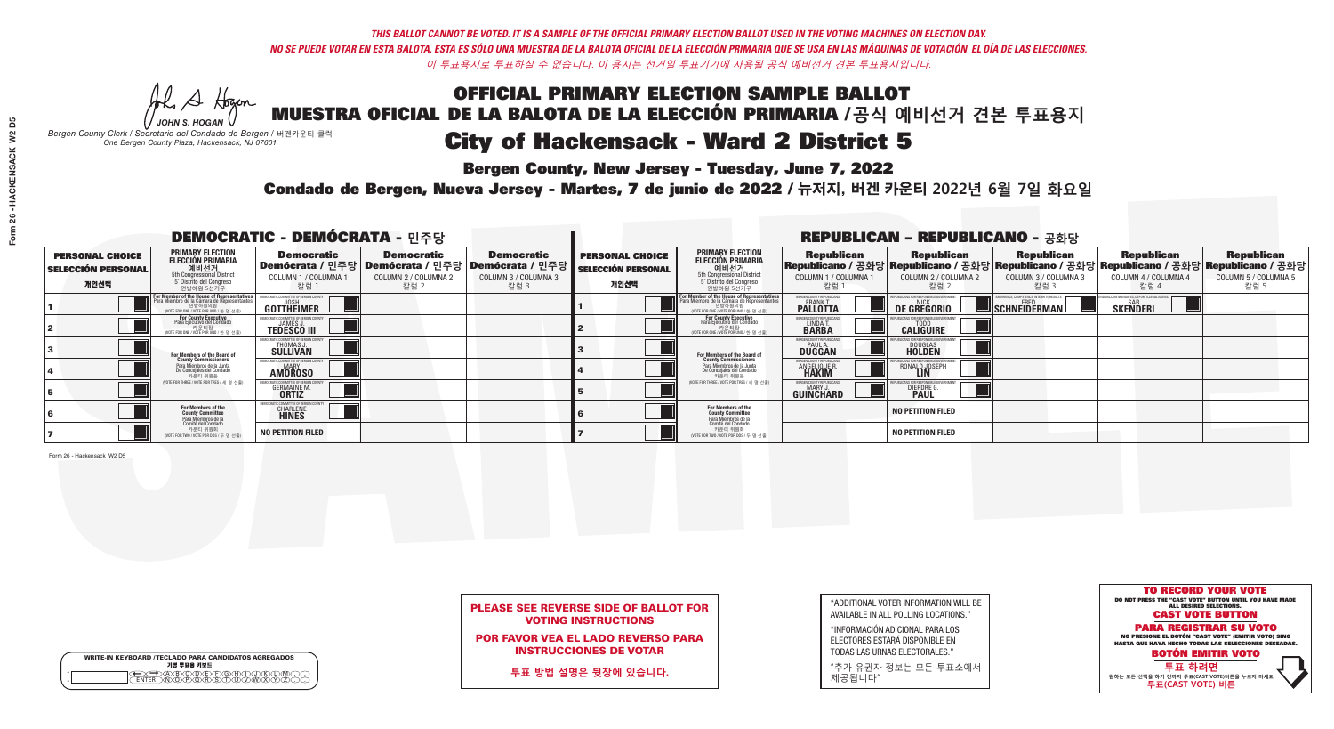## OFFICIAL PRIMARY ELECTION SAMPLE BALLOT MUESTRA OFICIAL DE LA BALOTA DE LA ELECCIÓN PRIMARIA /**공식 예비선거 견본 투표용지** *-*<br>Bergen County, New Jersey - Tuesday, June 7, 2022 City of Hackensack - Ward 2 District 5

Al Stogan *JOHN S. HOGAN*

|                    | <b>WRITE-IN KEYBOARD /TECLADO PARA CANDIDATOS AGREGADOS</b><br>기명 투표용 키보드 |  |
|--------------------|---------------------------------------------------------------------------|--|
| $\circ$<br>$\circ$ | DBODDEDOHX<br>NOPORSTUM                                                   |  |

*Bergen County Clerk / Secretario del Condado de Bergen /* 버겐카운티 클럭 *One Bergen County Plaza, Hackensack, NJ 07601*



### PLEASE SEE REVERSE SIDE OF BALLOT FOR VOTING INSTRUCTIONS

POR FAVOR VEA EL LADO REVERSO PARA INSTRUCCIONES DE VOTAR

**투표 방법 설명은 뒷장에 있습니다.**

| "ADDITIONAL VOTER INFORMATION WILL BE |
|---------------------------------------|
| AVAILABLE IN ALL POLLING LOCATIONS."  |
|                                       |

"INFORMACIÓN ADICIONAL PARA LOS ELECTORES ESTARÁ DISPONIBLE EN TODAS LAS URNAS ELECTORALES."

"추가 유권자 정보는 모든 투표소에서 제공됩니다"

Condado de Bergen, Nueva Jersey - Martes, 7 de junio de 2022 / 뉴저지, 버겐 카운티 2022년 6월 7일 화요일 *One Bergen County Plaza, Hackensack, NJ 07601*

|                                                             |                                                                                                                                     | <b>DEMOCRATIC - DEMÓCRATA - 민주당</b>                          |                                                   |                                                                                                              |                                                             |                                                                                                                                   |                                                        | <b>REPUBLICAN - REPUBLICANO - 공화당</b>              |                                                           |                                                                                                                                                |                                                   |
|-------------------------------------------------------------|-------------------------------------------------------------------------------------------------------------------------------------|--------------------------------------------------------------|---------------------------------------------------|--------------------------------------------------------------------------------------------------------------|-------------------------------------------------------------|-----------------------------------------------------------------------------------------------------------------------------------|--------------------------------------------------------|----------------------------------------------------|-----------------------------------------------------------|------------------------------------------------------------------------------------------------------------------------------------------------|---------------------------------------------------|
| <b>PERSONAL CHOICE</b><br><b>SELECCIÓN PERSONAL</b><br>개인선택 | <b>PRIMARY ELECTION</b><br><b>ELECCIÓN PRIMARIA</b><br>예비선거<br>5th Congressional District<br>5° Distrito del Congreso<br>연방하원 5선거구  | <b>Democratic</b><br>COLUMN 1 / COLUMNA<br>칼럼 1              | <b>Democratic</b><br>COLUMN 2 / COLUMNA 2<br>칼럼 2 | <b>Democratic</b><br>  Demócrata / 민주당   Demócrata / 민주당   Demócrata / 민주당  <br>COLUMN 3 / COLUMNA 3<br>칼럼 3 | <b>PERSONAL CHOICE</b><br><b>SELECCIÓN PERSONAL</b><br>개인선택 | <b>PRIMARY ELECTION</b><br>ELECCIÓN PRIMARIA<br>예비선거<br>5th Congressional District<br>5 Distrito del Congreso<br>연방하원 5선거구        | <b>Republican</b><br>COLUMN 1 / COLUMNA 1<br>칼럼 :      | <b>Republican</b><br>COLUMN 2 / COLUMNA 2<br>,칼럼 2 | <b>Republican</b><br>COLUMN 3 / COLUMNA 3<br>칼럼 3         | <b>Republican</b><br>Republicano / 공화당 Republicano / 공화당 Republicano / 공화당 Republicano / 공화당 Republicano / 공화당<br>COLUMN 4 / COLUMNA 4<br>칼럼 4 | <b>Republican</b><br>COLUMN 5 / COLUMNA 5<br>칼럼 5 |
|                                                             | For Member of the House of Representatives<br>Para Miembro de la Cámara de Representantes<br>(VOTE FOR ONE / VOTE POR UNO / 한 명 선출) | COMMITTEE OF BERGEN COUNT<br>GOTTHËIMER                      |                                                   |                                                                                                              |                                                             | For Member of the House of Representatives<br>Para Miembro de la Cámara de Representantes<br>WOTE FOR ONE / VOTE POR UNO / 한 명 선출 | BERGEN COUNTY REPUBLICANS<br><b>PALLOTTA</b>           | DE GREGORIO                                        | 'PERIENCE, COMPETENCE, INTEGRITY, RESULTS<br>SCHNEIDERMAN | SAB<br><b>SKENDERI</b>                                                                                                                         |                                                   |
|                                                             | For County Executive<br>Para Ejecutivo del Condado<br>, 카운티장<br>/OTE FOR ONE /VOTE POR UNO / 한 명 선출)                                | <b>TEDESCO III</b>                                           |                                                   |                                                                                                              |                                                             | For County Executive<br>Para Ejecutivo del Condado<br>, "아운티장<br>"카운티장<br>"MOTE FOR ONE / VOTE POR UNO / 한 명 선축                   | BERGEN COUNTY REPUBLICAN<br>LINDA T.                   | <b>CALIGUIRE</b>                                   |                                                           |                                                                                                                                                |                                                   |
|                                                             | <b>For Members of the Board of<br/>County Commissioners</b>                                                                         | THOMAS J.                                                    |                                                   |                                                                                                              |                                                             | <b>For Members of the Board of<br/>County Commissioners</b>                                                                       | <b>BERGEN COUNTY REPUBLICAN<br/>PAUL A.<br/>DUGGAN</b> | <b>DOUGLAS</b>                                     |                                                           |                                                                                                                                                |                                                   |
|                                                             | Para Miembros de la Junta<br>De Concejales del Condado<br>카운티 위원들                                                                   | IC COMMITTEE OF RERGEN COUN<br><b>MARY</b><br><b>AMOROSO</b> |                                                   |                                                                                                              |                                                             | Para Miembros de la Junta<br>De Concejales del Condado<br>카운티 위원들                                                                 | <b>FRGEN COUNTY REPUBLICAN</b><br><b>ANGELIQUE R</b>   | RONALD JOSEPH<br><b>LIN</b>                        |                                                           |                                                                                                                                                |                                                   |
|                                                             | NOTE FOR THREE / VOTE POR TRES / 세 명 선출)                                                                                            | <b>GERMAINE M</b><br><b>ORTIZ</b>                            |                                                   |                                                                                                              |                                                             | (VOTE FOR THREE / VOTE POR TRES / 세 명 선출)                                                                                         | BERGEN COUNTY REPUBLICANS<br>MARY J<br>GUINCHARD       | <b>DIERDRE</b>                                     |                                                           |                                                                                                                                                |                                                   |
|                                                             | For Members of the<br>County Committee<br>Para Miembros de la<br>Comité del Condado                                                 | EMOCRATIC COMMITTEE OF BERGEN<br><b>CHARLENE</b>             |                                                   |                                                                                                              |                                                             | For Members of the<br>County Committee<br>Para Miembros de la<br>Comité del Condado                                               |                                                        | <b>NO PETITION FILED</b>                           |                                                           |                                                                                                                                                |                                                   |
|                                                             | 카운티 위원회<br>(VOTE FOR TWO / VOTE POR DOS / 두 명 선출)                                                                                   | <b>NO PETITION FILED</b>                                     |                                                   |                                                                                                              |                                                             | 카운티 위원회<br>NOTE FOR TWO / VOTE POR DOS / 두 명 선출)                                                                                  |                                                        | <b>NO PETITION FILED</b>                           |                                                           |                                                                                                                                                |                                                   |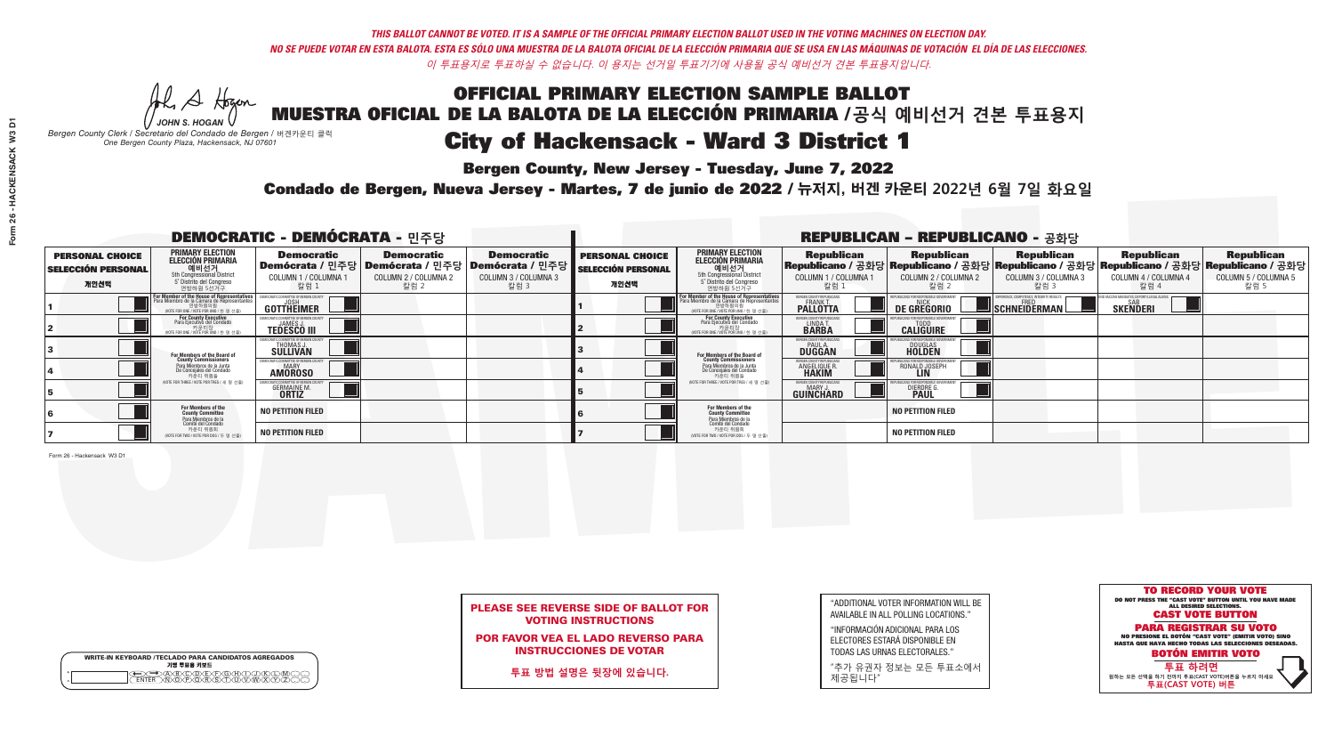## OFFICIAL PRIMARY ELECTION SAMPLE BALLOT MUESTRA OFICIAL DE LA BALOTA DE LA ELECCIÓN PRIMARIA /**공식 예비선거 견본 투표용지** *-*<br>Bergen County, New Jersey - Tuesday, June 7, 2022 City of Hackensack - Ward 3 District 1

A Hogan *JOHN S. HOGAN*

|              | <b>WRITE-IN KEYBOARD /TECLADO PARA CANDIDATOS AGREGADOS</b><br>기명 투표용 키보드 |  |
|--------------|---------------------------------------------------------------------------|--|
| ٥<br>$\circ$ |                                                                           |  |

*Bergen County Clerk / Secretario del Condado de Bergen /* 버겐카운티 클럭 *One Bergen County Plaza, Hackensack, NJ 07601*



### PLEASE SEE REVERSE SIDE OF BALLOT FOR VOTING INSTRUCTIONS

POR FAVOR VEA EL LADO REVERSO PARA INSTRUCCIONES DE VOTAR

**투표 방법 설명은 뒷장에 있습니다.**

| "ADDITIONAL VOTER INFORMATION WILL BE |
|---------------------------------------|
| AVAILABLE IN ALL POLLING LOCATIONS."  |
|                                       |

"INFORMACIÓN ADICIONAL PARA LOS ELECTORES ESTARÁ DISPONIBLE EN TODAS LAS URNAS ELECTORALES."

"추가 유권자 정보는 모든 투표소에서 제공됩니다"

Condado de Bergen, Nueva Jersey - Martes, 7 de junio de 2022 / 뉴저지, 버겐 카운티 2022년 6월 7일 화요일 *One Bergen County Plaza, Hackensack, NJ 07601*

|                                                             |                                                                                                                                                      | <b>DEMOCRATIC - DEMÓCRATA - 민주당</b>                 |                                                   |                                                                                                              |                                                             |                                                                                                                                   |                                                                      | <b>REPUBLICAN - REPUBLICANO - 공화당</b>              |                                                   |                                                                                                                                                |                                                   |
|-------------------------------------------------------------|------------------------------------------------------------------------------------------------------------------------------------------------------|-----------------------------------------------------|---------------------------------------------------|--------------------------------------------------------------------------------------------------------------|-------------------------------------------------------------|-----------------------------------------------------------------------------------------------------------------------------------|----------------------------------------------------------------------|----------------------------------------------------|---------------------------------------------------|------------------------------------------------------------------------------------------------------------------------------------------------|---------------------------------------------------|
| <b>PERSONAL CHOICE</b><br><b>SELECCIÓN PERSONAL</b><br>개인선택 | <b>PRIMARY ELECTION</b><br><b>ELECCIÓN PRIMARIA</b><br>예비선거<br>5th Congressional District<br>5° Distrito del Congreso<br>연방하원 5선거구                   | <b>Democratic</b><br>COLUMN 1 / COLUMNA<br>_ 칼럼 1   | <b>Democratic</b><br>COLUMN 2 / COLUMNA 2<br>칼럼 2 | <b>Democratic</b><br>  Demócrata / 민주당   Demócrata / 민주당   Demócrata / 민주당  <br>COLUMN 3 / COLUMNA 3<br>칼럼 3 | <b>PERSONAL CHOICE</b><br><b>SELECCIÓN PERSONAL</b><br>개인선택 | <b>PRIMARY ELECTION</b><br>ELECCIÓN PRIMARIA<br>예비선거<br>5th Congressional District<br>5 Distrito del Congreso<br>연방하원 5선거구        | <b>Republican</b><br>COLUMN 1 / COLUMNA 1<br>칼럼 1                    | <b>Republican</b><br>COLUMN 2 / COLUMNA 2<br>,칼럼 2 | <b>Republican</b><br>COLUMN 3 / COLUMNA 3<br>칼럼 3 | <b>Republican</b><br>Republicano / 공화당 Republicano / 공화당 Republicano / 공화당 Republicano / 공화당 Republicano / 공화당<br>COLUMN 4 / COLUMNA 4<br>칼럼 4 | <b>Republican</b><br>COLUMN 5 / COLUMNA 5<br>칼럼 5 |
|                                                             | <b>For Member of the House of Representatives</b><br>Para Miembro de la Cámara de Representantes<br>연방하원의원<br>(VOTE FOR ONE / VOTE POR UNO / 한 명 선출) | COMMITTEE OF BERGEN COUNT<br>GOTTHEIMER             |                                                   |                                                                                                              |                                                             | For Member of the House of Representatives<br>Para Miembro de la Cámara de Representantes<br>WOTE FOR ONE / VOTE POR UNO / 한 명 선출 | BERGEN COUNTY REPUBLICANS<br><b>PALLOTTA</b>                         | <b>DE GREGORIO</b>                                 | SCHNEIDERMAN                                      | SAB<br><b>SKENDERI</b>                                                                                                                         |                                                   |
|                                                             | For County Executive<br>Para Ejecutivo del Condado<br>/OTE FOR ONE / VOTE POR UNO / 한 명 선출)                                                          | <b>TEDESCO III</b>                                  |                                                   |                                                                                                              |                                                             | For County Executive<br>Para Ejecutivo del Condado<br>.<br>VOTE FOR ONE / VOTE POR UNO / 한 명 선출                                   | BERGEN COUNTY REPUBLICAN<br>LINDAT.                                  | <b>CALIGUIRE</b>                                   |                                                   |                                                                                                                                                |                                                   |
|                                                             | For Members of the Board of<br>County Commissioners                                                                                                  | THOMAS J.                                           |                                                   |                                                                                                              |                                                             | For Members of the Board of<br>County Commissioners                                                                               | BERGEN COUNTY REPUBLICAN<br><b>DUGGAN</b>                            | <b>DOUGLAS</b>                                     |                                                   |                                                                                                                                                |                                                   |
|                                                             | Para Miembros de la Junta<br>De Concejales del Condado<br>카우티 위원들                                                                                    | OCRATIC COMMITTEE OF BERGEN COUN'<br><b>AMOROSO</b> |                                                   |                                                                                                              |                                                             | Para Miembros de la Junta<br>De Concejales del Condado<br>카운티 위원들                                                                 | <b>FRGEN COUNTY REPUBLICAN</b><br><b>ANGELIQUE R</b><br><b>HAKIM</b> | RONALD JOSEPH<br><b>LIN</b>                        |                                                   |                                                                                                                                                |                                                   |
|                                                             | NOTE FOR THREE / VOTE POR TRES / 세 명 선출)                                                                                                             | <b>GERMAINE M.</b><br><b>ORTIZ</b>                  |                                                   |                                                                                                              |                                                             | (VOTE FOR THREE / VOTE POR TRES / 세 명 선출)                                                                                         | BERGEN COUNTY REPUBLICAN<br><b>MARY J</b><br>GUINCHARD               | <b>DIERDRE</b>                                     |                                                   |                                                                                                                                                |                                                   |
|                                                             | For Members of the<br>County Committee<br>Para Miembros de la<br>Comité del Condado                                                                  | <b>NO PETITION FILED</b>                            |                                                   |                                                                                                              |                                                             | For Members of the<br>County Committee                                                                                            |                                                                      | <b>NO PETITION FILED</b>                           |                                                   |                                                                                                                                                |                                                   |
|                                                             | 카운티 위원회<br>NOTE FOR TWO / VOTE POR DOS / 두 명 선출)                                                                                                     | <b>NO PETITION FILED</b>                            |                                                   |                                                                                                              |                                                             | Para Miembros de la<br>Comité del Condado<br>카운티 위원회<br>NOTE FOR TWO / VOTE POR DOS / 두 명 선출)                                     |                                                                      | <b>NO PETITION FILED</b>                           |                                                   |                                                                                                                                                |                                                   |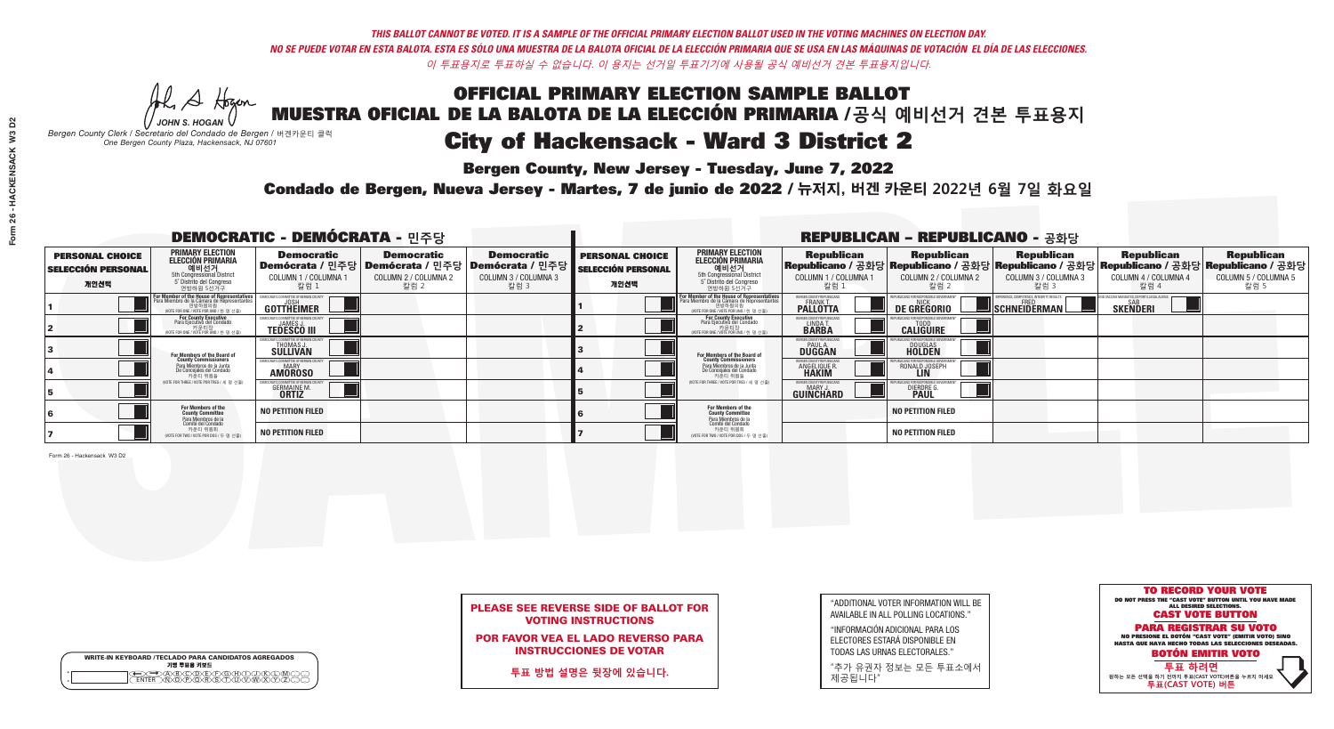*-*<br>Bergen County, New Jersey - Tuesday, June 7, 2022

Al Stogan *JOHN S. HOGAN*

|                    | <b>WRITE-IN KEYBOARD /TECLADO PARA CANDIDATOS AGREGADOS</b><br>기명 투표용 키보드 |  |
|--------------------|---------------------------------------------------------------------------|--|
| $\circ$<br>$\circ$ | DBODDEDOHX<br>NOPORSTUM                                                   |  |

*Bergen County Clerk / Secretario del Condado de Bergen /* 버겐카운티 클럭 *One Bergen County Plaza, Hackensack, NJ 07601*



### PLEASE SEE REVERSE SIDE OF BALLOT FOR VOTING INSTRUCTIONS

POR FAVOR VEA EL LADO REVERSO PARA INSTRUCCIONES DE VOTAR

**투표 방법 설명은 뒷장에 있습니다.**

| "ADDITIONAL VOTER INFORMATION WILL BE |
|---------------------------------------|
| AVAILABLE IN ALL POLLING LOCATIONS."  |
|                                       |

"INFORMACIÓN ADICIONAL PARA LOS ELECTORES ESTARÁ DISPONIBLE EN TODAS LAS URNAS ELECTORALES."

"추가 유권자 정보는 모든 투표소에서 제공됩니다"

Condado de Bergen, Nueva Jersey - Martes, 7 de junio de 2022 / 뉴저지, 버겐 카운티 2022년 6월 7일 화요일 *One Bergen County Plaza, Hackensack, NJ 07601*

| <b>DEMOCRATIC - DEMÓCRATA - 민주당</b>                         |                                                                                                                                    |                                                             |                                                   | <b>REPUBLICAN - REPUBLICANO - 공화당</b>                                                                         |                                                             |                                                                                                                                            |                                                   |                                                                                                                                                  |                                                           |                                                   |                                                   |
|-------------------------------------------------------------|------------------------------------------------------------------------------------------------------------------------------------|-------------------------------------------------------------|---------------------------------------------------|---------------------------------------------------------------------------------------------------------------|-------------------------------------------------------------|--------------------------------------------------------------------------------------------------------------------------------------------|---------------------------------------------------|--------------------------------------------------------------------------------------------------------------------------------------------------|-----------------------------------------------------------|---------------------------------------------------|---------------------------------------------------|
| <b>PERSONAL CHOICE</b><br><b>SELECCIÓN PERSONAL</b><br>개인선택 | <b>PRIMARY ELECTION</b><br><b>ELECCIÓN PRIMARIA</b><br>예비선거<br>5th Congressional District<br>5° Distrito del Congreso<br>연방하원 5선거구 | <b>Democratic</b><br><b>COLUMN 1 / COLUMNA 1</b><br>칼럼 :    | <b>Democratic</b><br>COLUMN 2 / COLUMNA 2<br>칼럼 2 | <b>Democratic</b><br>│Demócrata / 민주당│Demócrata / 민주당│Demócrata / 민주당┃<br><b>COLUMN 3 / COLUMNA 3</b><br>칼럼 3 | <b>PERSONAL CHOICE</b><br><b>SELECCIÓN PERSONAL</b><br>개인선택 | <b>PRIMARY ELECTION</b><br><b>ELECCIÓN PRIMARIA</b><br>예비선거<br>5th Congressional District<br>5 Distrito del Congreso<br>연방하원 5선거구          | <b>Republican</b><br>COLUMN 1 / COLUMNA 1<br>칼럼 : | <b>Republican</b><br>Republicano / 공화당 Republicano / 공화당 Republicano / 공화당 Republicano / 공화당 Republicano / 공화당<br>COLUMN 2 / COLUMNA 2<br>- 칼럼 2 | <b>Republican</b><br>COLUMN 3 / COLUMNA 3<br>칼럼 3         | <b>Republican</b><br>COLUMN 4 / COLUMNA 4<br>칼럼 4 | <b>Republican</b><br>COLUMN 5 / COLUMNA 5<br>칼럼 5 |
|                                                             | For Member of the House of Representatives<br>Para Miembro de la Cámara de Representantes                                          | COMMITTEE OF BERGEN COUN<br>GOTTHEIMER                      |                                                   |                                                                                                               |                                                             | <b>For Member of the House of Representatives<br/>Para Miembro de la Cámara de Representantes</b><br>WOTE FOR ONE / VOTE POR UNO / 한 명 선출) | BERGEN COUNTY REPUBLICANS<br><b>PALLOTTA</b>      | DE GREGORIO                                                                                                                                      | YPERIENCE, COMPETENCE, INTEGRITY. RESULTS<br>SCHNEIDERMAN | SAB<br><b>SKENDERI</b>                            |                                                   |
|                                                             | For County Executive<br>Para Ejecutivo del Condado<br>,<br>기운티장<br>VOTE FOR ONE / VOTE POR UNO / 한 명 선출)                           | <b>TEDESCO III</b>                                          |                                                   |                                                                                                               |                                                             | For County Executive<br>Para Ejecutivo del Condado<br>개운티장<br>"TH ED TO NE / VOTE POR UNO / 한 명 선춘                                         | BERGEN COUNTY REPUBLICAN<br>LINDA T.              | <b>CALIGUIRE</b>                                                                                                                                 |                                                           |                                                   |                                                   |
|                                                             | For Members of the Board of<br>County Commissioners                                                                                | CRATIC COMMITTEE OF BERGEN CO<br>THOMAS J.                  |                                                   |                                                                                                               |                                                             | For Members of the Board of<br>County Commissioners                                                                                        | ERGEN COUNTY REPUBLICAN:<br>PAUL A.<br>DUGGAN     | <b>DOUGLAS</b>                                                                                                                                   |                                                           |                                                   |                                                   |
|                                                             | Para Miembros de la Junta<br>De Conceiales del Condado<br>카운티 위원들                                                                  | C COMMITTEE OF BERGEN COUN<br><b>MARY</b><br><b>AMOROSO</b> |                                                   |                                                                                                               |                                                             | Para Miembros de la Junta<br>De Concejales del Condado<br>카운티 위원들                                                                          | RGEN COUNTY REPUBLICAN<br><b>ANGELIQUE R</b>      | RONALD JOSEPH<br><b>LIN</b>                                                                                                                      |                                                           |                                                   |                                                   |
|                                                             | NOTE FOR THREE / VOTE POR TRES / 세 명 선출)                                                                                           | <b>GERMAINE M.</b><br><b>ORTIZ</b>                          |                                                   |                                                                                                               |                                                             | NOTE FOR THREE / VOTE POR TRES / 세 명 선출                                                                                                    | BERGEN COUNTY REPUBLICANS<br><b>GUINCHARD</b>     | <b>DIERDRE</b>                                                                                                                                   |                                                           |                                                   |                                                   |
|                                                             | For Members of the<br>County Committee<br>Para Miembros de la<br>Comité del Condado                                                | <b>NO PETITION FILED</b>                                    |                                                   |                                                                                                               |                                                             | For Members of the<br>County Committee<br>Para Miembros de la<br>Comité del Condado                                                        |                                                   | <b>NO PETITION FILED</b>                                                                                                                         |                                                           |                                                   |                                                   |
|                                                             | 카운티 위원회<br>(VOTE FOR TWO / VOTE POR DOS / 두 명 선출)                                                                                  | <b>NO PETITION FILED</b>                                    |                                                   |                                                                                                               |                                                             | 카운티 위원회<br>NOTE FOR TWO / VOTE POR DOS / 두 명 선출)                                                                                           |                                                   | <b>NO PETITION FILED</b>                                                                                                                         |                                                           |                                                   |                                                   |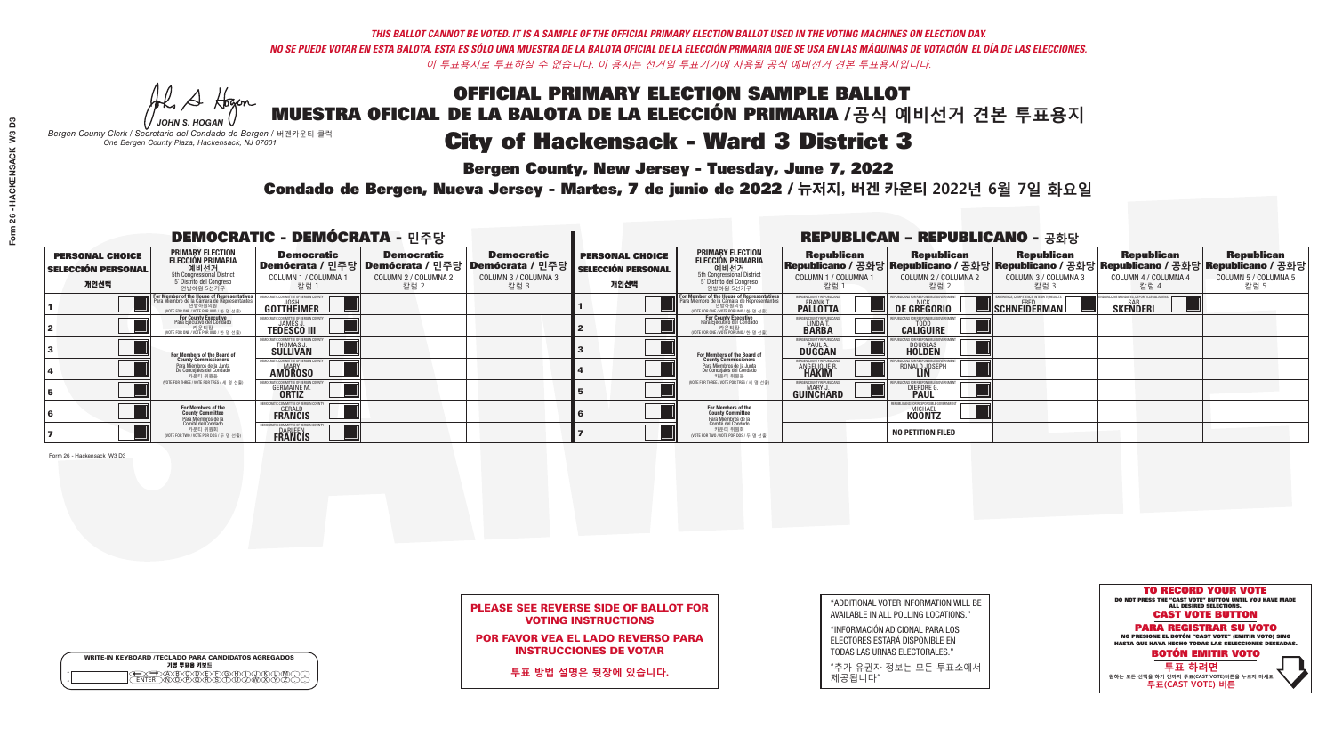*-*<br>Bergen County, New Jersey - Tuesday, June 7, 2022

Al Stogan *JOHN S. HOGAN*

|         | <b>WRITE-IN KEYBOARD /TECLADO PARA CANDIDATOS AGREGADOS</b><br>기명 투표용 키보드 |  |
|---------|---------------------------------------------------------------------------|--|
| $\circ$ |                                                                           |  |

*Bergen County Clerk / Secretario del Condado de Bergen /* 버겐카운티 클럭 *One Bergen County Plaza, Hackensack, NJ 07601*



### PLEASE SEE REVERSE SIDE OF BALLOT FOR VOTING INSTRUCTIONS

POR FAVOR VEA EL LADO REVERSO PARA INSTRUCCIONES DE VOTAR

**투표 방법 설명은 뒷장에 있습니다.**

| "ADDITIONAL VOTER INFORMATION WILL BE                                                                           |
|-----------------------------------------------------------------------------------------------------------------|
| AVAILABLE IN ALL POLLING LOCATIONS."                                                                            |
| the contract of the contract of the contract of the contract of the contract of the contract of the contract of |

"INFORMACIÓN ADICIONAL PARA LOS ELECTORES ESTARÁ DISPONIBLE EN TODAS LAS URNAS ELECTORALES."

"추가 유권자 정보는 모든 투표소에서 제공됩니다"

Condado de Bergen, Nueva Jersey - Martes, 7 de junio de 2022 / 뉴저지, 버겐 카운티 2022년 6월 7일 화요일 *One Bergen County Plaza, Hackensack, NJ 07601*

|                                                             |                                                                                                                                              | <b>DEMOCRATIC - DEMÓCRATA - 민주당</b>                           |                                                   |                                                                                                             |                                                             |                                                                                                                                                             |                                                             | <b>REPUBLICAN - REPUBLICANO - 공화당</b>              |                                                   |                                                   |                                                                                                                                                |
|-------------------------------------------------------------|----------------------------------------------------------------------------------------------------------------------------------------------|---------------------------------------------------------------|---------------------------------------------------|-------------------------------------------------------------------------------------------------------------|-------------------------------------------------------------|-------------------------------------------------------------------------------------------------------------------------------------------------------------|-------------------------------------------------------------|----------------------------------------------------|---------------------------------------------------|---------------------------------------------------|------------------------------------------------------------------------------------------------------------------------------------------------|
| <b>PERSONAL CHOICE</b><br><b>SELECCIÓN PERSONAL</b><br>개인선택 | PRIMARY ELECTION<br><b>ELECCIÓN PRIMARIA</b><br>예비선거<br>5th Congressional District<br>5° Distrito del Congreso<br>연방하원 5선거구                  | <b>Democratic</b><br>COLUMN 1 / COLUMNA<br>칼럼 1               | <b>Democratic</b><br>COLUMN 2 / COLUMNA 2<br>칼럼 2 | <b>Democratic</b><br>  Demócrata / 민주당   Demócrata / 민주당   Demócrata / 민주당 <br>COLUMN 3 / COLUMNA 3<br>칼럼 3 | <b>PERSONAL CHOICE</b><br><b>SELECCIÓN PERSONAL</b><br>개인선택 | <b>PRIMARY ELECTION</b><br><b>ELECCIÓN PRIMARIA</b><br>예비선거<br>5th Congressional District<br>5 Distrito del Congreso<br>연방하원 5선거구                           | <b>Republican</b><br>COLUMN 1 / COLUMNA 1<br>, 칼럼 :         | <b>Republican</b><br>COLUMN 2 / COLUMNA 2<br>-칼럼 2 | <b>Republican</b><br>COLUMN 3 / COLUMNA 3<br>칼럼 3 | <b>Republican</b><br>COLUMN 4 / COLUMNA 4<br>칼럼 4 | <b>Republican</b><br>Republicano / 공화당 Republicano / 공화당 Republicano / 공화당 Republicano / 공화당 Republicano / 공화당<br>COLUMN 5 / COLUMNA 5<br>칼럼 5 |
|                                                             | For Member of the House of Representatives<br>Para Miembro de la Cámara de Representantes<br>연방하원의원<br>VOTE FOR ONE / VOTE POR UNO / 한 명 선출) | GOTTHEIMER                                                    |                                                   |                                                                                                             |                                                             | F <mark>or Member of the House of Representatives</mark><br>Para Miembro de la Cámara de Representantes<br>연방하원의원<br>(VOTE FOR ONE / VOTE POR UNO / 한 명 선출) | ERGEN COUNTY REPUBLICA<br><b>PALLOTTA</b>                   | DE GREGORIO                                        | SCHNEIDERMAN                                      | <b>SKENDERI</b>                                   |                                                                                                                                                |
|                                                             | For County Executive<br>Para Ejecutivo del Condado<br>WOTE FOR ONE / VOTE POR UNO / 한 명 선출)                                                  | <b>TEDESCO III</b>                                            |                                                   |                                                                                                             |                                                             | For County Executive<br>Para Ejecutivo del Condado<br>기준다영<br>WOTE FOR ONE / VOTE POR UNO / 한 명 선출)                                                         | BERGEN COUNTY REPUBLICAN<br>LINDA T.                        | <b>CALIGUIRE</b>                                   |                                                   |                                                   |                                                                                                                                                |
|                                                             | For Members of the Board of<br>County Commissioners                                                                                          | <b>THOMAS J.</b><br><b>SULLIVAN</b>                           |                                                   |                                                                                                             |                                                             | <b>For Members of the Board of County Commissioners</b>                                                                                                     | BERGEN COUNTY REPUBLICAN<br><b>PAUL A.</b><br><b>DUGGAN</b> | <b>DOUGLAS</b><br><b>HOLDEN</b>                    |                                                   |                                                   |                                                                                                                                                |
|                                                             | Para Miembros de la Junta<br>De Concejales del Condado<br>카운티 위원들                                                                            | <b>MOCRATIC COMMITTEE OF BERGEN COUN</b><br><b>AMOROSO</b>    |                                                   |                                                                                                             |                                                             | Para Miembros de la Junta<br>De Concejales del Condado<br>카운티 위원들                                                                                           | ERGEN COUNTY REPUBLICAN<br>ANGELIQUE R.<br><b>HAKIM</b>     | RONALD JOSEPH                                      |                                                   |                                                   |                                                                                                                                                |
|                                                             | NOTE FOR THREE / VOTE POR TRES / 세 명 선출)                                                                                                     | <b>GERMAINE M.</b>                                            |                                                   |                                                                                                             |                                                             | (VOTE FOR THREE / VOTE POR TRES / 세 명 선출)                                                                                                                   | BERGEN COUNTY REPUBLICAN<br>MARY J<br>GUINCHARD             | <b>DIERDRE</b>                                     |                                                   |                                                   |                                                                                                                                                |
|                                                             | For Members of the<br>County Committee<br>Para Miembros de la<br>Comité del Condado                                                          | OCRATIC COMMITTEE OF BERGE<br><b>GERALD</b><br><b>FRANCIS</b> |                                                   |                                                                                                             |                                                             | For Members of the<br>County Committee                                                                                                                      |                                                             | MICHAEL<br><b>KOONTZ</b>                           |                                                   |                                                   |                                                                                                                                                |
|                                                             | 카운티 위원회<br>NOTE FOR TWO / VOTE POR DOS / 두 명 선출)                                                                                             | <b>FRANCIS</b>                                                |                                                   |                                                                                                             |                                                             | Para Miembros de la<br>Comité del Condado<br>카운티 위원회<br>NOTE FOR TWO / VOTE POR DOS / 두 명 선출)                                                               |                                                             | <b>NO PETITION FILED</b>                           |                                                   |                                                   |                                                                                                                                                |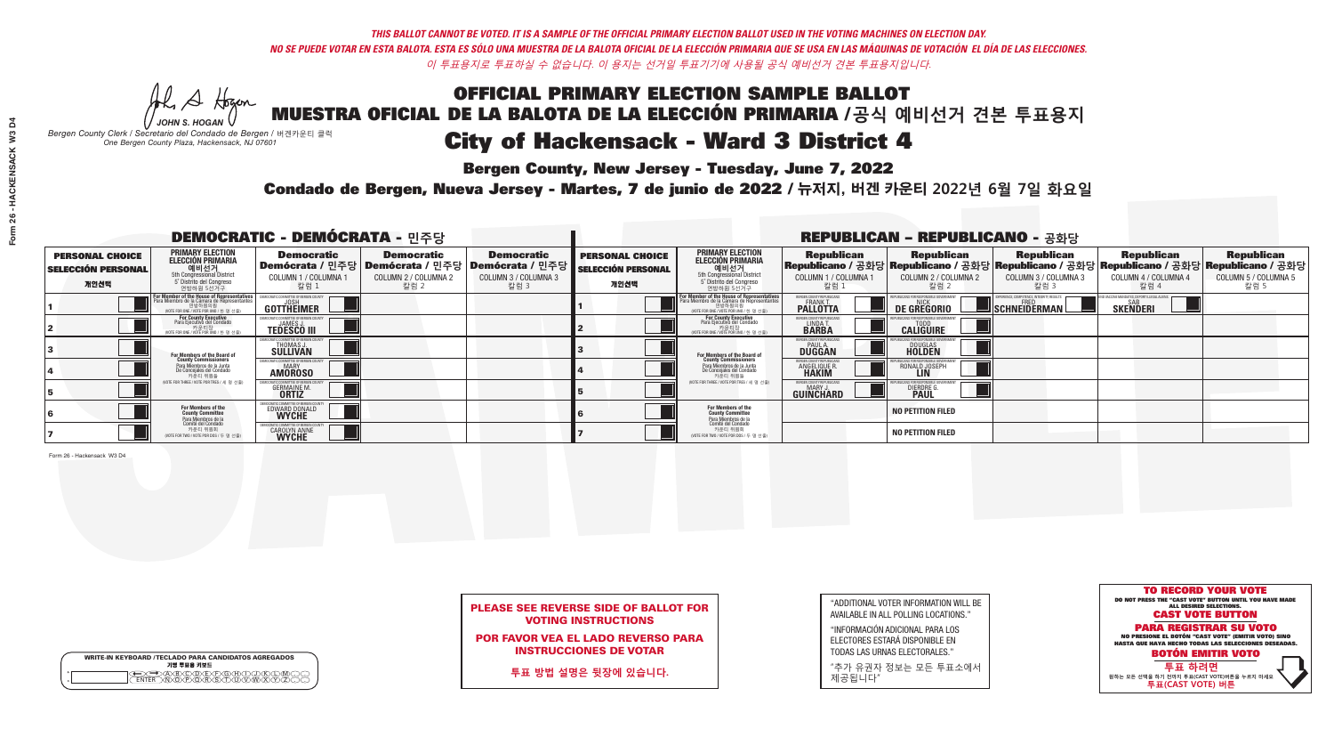## OFFICIAL PRIMARY ELECTION SAMPLE BALLOT MUESTRA OFICIAL DE LA BALOTA DE LA ELECCIÓN PRIMARIA /**공식 예비선거 견본 투표용지** *-*<br>Bergen County, New Jersey - Tuesday, June 7, 2022 City of Hackensack - Ward 3 District 4

Al Stogan *JOHN S. HOGAN*

|                    | <b>WRITE-IN KEYBOARD /TECLADO PARA CANDIDATOS AGREGADOS</b><br>기명 투표용 키보드 |  |
|--------------------|---------------------------------------------------------------------------|--|
| $\circ$<br>$\circ$ | YEYEYAYAY<br>$\delta \infty$                                              |  |

*Bergen County Clerk / Secretario del Condado de Bergen /* 버겐카운티 클럭 *One Bergen County Plaza, Hackensack, NJ 07601*



### PLEASE SEE REVERSE SIDE OF BALLOT FOR VOTING INSTRUCTIONS

POR FAVOR VEA EL LADO REVERSO PARA INSTRUCCIONES DE VOTAR

**투표 방법 설명은 뒷장에 있습니다.**

| "ADDITIONAL VOTER INFORMATION WILL BE |
|---------------------------------------|
| AVAILABLE IN ALL POLLING LOCATIONS."  |
|                                       |

"INFORMACIÓN ADICIONAL PARA LOS ELECTORES ESTARÁ DISPONIBLE EN TODAS LAS URNAS ELECTORALES."

"추가 유권자 정보는 모든 투표소에서 제공됩니다"

Condado de Bergen, Nueva Jersey - Martes, 7 de junio de 2022 / 뉴저지, 버겐 카운티 2022년 6월 7일 화요일 *One Bergen County Plaza, Hackensack, NJ 07601*

| <b>DEMOCRATIC - DEMÓCRATA - 민주당</b>                         |                                                                                                                                        |                                                                    |                                                   |                                                                                                              | <b>REPUBLICAN - REPUBLICANO - 공화당</b>                       |                                                                                                                                          |                                                             |                                                    |                                                   |                                                                                                                                                |                                                   |  |
|-------------------------------------------------------------|----------------------------------------------------------------------------------------------------------------------------------------|--------------------------------------------------------------------|---------------------------------------------------|--------------------------------------------------------------------------------------------------------------|-------------------------------------------------------------|------------------------------------------------------------------------------------------------------------------------------------------|-------------------------------------------------------------|----------------------------------------------------|---------------------------------------------------|------------------------------------------------------------------------------------------------------------------------------------------------|---------------------------------------------------|--|
| <b>PERSONAL CHOICE</b><br><b>SELECCIÓN PERSONAL</b><br>개인선택 | <b>PRIMARY ELECTION</b><br><b>ELECCIÓN PRIMARIA</b><br>5th Congressional District<br>5 <sup>o</sup> Distrito del Congreso<br>연방하원 5선거구 | <b>Democratic</b><br>COLUMN 1 / COLUMNA 1<br>칼럼 1                  | <b>Democratic</b><br>COLUMN 2 / COLUMNA 2<br>칼럼 2 | <b>Democratic</b><br>  Demócrata / 민주당   Demócrata / 민주당   Demócrata / 민주당  <br>COLUMN 3 / COLUMNA 3<br>칼럼 3 | <b>PERSONAL CHOICE</b><br><b>SELECCIÓN PERSONAL</b><br>개인선택 | <b>PRIMARY ELECTION</b><br>ELECCIÓN PRIMARIA<br>예비선거<br>5th Congressional District<br>5 Distrito del Congreso<br>연방하원 5선거구               | <b>Republican</b><br>COLUMN 1 / COLUMNA 1<br>칼럼 :           | <b>Republican</b><br>COLUMN 2 / COLUMNA 2<br>,칼럼 2 | <b>Republican</b><br>COLUMN 3 / COLUMNA 3<br>칼럼 3 | <b>Republican</b><br>Republicano / 공화당 Republicano / 공화당 Republicano / 공화당 Republicano / 공화당 Republicano / 공화당<br>COLUMN 4 / COLUMNA 4<br>칼럼 4 | <b>Republican</b><br>COLUMN 5 / COLUMNA 5<br>칼럼 5 |  |
|                                                             | or Member of the House of Representatives<br>Para Miembro de la Cámara de Representantes<br>WOTE FOR ONE / VOTE POR UNO / 한 명 선출)      | <b>GOTTHEIMER</b>                                                  |                                                   |                                                                                                              |                                                             | <b>For Member of the House of Representatives</b><br>Para Miembro de la Cámara de Representantes<br>NOTE FOR ONE / VOTE POR UNO / 한 명 선출 | ERGEN COUNTY REPUBLICAN<br><b>PALLOTTA</b>                  | DE GREGORIO                                        | SCHNEIDERMAN                                      | <b>SKENDERI</b>                                                                                                                                |                                                   |  |
|                                                             | For County Executive<br>Para Ejecutivo del Condado<br>가운티장<br>(VOTE FOR ONE / VOTE POR UNO / 한 명 선출)                                   | <b>TEDESCO III</b>                                                 |                                                   |                                                                                                              |                                                             | <b>For County Executive</b><br>Para Ejecutivo del Condado<br>가운티장<br>(VOTE FOR ONE / VOTE POR UNO / 한 명 선출                               | BERGEN COUNTY REPUBLICAL<br>LINDA T.                        | <b>CALIGUIRE</b>                                   |                                                   |                                                                                                                                                |                                                   |  |
|                                                             | For Members of the Board of<br>County Commissioners                                                                                    | EMOCRATIC COMMITTEE OF BERGEN C<br>THOMAS J.<br>SULLIVAN           |                                                   |                                                                                                              |                                                             | <b>For Members of the Board of<br/>County Commissioners</b>                                                                              | BERGEN COUNTY REPUBLICAN<br><b>PAUL A.</b><br><b>DUGGAN</b> | <b>DOUGLAS</b>                                     |                                                   |                                                                                                                                                |                                                   |  |
|                                                             | Para Miembros de la Junta<br>De Concejales del Condado<br>카우티 위원들                                                                      | OCRATIC COMMITTEE OF BEBGEN COUNT<br><b>MARY</b><br><b>AMOROSO</b> |                                                   |                                                                                                              |                                                             | Para Miembros de la Junta<br>De Concejales del Condado<br>카운티 위원들                                                                        | BERGEN COUNTY REPUBLICAN<br>ANGELIQUE R                     | RONALD JOSEPH<br><b>LIN</b>                        |                                                   |                                                                                                                                                |                                                   |  |
|                                                             | NOTE FOR THREE / VOTE POR TRES / 세 명 선출)                                                                                               | <b>GERMAINE M.</b><br><b>ORTIZ</b>                                 |                                                   |                                                                                                              |                                                             | NOTE FOR THREE / VOTE POR TRES / 세 명 선출)                                                                                                 | BERGEN COUNTY REPUBLICAN<br>MARY J.<br>GUINCHARD            | <b>DIERDRE</b>                                     |                                                   |                                                                                                                                                |                                                   |  |
|                                                             | For Members of the<br>County Committee<br>Para Miembros de la<br>Comité del Condado                                                    | EMOCRATIC COMMITTEE OF BERGEN<br><b>EDWARD DONALD</b>              |                                                   |                                                                                                              |                                                             | For Members of the<br>County Committee<br>Para Miembros de la<br>Comité del Condado                                                      |                                                             | <b>NO PETITION FILED</b>                           |                                                   |                                                                                                                                                |                                                   |  |
|                                                             | 카운티 위원회<br>(VOTE FOR TWO / VOTE POR DOS / 두 명 선출)                                                                                      | OCRATIC COMMITTEE OF BERG<br><b>CAROLYN ANNE</b>                   |                                                   |                                                                                                              |                                                             | 카운티 위원회<br>NOTE FOR TWO / VOTE POR DOS / 두 명 선출)                                                                                         |                                                             | <b>NO PETITION FILED</b>                           |                                                   |                                                                                                                                                |                                                   |  |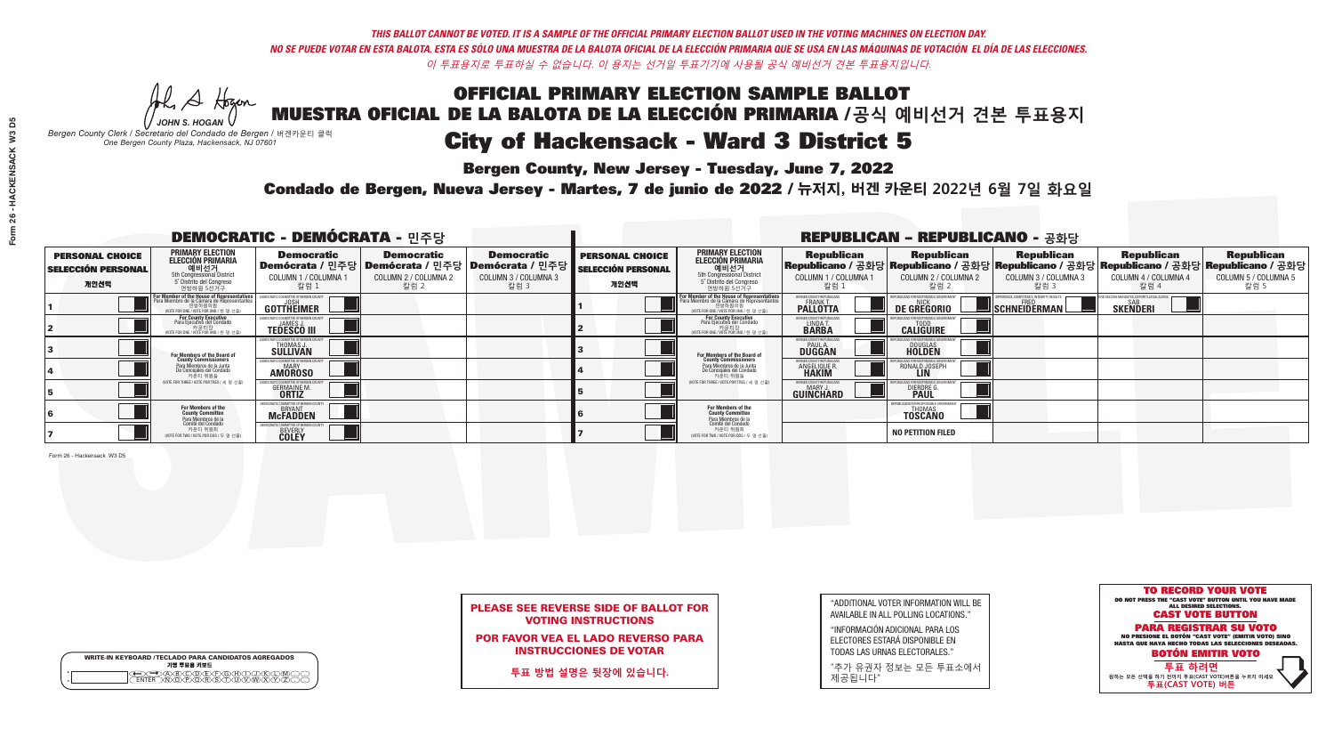*-*<br>Bergen County, New Jersey - Tuesday, June 7, 2022

Al Stogan *JOHN S. HOGAN*

|                    | <b>WRITE-IN KEYBOARD /TECLADO PARA CANDIDATOS AGREGADOS</b><br>기명 투표용 키보드 |
|--------------------|---------------------------------------------------------------------------|
| $\circ$<br>$\circ$ | )(B)(C)(D)(E)(F)(G)(H)(T)                                                 |

*Bergen County Clerk / Secretario del Condado de Bergen /* 버겐카운티 클럭 *One Bergen County Plaza, Hackensack, NJ 07601*



### PLEASE SEE REVERSE SIDE OF BALLOT FOR VOTING INSTRUCTIONS

POR FAVOR VEA EL LADO REVERSO PARA INSTRUCCIONES DE VOTAR

**투표 방법 설명은 뒷장에 있습니다.**

| "ADDITIONAL VOTER INFORMATION WILL BE |
|---------------------------------------|
| AVAILABLE IN ALL POLLING LOCATIONS."  |
|                                       |

"INFORMACIÓN ADICIONAL PARA LOS ELECTORES ESTARÁ DISPONIBLE EN TODAS LAS URNAS ELECTORALES."

"추가 유권자 정보는 모든 투표소에서 제공됩니다"

Condado de Bergen, Nueva Jersey - Martes, 7 de junio de 2022 / 뉴저지, 버겐 카운티 2022년 6월 7일 화요일 *One Bergen County Plaza, Hackensack, NJ 07601*

| <b>DEMOCRATIC - DEMÓCRATA - 민주당</b>                         |                                                                                                                                                           |                                                      |                                                   |                                                                                                          | <b>REPUBLICAN - REPUBLICANO - 공화당</b>                       |                                                                                                                                                             |                                                             |                                                                                                                                                |                                                   |                                                   |                                                   |  |
|-------------------------------------------------------------|-----------------------------------------------------------------------------------------------------------------------------------------------------------|------------------------------------------------------|---------------------------------------------------|----------------------------------------------------------------------------------------------------------|-------------------------------------------------------------|-------------------------------------------------------------------------------------------------------------------------------------------------------------|-------------------------------------------------------------|------------------------------------------------------------------------------------------------------------------------------------------------|---------------------------------------------------|---------------------------------------------------|---------------------------------------------------|--|
| <b>PERSONAL CHOICE</b><br><b>SELECCIÓN PERSONAL</b><br>개인선택 | <b>PRIMARY ELECTION</b><br><b>ELECCIÓN PRIMARIA</b><br>해비선거<br><sub>5th</sub> Congressional District<br>5 <sup>°</sup> Distrito del Congreso<br>연방하원 5선거구 | <b>Democratic</b><br>COLUMN 1 / COLUMNA<br>칼럼 1      | <b>Democratic</b><br>COLUMN 2 / COLUMNA 2<br>칼럼 2 | <b>Democratic</b><br>Demócrata / 민주당   Demócrata / 민주당   Demócrata / 민주당<br>COLUMN 3 / COLUMNA 3<br>칼럼 3 | <b>PERSONAL CHOICE</b><br><b>SELECCIÓN PERSONAL</b><br>개인선택 | <b>PRIMARY ELECTION</b><br>ELECCIÓN PRIMARIA<br>에비선거<br>5th Congressional District<br>5 Distrito del Congreso<br>연방하원 5선거구                                  | <b>Republican</b><br>COLUMN 1 / COLUMNA 1<br>"칼럼 1          | <b>Republican</b><br>Republicano / 공화당 Republicano / 공화당 Republicano / 공화당 Republicano / 공화당 Republicano / 공화당<br>COLUMN 2 / COLUMNA 2<br>칼럼 2 | <b>Republican</b><br>COLUMN 3 / COLUMNA 3<br>칼럼 3 | <b>Republican</b><br>COLUMN 4 / COLUMNA 4<br>칼럼 4 | <b>Republican</b><br>COLUMN 5 / COLUMNA 5<br>칼럼 5 |  |
|                                                             | <b>For Member of the House of Representatives</b><br>Para Miembro de la Cámara de Representantes<br>연방하원의원<br>(VOTE FOR ONE / VOTE POR UNO / 한 명 선출)      | COMMITTEE OF BERGEN CO<br>GOTTHEIMER                 |                                                   |                                                                                                          |                                                             | F <mark>or Member of the House of Representatives</mark><br>Para Miembro de la Cámara de Representantes<br>연방하원의원<br>(WOTE FOR ONE / VOTE POR UNO / 한 명 선출) | BERGEN COUNTY REPUBLICAN<br><b>PALLOTTA</b>                 | <b>DE GREGORIO</b>                                                                                                                             | SCHNEIDERMAN                                      | <b>SKENDERI</b>                                   |                                                   |  |
|                                                             | For County Executive<br>Para Ejecutivo del Condado<br>WOTE FOR ONE / VOTE POR UNO / 한 명 선출)                                                               | <b>TEDESCO III</b>                                   |                                                   |                                                                                                          |                                                             | For County Executive<br>Para Ejecutivo del Condado<br>. 카운티장<br>(VOTE FOR ONE / VOTE POR UNO / 한 명 선출)                                                      | BERGEN COUNTY REPUBLICAN<br>LINDA T.                        | <b>CALIGUIRE</b>                                                                                                                               |                                                   |                                                   |                                                   |  |
|                                                             | For Members of the Board of<br>County Commissioners                                                                                                       | IOCRATIC COMMITTEE OF BERGEN C<br>THOMAS J.          |                                                   |                                                                                                          |                                                             | <b>For Members of the Board of County Commissioners</b>                                                                                                     | BERGEN COUNTY REPUBLICAN<br><b>PAUL A.</b><br><b>DUGGAN</b> | <b>DOUGLAS</b><br><b>HOLDEN</b>                                                                                                                |                                                   |                                                   |                                                   |  |
|                                                             | Para Miembros de la Junta<br>De Concejales del Condado<br>카운티 위원들                                                                                         | MOCRATIC COMMITTEE OF BERGEN COUNT<br><b>AMOROSO</b> |                                                   |                                                                                                          |                                                             | Para Miembros de la Junta<br>De Concejales del Condado<br>카운티 위원들                                                                                           | ERGEN COUNTY REPUBLICAN<br><b>ANGELIQUE R</b>               | RONALD JOSEPH                                                                                                                                  |                                                   |                                                   |                                                   |  |
|                                                             | (VOTE FOR THREE / VOTE POR TRES / 세 명 선출)                                                                                                                 | <b>GERMAINE M.</b>                                   |                                                   |                                                                                                          |                                                             | (VOTE FOR THREE / VOTE POR TRES / 세 명 선출)                                                                                                                   | BERGEN COUNTY REPUBLICAN<br>MARY.<br>GUINCHARD              | <b>DIERDRE</b>                                                                                                                                 |                                                   |                                                   |                                                   |  |
|                                                             | For Members of the<br>County Committee<br>Para Miembros de la                                                                                             | MOCRATIC COMMITTEE OF BERGE<br><b>BRYANT</b>         |                                                   |                                                                                                          |                                                             | For Members of the<br>County Committee                                                                                                                      |                                                             | PUBLICANS FOR RESPONSIBLE<br><b>THOMAS</b><br><b>TOSCANO</b>                                                                                   |                                                   |                                                   |                                                   |  |
|                                                             | comité del Condado<br>카운티 위원회<br>NOTE FOR TWO / VOTE POR DOS / 두 명 선출)                                                                                    | <b>BEVERLY</b>                                       |                                                   |                                                                                                          |                                                             | Para Miembros de la<br>Comité del Condado<br>카운티 위원회<br>NOTE FOR TWO / VOTE POR DOS / 두 명 선출)                                                               |                                                             | <b>NO PETITION FILED</b>                                                                                                                       |                                                   |                                                   |                                                   |  |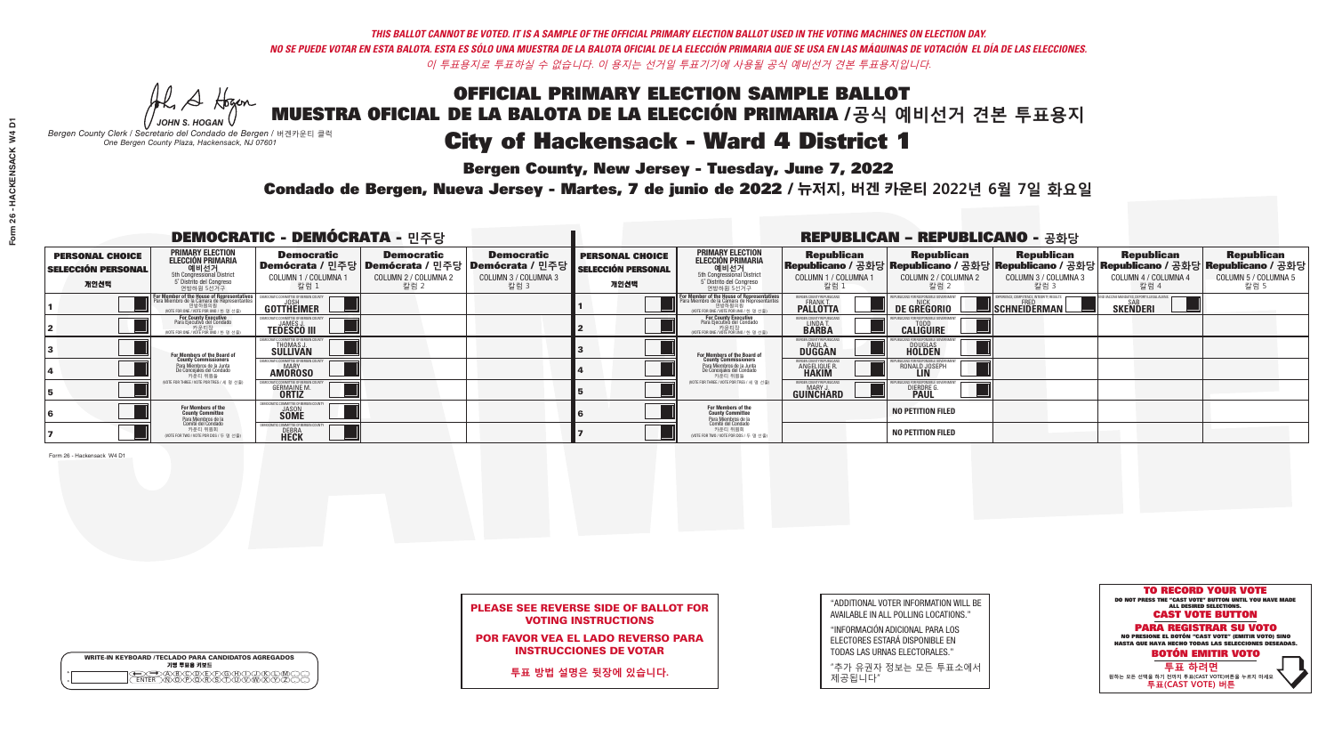*-*<br>Bergen County, New Jersey - Tuesday, June 7, 2022

He A Hogan *JOHN S. HOGAN*

*Bergen County Clerk / Secretario del Condado de Bergen /* 버겐카운티 클럭 *One Bergen County Plaza, Hackensack, NJ 07601*



### PLEASE SEE REVERSE SIDE OF BALLOT FOR VOTING INSTRUCTIONS

POR FAVOR VEA EL LADO REVERSO PARA INSTRUCCIONES DE VOTAR

**투표 방법 설명은 뒷장에 있습니다.**

| <b>WRITE-IN KEYBOARD /TECLADO PARA CANDIDATOS AGREGADOS</b><br>기명 투표용 키보드 |
|---------------------------------------------------------------------------|
| e<br>$\circ$                                                              |

| "ADDITIONAL VOTER INFORMATION WILL BE |
|---------------------------------------|
| AVAILABLE IN ALL POLLING LOCATIONS."  |
|                                       |

"INFORMACIÓN ADICIONAL PARA LOS ELECTORES ESTARÁ DISPONIBLE EN TODAS LAS URNAS ELECTORALES."

"추가 유권자 정보는 모든 투표소에서 제공됩니다"

Condado de Bergen, Nueva Jersey - Martes, 7 de junio de 2022 / 뉴저지, 버겐 카운티 2022년 6월 7일 화요일 *One Bergen County Plaza, Hackensack, NJ 07601*

| <b>DEMOCRATIC - DEMÓCRATA - 민주당</b>                         |                                                                                                                                               |                                                                     |                                                                                                              |                                                   | <b>REPUBLICAN - REPUBLICANO - 공화당</b>                       |                                                                                                                                   |                                                                      |                                                    |                                                                                                                                                 |                                                   |                                                   |  |
|-------------------------------------------------------------|-----------------------------------------------------------------------------------------------------------------------------------------------|---------------------------------------------------------------------|--------------------------------------------------------------------------------------------------------------|---------------------------------------------------|-------------------------------------------------------------|-----------------------------------------------------------------------------------------------------------------------------------|----------------------------------------------------------------------|----------------------------------------------------|-------------------------------------------------------------------------------------------------------------------------------------------------|---------------------------------------------------|---------------------------------------------------|--|
| <b>PERSONAL CHOICE</b><br><b>SELECCIÓN PERSONAL</b><br>개인선택 | <b>PRIMARY ELECTION</b><br><b>ELECCIÓN PRIMARIA</b><br>예비선거<br><sup>5th</sup> Congressional District<br>5° Distrito del Congreso<br>연방하원 5선거구 | <b>Democratic</b><br>COLUMN 1 / COLUMNA<br>칼럼 1                     | <b>Democratic</b><br>  Demócrata / 민주당   Demócrata / 민주당   Demócrata / 민주당  <br>COLUMN 2 / COLUMNA 2<br>칼럼 2 | <b>Democratic</b><br>COLUMN 3 / COLUMNA 3<br>칼럼 3 | <b>PERSONAL CHOICE</b><br><b>SELECCIÓN PERSONAL</b><br>개인선택 | <b>PRIMARY ELECTION</b><br>ELECCIÓN PRIMARIA<br>예비선거<br>5th Congressional District<br>5 Distrito del Congreso<br>연방하원 5선거구        | <b>Republican</b><br>COLUMN 1 / COLUMNA 1<br><u>칼럼 1</u>             | <b>Republican</b><br>COLUMN 2 / COLUMNA 2<br>·칼럼 2 | <b>Republican</b><br> Republicano / 공화당 Republicano / 공화당 Republicano / 공화당 Republicano / 공화당 Republicano / 공화당<br>COLUMN 3 / COLUMNA 3<br>칼럼 3 | <b>Republican</b><br>COLUMN 4 / COLUMNA 4<br>칼럼 4 | <b>Republican</b><br>COLUMN 5 / COLUMNA 5<br>칼럼 5 |  |
|                                                             | F <b>or Member of the House of Representatives</b><br>Para Miembro de la Cámara de Representantes                                             | COMMITTEE OF BERGEN COUNT<br><b>GOTTHEIMER</b>                      |                                                                                                              |                                                   |                                                             | For Member of the House of Representatives<br>Para Miembro de la Cámara de Representantes<br>WOTE FOR ONE / VOTE POR UNO / 한 명 선출 | BERGEN COUNTY REPUBLICANS<br><b>PALLOTTA</b>                         | <b>DE GREGORIO</b>                                 | PERIENCE, COMPETENCE, INTEGRITY, RESULTS<br>SCHNEIDERMAN                                                                                        | <b>SKENDERI</b>                                   |                                                   |  |
|                                                             | For County Executive<br>Para Ejecutivo del Condado<br>/OTE FOR ONE / VOTE POR UNO / 한 명 선출)                                                   | <b>TEDESCO III</b>                                                  |                                                                                                              |                                                   |                                                             | For County Executive<br>Para Ejecutivo del Condado<br>가운티장<br>(VOTE FOR ONE / VOTE POR UNO / 한 명 선출                               | BERGEN COUNTY REPUBLICAN<br>LINDA T.                                 | <b>CALIGUIRE</b>                                   |                                                                                                                                                 |                                                   |                                                   |  |
|                                                             | <b>For Members of the Board of<br/>County Commissioners</b>                                                                                   | THOMAS J.                                                           |                                                                                                              |                                                   |                                                             | For Members of the Board of<br>County Commissioners                                                                               | BERGEN COUNTY REPUBLICAN<br><b>DUGGAN</b>                            | <b>DOUGLAS</b><br><b>HOLDEN</b>                    |                                                                                                                                                 |                                                   |                                                   |  |
|                                                             | Para Miembros de la Junta<br>De Concejales del Condado<br>카운티 위원들                                                                             | OCRATIC COMMITTEE OF BERGEN COUNT<br><b>AMOROSO</b>                 |                                                                                                              |                                                   |                                                             | Para Miembros de la Junta<br>De Concejales del Condado<br>카운티 위원들                                                                 | <b>FRGEN COUNTY REPUBLICAN</b><br><b>ANGELIQUE R</b><br><b>HAKIM</b> | RONALD JOSEPH                                      |                                                                                                                                                 |                                                   |                                                   |  |
|                                                             | NOTE FOR THREE / VOTE POR TRES / 세 명 선출)                                                                                                      | <b>GERMAINE M.</b>                                                  |                                                                                                              |                                                   |                                                             | (VOTE FOR THREE / VOTE POR TRES / 세 명 선출)                                                                                         | BERGEN COUNTY REPUBLICAN<br>MARY J<br>GUINCHARD                      | <b>DIERDRE</b>                                     |                                                                                                                                                 |                                                   |                                                   |  |
|                                                             | For Members of the<br>County Committee<br>Para Miembros de la<br>Comité del Condado                                                           | MOCRATIC COMMITTEE OF BERGEI<br><b>SOME</b>                         |                                                                                                              |                                                   |                                                             | For Members of the<br>County Committee                                                                                            |                                                                      | <b>NO PETITION FILED</b>                           |                                                                                                                                                 |                                                   |                                                   |  |
|                                                             | 카운티 위원회<br>(VOTE FOR TWO / VOTE POR DOS / 두 명 선출)                                                                                             | <b>EMOCRATIC COMMITTEE OF BERGEN</b><br><b>DEBRA</b><br><b>HECK</b> |                                                                                                              |                                                   |                                                             | Para Miembros de la<br>Comité del Condado<br>카운티 위원회<br>NOTE FOR TWO / VOTE POR DOS / 두 명 선출)                                     |                                                                      | <b>NO PETITION FILED</b>                           |                                                                                                                                                 |                                                   |                                                   |  |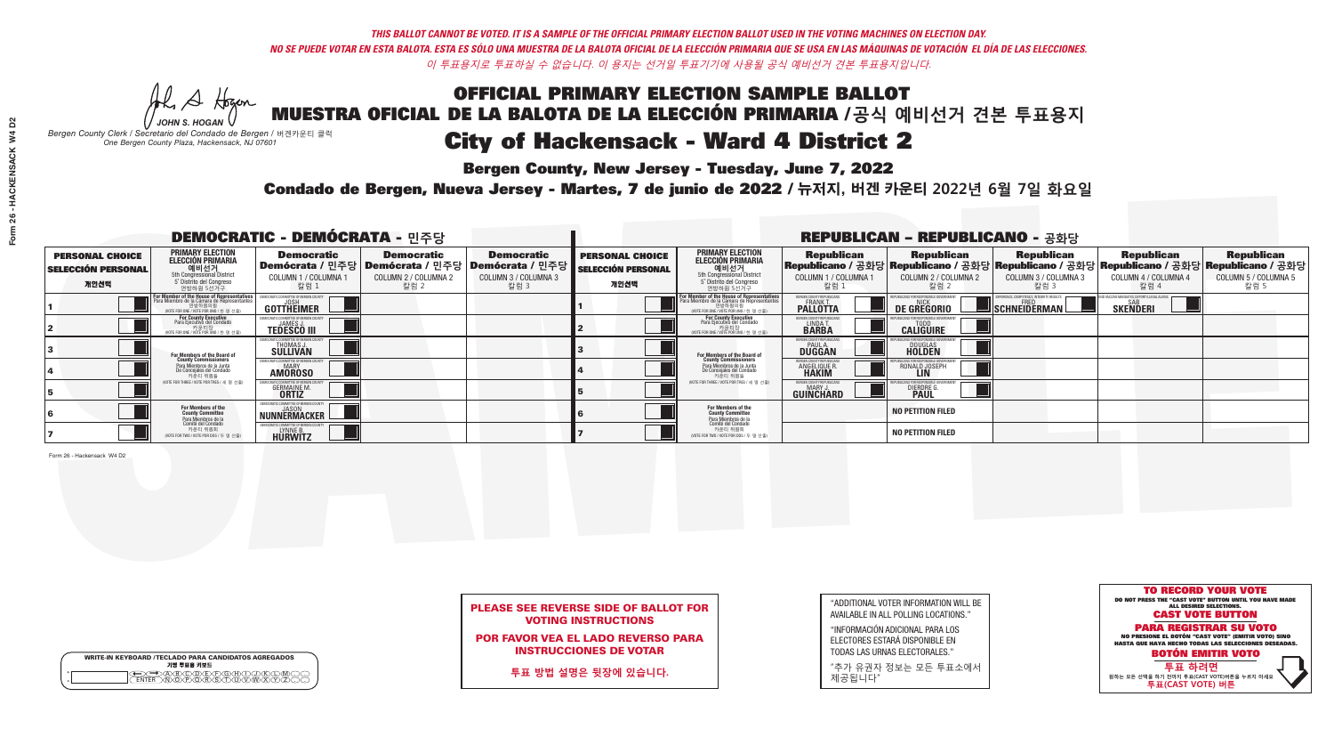*-*<br>Bergen County, New Jersey - Tuesday, June 7, 2022

Al Stogan *JOHN S. HOGAN*

*Bergen County Clerk / Secretario del Condado de Bergen /* 버겐카운티 클럭 *One Bergen County Plaza, Hackensack, NJ 07601*

WRITE-IN KEYBOARD /TECLADO PARA CANDIDATOS AGREGADOS<br>기명 투표용 키보드

 $\bigoplus \bigoplus \mathbb{A} \oplus \mathbb{C} \oplus \mathbb{C} \oplus \mathbb{C} \oplus \mathbb{C} \oplus \mathbb{C} \cup \mathbb{W} \oplus \mathbb{Z} \oplus \mathbb{Z} \oplus \mathbb{C}$ 



### PLEASE SEE REVERSE SIDE OF BALLOT FOR VOTING INSTRUCTIONS

POR FAVOR VEA EL LADO REVERSO PARA INSTRUCCIONES DE VOTAR

**투표 방법 설명은 뒷장에 있습니다.**

| "ADDITIONAL VOTER INFORMATION WILL BE |
|---------------------------------------|
| AVAILABLE IN ALL POLLING LOCATIONS."  |
| <b>GIULODIAOÓN ADIOIONAL DADA LOO</b> |

"INFORMACIÓN ADICIONAL PARA LOS ELECTORES ESTARÁ DISPONIBLE EN TODAS LAS URNAS ELECTORALES."

"추가 유권자 정보는 모든 투표소에서 제공됩니다"

Condado de Bergen, Nueva Jersey - Martes, 7 de junio de 2022 / 뉴저지, 버겐 카운티 2022년 6월 7일 화요일 *One Bergen County Plaza, Hackensack, NJ 07601*

| <b>DEMOCRATIC - DEMÓCRATA - 민주당</b>                         |                                                                                                                                             |                                                                       |                                                   |                                                                                                             | <b>REPUBLICAN - REPUBLICANO - 공화당</b>                       |                                                                                                                                                |                                                             |                                                   |                                                   |                                                   |                                                                                                                                                  |  |
|-------------------------------------------------------------|---------------------------------------------------------------------------------------------------------------------------------------------|-----------------------------------------------------------------------|---------------------------------------------------|-------------------------------------------------------------------------------------------------------------|-------------------------------------------------------------|------------------------------------------------------------------------------------------------------------------------------------------------|-------------------------------------------------------------|---------------------------------------------------|---------------------------------------------------|---------------------------------------------------|--------------------------------------------------------------------------------------------------------------------------------------------------|--|
| <b>PERSONAL CHOICE</b><br><b>SELECCIÓN PERSONAL</b><br>개인선택 | <b>PRIMARY ELECTION</b><br><b>ELECCIÓN PRIMARIA</b><br>해비선거<br>Sth Congressional District<br>5° Distrito del Congreso<br>연방하원 5선거구          | <b>Democratic</b><br>COLUMN 1 / COLUMNA 1<br>칼럼 1                     | <b>Democratic</b><br>COLUMN 2 / COLUMNA 2<br>칼럼 2 | <b>Democratic</b><br>  Demócrata / 민주당   Demócrata / 민주당   Demócrata / 민주당 <br>COLUMN 3 / COLUMNA 3<br>칼럼 3 | <b>PERSONAL CHOICE</b><br><b>SELECCIÓN PERSONAL</b><br>개인선택 | <b>PRIMARY ELECTION</b><br>ELECCIÓN PRIMARIA<br>에비선거<br>5th Congressional District<br>5 Distrito del Congreso<br>연방하원 5선거구                     | <b>Republican</b><br>COLUMN 1 / COLUMNA 1<br>, 칼럼 :         | <b>Republican</b><br>COLUMN 2 / COLUMNA 2<br>칼럼 2 | <b>Republican</b><br>COLUMN 3 / COLUMNA 3<br>칼럼 3 | <b>Republican</b><br>COLUMN 4 / COLUMNA 4<br>칼럼 4 | <b>Republican</b><br> Republicano / 공화당 Republicano / 공화당 Republicano / 공화당 Republicano / 공화당 Republicano / 공화당 <br>COLUMN 5 / COLUMNA 5<br>칼럼 5 |  |
|                                                             | or Member of the House of Representatives<br>ara Miembro de la Cámara de Representantes<br>연방하원의원<br>(VOTE FOR ONE / VOTE POR UNO / 한 명 선출) | <b>GOTTHEIMER</b>                                                     |                                                   |                                                                                                             |                                                             | F <mark>or Member of the House of Representative</mark><br>Para Miembro de la Cámara de Representante:<br>NOTE FOR ONE / VOTE POR UNO / 한 명 선출 | BERGEN COUNTY REPUBLICANS<br>FRANK T.<br><b>PALLOTTA</b>    | DE GREGORIO                                       | SCHNEIDERMAN                                      | <b>SKENDERI</b>                                   |                                                                                                                                                  |  |
|                                                             | For County Executive<br>Para Ejecutivo del Condado<br>가운티장<br>(VOTE FOR ONE / VOTE POR UNO / 한 명 선출)                                        | <b>TEDESCO III</b>                                                    |                                                   |                                                                                                             |                                                             | For County Executive<br>Para Ejecutivo del Condado<br>7) 카운티장<br>(VOTE FOR ONE / VOTE POR UNO / 한 명 선출)                                        | BERGEN COUNTY REPUBLICAN<br>LINDA T.                        | <b>CALIGUIRE</b>                                  |                                                   |                                                   |                                                                                                                                                  |  |
|                                                             | For Members of the Board of<br>County Commissioners                                                                                         | MOCRATIC COMMITTEE OF BERGEN (<br><b>THOMAS J.</b><br><b>SULLIVAN</b> |                                                   |                                                                                                             |                                                             | For Members of the Board of<br>County Commissioners                                                                                            | BERGEN COUNTY REPUBLICAN<br><b>PAUL A.</b><br><b>DUGGAN</b> | <b>DOUGLAS</b>                                    |                                                   |                                                   |                                                                                                                                                  |  |
|                                                             | Para Miembros de la Junta<br>De Concejales del Condado<br>카운티 위원들                                                                           | IOCRATIC COMMITTEE OF BERGEN COUNT<br><b>MARY</b><br><b>AMOROSO</b>   |                                                   |                                                                                                             |                                                             | Para Miembros de la Junta<br>De Concejales del Condado<br>카운티 위원들                                                                              | BERGEN COUNTY REPUBLICAN<br><b>ANGELIQUE R</b>              | RONALD JOSEPH                                     |                                                   |                                                   |                                                                                                                                                  |  |
|                                                             | NOTE FOR THREE / VOTE POR TRES / 세 명 선출)                                                                                                    | <b>GERMAINE M.</b>                                                    |                                                   |                                                                                                             |                                                             | (VOTE FOR THREE / VOTE POR TRES / 세 명 선출)                                                                                                      | BERGEN COUNTY REPUBLICAN<br>MARY J.<br>GUINCHARD            | <b>DIERDRE</b>                                    |                                                   |                                                   |                                                                                                                                                  |  |
|                                                             | For Members of the<br>County Committee<br>Para Miembros de la<br>Comité del Condado                                                         | DEMOCRATIC COMMITTEE OF BERGEN COUNTY                                 |                                                   |                                                                                                             |                                                             | For Members of the<br>County Committee<br>Para Miembros de la<br>Comité del Condado                                                            |                                                             | <b>NO PETITION FILED</b>                          |                                                   |                                                   |                                                                                                                                                  |  |
|                                                             | 카운티 위원회<br>(VOTE FOR TWO / VOTE POR DOS / 두 명 선출)                                                                                           | FMOCRATIC COMMITTEE OF BERGE<br>HURWITZ                               |                                                   |                                                                                                             |                                                             | 카운티 위원회<br>NOTE FOR TWO / VOTE POR DOS / 두 명 선출)                                                                                               |                                                             | <b>NO PETITION FILED</b>                          |                                                   |                                                   |                                                                                                                                                  |  |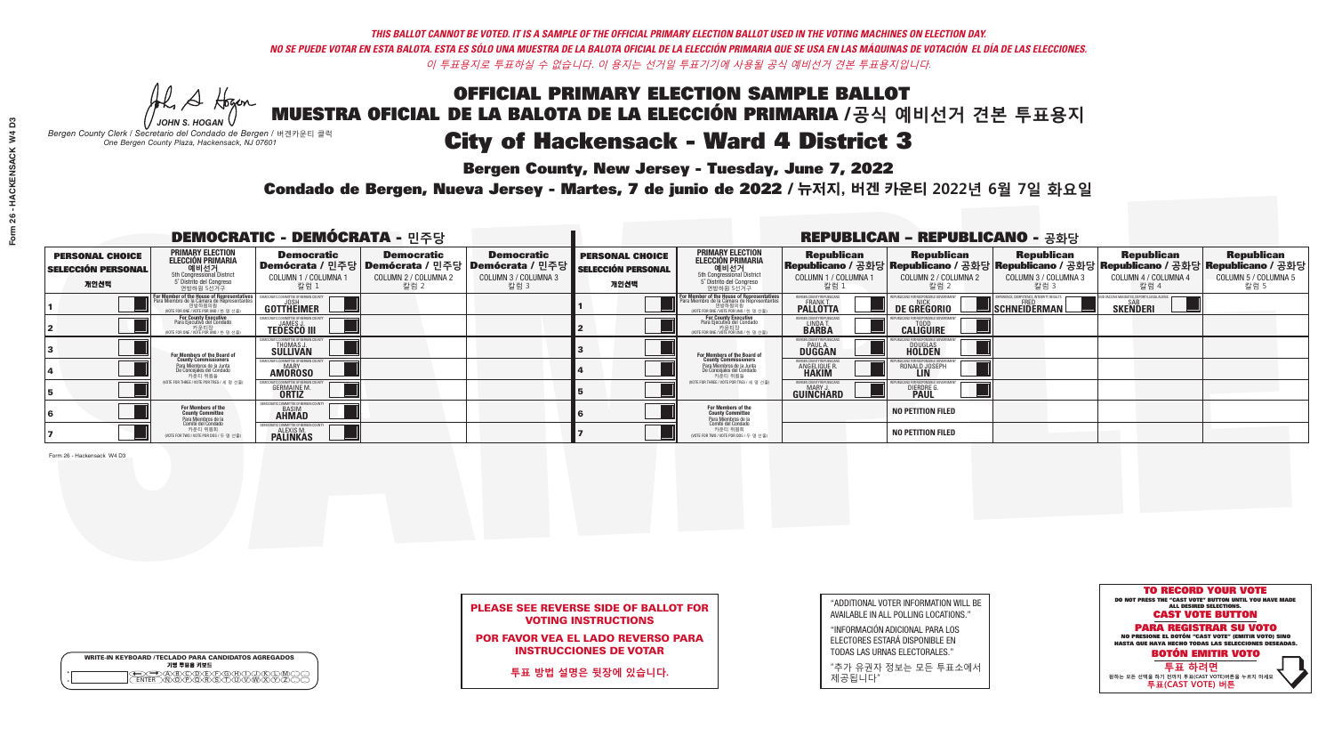*-*<br>Bergen County, New Jersey - Tuesday, June 7, 2022

A Hogan *JOHN S. HOGAN*

|         | <b>WRITE-IN KEYBOARD /TECLADO PARA CANDIDATOS AGREGADOS</b><br>기명 투표용 키보드 |
|---------|---------------------------------------------------------------------------|
| $\circ$ | )(B)C)(D)(E)(F)(G)(H)(                                                    |

*Bergen County Clerk / Secretario del Condado de Bergen /* 버겐카운티 클럭 *One Bergen County Plaza, Hackensack, NJ 07601*



### PLEASE SEE REVERSE SIDE OF BALLOT FOR VOTING INSTRUCTIONS

POR FAVOR VEA EL LADO REVERSO PARA INSTRUCCIONES DE VOTAR

**투표 방법 설명은 뒷장에 있습니다.**

| "ADDITIONAL VOTER INFORMATION WILL BE |
|---------------------------------------|
| AVAILABLE IN ALL POLLING LOCATIONS."  |
| $U = 0.011401$                        |

"INFORMACIÓN ADICIONAL PARA LOS ELECTORES ESTARÁ DISPONIBLE EN TODAS LAS URNAS ELECTORALES."

"추가 유권자 정보는 모든 투표소에서 제공됩니다"

Condado de Bergen, Nueva Jersey - Martes, 7 de junio de 2022 / 뉴저지, 버겐 카운티 2022년 6월 7일 화요일 *One Bergen County Plaza, Hackensack, NJ 07601*

| <b>DEMOCRATIC - DEMÓCRATA - 민주당</b>                         |                                                                                                                                    |                                                               |                                                   |                                                                                                              | <b>REPUBLICAN - REPUBLICANO - 공화당</b>                       |                                                                                                                                                  |                                                                 |                                                                                                                                                  |                                                          |                                                               |                                                   |  |
|-------------------------------------------------------------|------------------------------------------------------------------------------------------------------------------------------------|---------------------------------------------------------------|---------------------------------------------------|--------------------------------------------------------------------------------------------------------------|-------------------------------------------------------------|--------------------------------------------------------------------------------------------------------------------------------------------------|-----------------------------------------------------------------|--------------------------------------------------------------------------------------------------------------------------------------------------|----------------------------------------------------------|---------------------------------------------------------------|---------------------------------------------------|--|
| <b>PERSONAL CHOICE</b><br><b>SELECCIÓN PERSONAL</b><br>개인선택 | <b>PRIMARY ELECTION</b><br><b>ELECCIÓN PRIMARIA</b><br>예비선거<br>5th Congressional District<br>5° Distrito del Congreso<br>연방하원 5선거구 | <b>Democratic</b><br>COLUMN 1 / COLUMNA<br>칼럼 1               | <b>Democratic</b><br>COLUMN 2 / COLUMNA 2<br>칼럼 2 | <b>Democratic</b><br>  Demócrata / 민주당   Demócrata / 민주당   Demócrata / 민주당  <br>COLUMN 3 / COLUMNA 3<br>칼럼 3 | <b>PERSONAL CHOICE</b><br><b>SELECCIÓN PERSONAL</b><br>개인선택 | <b>PRIMARY ELECTION</b><br><b>ELECCIÓN PRIMARIA</b><br>예비선거<br>5th Congressional District<br>5 Distrito del Congreso<br>연방하원 5선거구                | <b>Republican</b><br>COLUMN 1 / COLUMNA 1<br>"칼럼 1              | <b>Republican</b><br> Republicano / 공화당 Republicano / 공화당 Republicano / 공화당 Republicano / 공화당 Republicano / 공화당<br>COLUMN 2 / COLUMNA 2<br>·칼럼 2 | <b>Republican</b><br>COLUMN 3 / COLUMNA 3<br>칼럼 3        | <b>Republican</b><br>COLUMN 4 / COLUMNA 4<br>칼럼 4             | <b>Republican</b><br>COLUMN 5 / COLUMNA 5<br>칼럼 5 |  |
|                                                             | For Member of the House of Representatives<br>Para Miembro de la Cámara de Representantes<br>NOTE FOR ONE 7 VOTE POR UNO / 한 명 선출) | DEMOCRATIC COMMITTEE OF BERGEN COUN'<br>GOTTHËIMER            |                                                   |                                                                                                              |                                                             | F <mark>or Member of the House of Representatives</mark><br>Para Miembro de la Cámara de Representantes<br>NOTE FOR ONE / VOTE POR UNO / 한 명 선출) | BERGEN COUNTY REPUBLICANS<br><b>FRANK T.</b><br><b>PALLOTTA</b> | <b>DE GREGORIO</b>                                                                                                                               | PERIENCE, COMPETENCE, INTEGRITY, RESULTS<br>SCHNEIDERMAN | VD VACCINE MANDATES, DEPORT ILLEGAL ALIENS<br><b>SKENDERI</b> |                                                   |  |
|                                                             | For County Executive<br>Para Ejecutivo del Condado<br>가운티장<br>VOTE FOR ONE / VOTE POR UNO / 한 명 선출)                                | <b>JAMES J</b><br><b>TEDESCO III</b>                          |                                                   |                                                                                                              |                                                             | For County Executive<br>Para Ejecutivo del Condado<br>7 카운티장<br>(VOTE FOR ONE / VOTE POR UNO / 한 명 선출)                                           | BERGEN COUNTY REPUBLICAN<br>LINDA T.                            | <b>CALIGUIRE</b>                                                                                                                                 |                                                          |                                                               |                                                   |  |
|                                                             | <b>For Members of the Board of<br/>County Commissioners</b>                                                                        | <b>THOMAS J.</b><br><b>SULLIVAN</b>                           |                                                   |                                                                                                              |                                                             | <b>For Members of the Board of County Commissioners</b>                                                                                          | ERGEN COUNTY REPUBLICAN<br><b>PAUL A.</b><br><b>DUGGAN</b>      | <b>DOUGLAS</b>                                                                                                                                   |                                                          |                                                               |                                                   |  |
|                                                             | Para Miembros de la Junta<br>De Concejales del Condado<br>카운티 위원들                                                                  | TIC COMMITTEE OF RERGEN COUN<br><b>MARY</b><br><b>AMOROSO</b> |                                                   |                                                                                                              |                                                             | Para Miembros de la Junta<br>De Concejales del Condado<br>카운티 위원들                                                                                | <b>FRGEN COUNTY REPUBLICAN</b><br>ANGELIQUE R                   | RONALD JOSEPH                                                                                                                                    |                                                          |                                                               |                                                   |  |
|                                                             | NOTE FOR THREE / VOTE POR TRES / 세 명 선출)                                                                                           | <b>GERMAINE M</b><br><b>ORTIZ</b>                             |                                                   |                                                                                                              |                                                             | (VOTE FOR THREE / VOTE POR TRES / 세 명 선출)                                                                                                        | <b>ERGEN COUNTY REPUBLICANS</b><br>MARY J<br><b>GUINCHARD</b>   | <b>DIERDRE</b>                                                                                                                                   |                                                          |                                                               |                                                   |  |
|                                                             | For Members of the<br>County Committee<br>Para Miembros de la<br>Comité del Condado                                                | MOCRATIC COMMITTEE OF BERGE<br><b>AHMAD</b>                   |                                                   |                                                                                                              |                                                             | For Members of the<br>County Committee<br>Para Miembros de la<br>Comité del Condado                                                              |                                                                 | <b>NO PETITION FILED</b>                                                                                                                         |                                                          |                                                               |                                                   |  |
|                                                             | 카운티 위원회<br>(VOTE FOR TWO / VOTE POR DOS / 두 명 선출)                                                                                  | )CRATIC COMMITTEE OF BERGE<br><b>PALINKAS</b>                 |                                                   |                                                                                                              |                                                             | 카운티 위원회<br>(VOTE FOR TWO / VOTE POR DOS / 두 명 선출)                                                                                                |                                                                 | <b>NO PETITION FILED</b>                                                                                                                         |                                                          |                                                               |                                                   |  |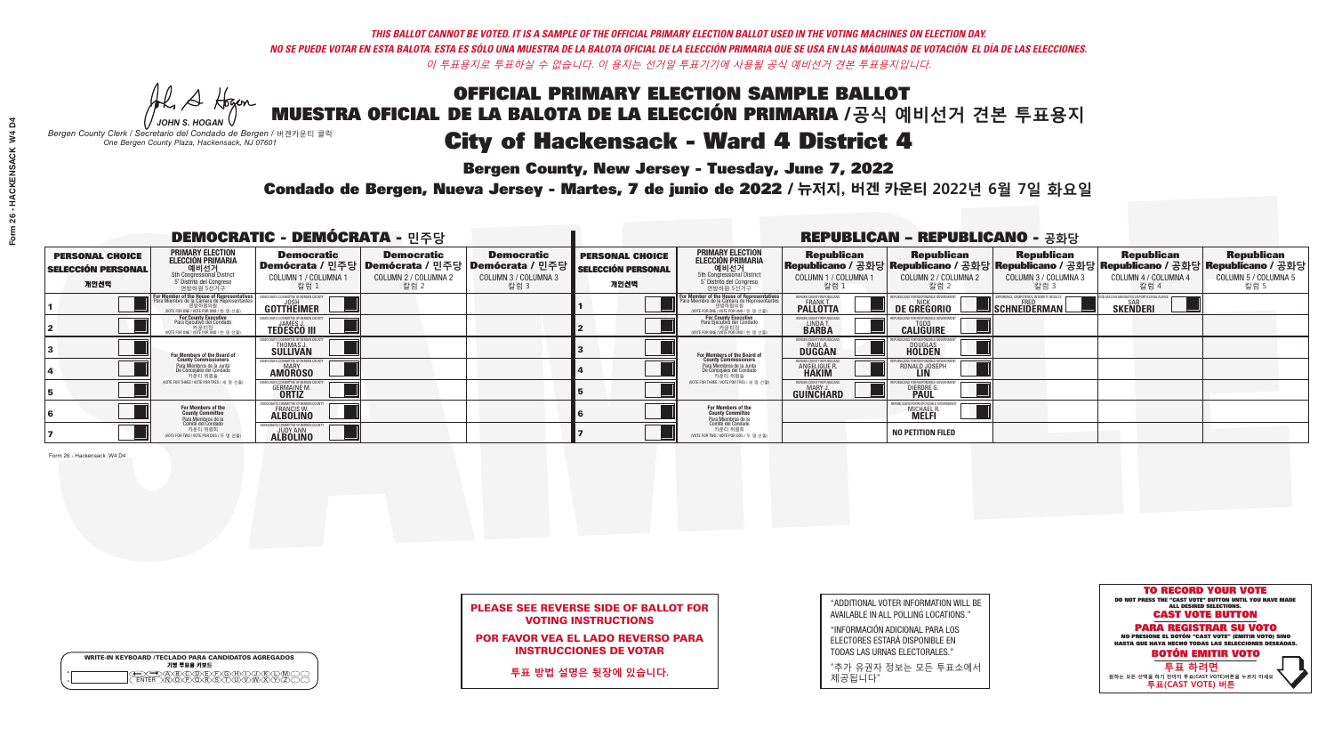*-*<br>Bergen County, New Jersey - Tuesday, June 7, 2022

Al Stogan *JOHN S. HOGAN*

|                    | <b>WRITE-IN KEYBOARD /TECLADO PARA CANDIDATOS AGREGADOS</b><br>기명 투표용 키보드 |
|--------------------|---------------------------------------------------------------------------|
| $\circ$<br>$\circ$ |                                                                           |

*Bergen County Clerk / Secretario del Condado de Bergen /* 버겐카운티 클럭 *One Bergen County Plaza, Hackensack, NJ 07601*



### PLEASE SEE REVERSE SIDE OF BALLOT FOR VOTING INSTRUCTIONS

POR FAVOR VEA EL LADO REVERSO PARA INSTRUCCIONES DE VOTAR

**투표 방법 설명은 뒷장에 있습니다.**

| "ADDITIONAL VOTER INFORMATION WILL BE |
|---------------------------------------|
| AVAILABLE IN ALL POLLING LOCATIONS."  |
|                                       |

"INFORMACIÓN ADICIONAL PARA LOS ELECTORES ESTARÁ DISPONIBLE EN TODAS LAS URNAS ELECTORALES."

"추가 유권자 정보는 모든 투표소에서 제공됩니다"

Condado de Bergen, Nueva Jersey - Martes, 7 de junio de 2022 / 뉴저지, 버겐 카운티 2022년 6월 7일 화요일 *One Bergen County Plaza, Hackensack, NJ 07601*

| <b>DEMOCRATIC - DEMÓCRATA - 민주당</b>                         |                                                                                                                                              |                                                      |                                                   |                                                                                                             | <b>REPUBLICAN - REPUBLICANO - 공화당</b>                       |                                                                                                                                                             |                                                             |                                                                                                                                                 |                                                   |                                                   |                                                   |  |
|-------------------------------------------------------------|----------------------------------------------------------------------------------------------------------------------------------------------|------------------------------------------------------|---------------------------------------------------|-------------------------------------------------------------------------------------------------------------|-------------------------------------------------------------|-------------------------------------------------------------------------------------------------------------------------------------------------------------|-------------------------------------------------------------|-------------------------------------------------------------------------------------------------------------------------------------------------|---------------------------------------------------|---------------------------------------------------|---------------------------------------------------|--|
| <b>PERSONAL CHOICE</b><br><b>SELECCIÓN PERSONAL</b><br>개인선택 | PRIMARY ELECTION<br><b>ELECCIÓN PRIMARIA</b><br>5th Congressional District<br>5 <sup>o</sup> Distrito del Congreso<br>연방하원 5선거구              | <b>Democratic</b><br>COLUMN 1 / COLUMNA<br>칼럼 1      | <b>Democratic</b><br>COLUMN 2 / COLUMNA 2<br>칼럼 2 | <b>Democratic</b><br>  Demócrata / 민주당   Demócrata / 민주당   Demócrata / 민주당 <br>COLUMN 3 / COLUMNA 3<br>칼럼 3 | <b>PERSONAL CHOICE</b><br><b>SELECCIÓN PERSONAL</b><br>개인선택 | <b>PRIMARY ELECTION</b><br><b>ELECCIÓN PRIMARIA</b><br>예비선거<br>5th Congressional District<br>5 Distrito del Congreso<br>연방하원 5선거구                           | <b>Republican</b><br>COLUMN 1 / COLUMNA 1<br>, 칼럼 :         | <b>Republican</b><br>Republicano / 공화당 Republicano / 공화당 Republicano / 공화당 Republicano / 공화당 Republicano / 공화당<br>COLUMN 2 / COLUMNA 2<br>·칼럼 2 | <b>Republican</b><br>COLUMN 3 / COLUMNA 3<br>칼럼 3 | <b>Republican</b><br>COLUMN 4 / COLUMNA 4<br>칼럼 4 | <b>Republican</b><br>COLUMN 5 / COLUMNA 5<br>칼럼 5 |  |
|                                                             | For Member of the House of Representatives<br>Para Miembro de la Cámara de Representantes<br>연방하원의원<br>VOTE FOR ONE / VOTE POR UNO / 한 명 선출) | <b>GOTTHEIMER</b>                                    |                                                   |                                                                                                             |                                                             | F <mark>or Member of the House of Representatives</mark><br>Para Miembro de la Cámara de Representantes<br>연방하원의원<br>(VOTE FOR ONE / VOTE POR UNO / 한 명 선출) | ERGEN COUNTY REPUBLICAN<br><b>PALLOTTA</b>                  | DE GREGORIO                                                                                                                                     | SCHNEIDERMAN                                      | <b>SKENDERI</b>                                   |                                                   |  |
|                                                             | For County Executive<br>Para Ejecutivo del Condado<br>WOTE FOR ONE / VOTE POR UNO / 한 명 선출)                                                  | <b>TEDESCO III</b>                                   |                                                   |                                                                                                             |                                                             | <b>For County Executive</b><br>Para Ejecutivo del Condado<br>기준다영<br>WOTE FOR ONE / VOTE POR UNO / 한 명 선출)                                                  | BERGEN COUNTY REPUBLICAN<br>LINDA T.                        | <b>CALIGUIRE</b>                                                                                                                                |                                                   |                                                   |                                                   |  |
|                                                             | <b>For Members of the Board of<br/>County Commissioners</b>                                                                                  | <b>THOMAS J.</b><br><b>SULLIVAN</b>                  |                                                   |                                                                                                             |                                                             | <b>For Members of the Board of County Commissioners</b>                                                                                                     | BERGEN COUNTY REPUBLICAN<br><b>PAUL A.</b><br><b>DUGGAN</b> | <b>DOUGLAS</b>                                                                                                                                  |                                                   |                                                   |                                                   |  |
|                                                             | Para Miembros de la Junta<br>De Concejales del Condado<br>카운티 위원들                                                                            | MOCRATIC COMMITTEE OF BERGEN COUNT<br><b>AMOROSO</b> |                                                   |                                                                                                             |                                                             | Para Miembros de la Junta<br>De Concejales del Condado<br>카운티 위원들                                                                                           | ERGEN COUNTY REPUBLICAN<br>ANGELIQUE R.<br><b>HAKIM</b>     | RONALD JOSEPH                                                                                                                                   |                                                   |                                                   |                                                   |  |
|                                                             | NOTE FOR THREE / VOTE POR TRES / 세 명 선출)                                                                                                     | <b>GERMAINE M.</b>                                   |                                                   |                                                                                                             |                                                             | (VOTE FOR THREE / VOTE POR TRES / 세 명 선출)                                                                                                                   | BERGEN COUNTY REPUBLICAN<br>MARY J<br>GUINCHARD             | <b>DIERDRE</b>                                                                                                                                  |                                                   |                                                   |                                                   |  |
|                                                             | For Members of the<br>County Committee<br>Para Miembros de la<br>Comité del Condado                                                          | 10CRATIC COMMITTEE OF BERGE<br>FRANCIS W.            |                                                   |                                                                                                             |                                                             | For Members of the<br>County Committee                                                                                                                      |                                                             | MICHAEL R                                                                                                                                       |                                                   |                                                   |                                                   |  |
|                                                             | 카운티 위원회<br>NOTE FOR TWO / VOTE POR DOS / 두 명 선출)                                                                                             | <b>ALBOLINO</b>                                      |                                                   |                                                                                                             |                                                             | Para Miembros de la<br>Comité del Condado<br>카운티 위원회<br>NOTE FOR TWO / VOTE POR DOS / 두 명 선출)                                                               |                                                             | <b>NO PETITION FILED</b>                                                                                                                        |                                                   |                                                   |                                                   |  |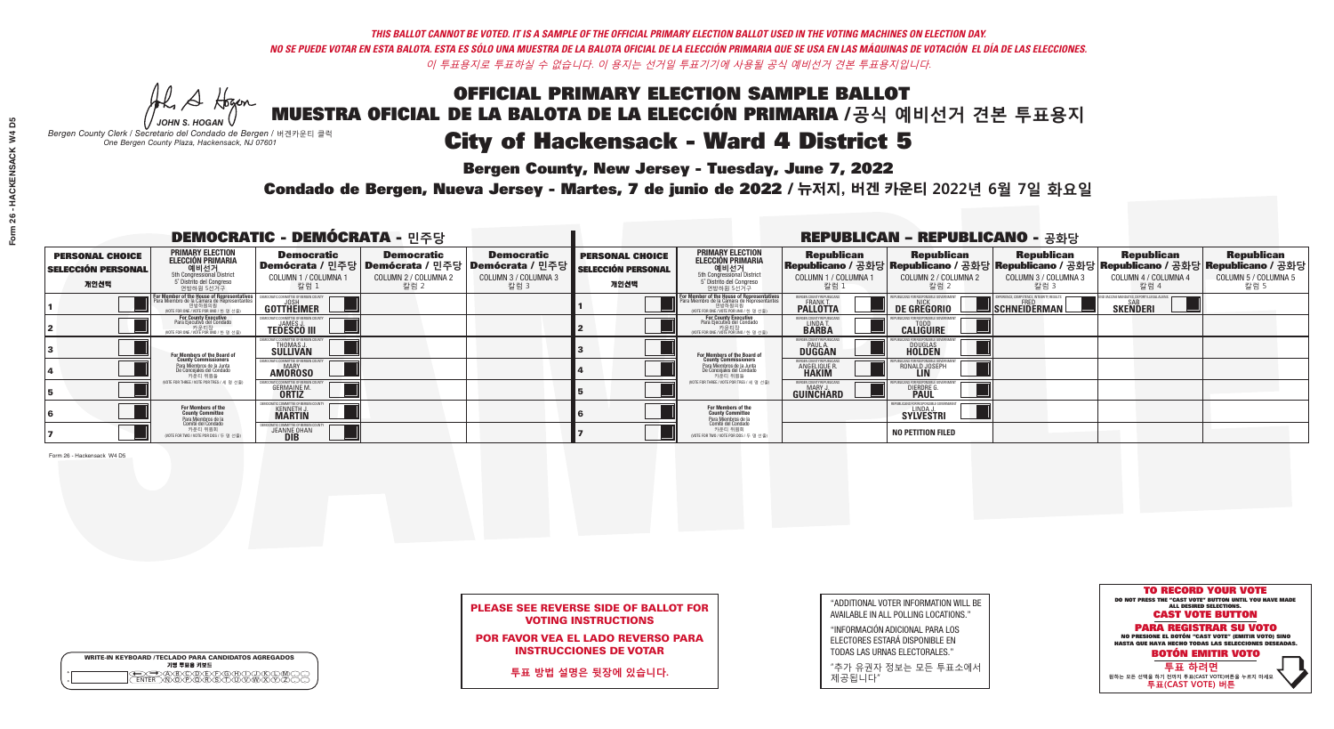*-*<br>Bergen County, New Jersey - Tuesday, June 7, 2022

Al Stogan *JOHN S. HOGAN*

|                    | <b>WRITE-IN KEYBOARD /TECLADO PARA CANDIDATOS AGREGADOS</b><br>기명 투표용 키보드 |
|--------------------|---------------------------------------------------------------------------|
| $\circ$<br>$\circ$ |                                                                           |

*Bergen County Clerk / Secretario del Condado de Bergen /* 버겐카운티 클럭 *One Bergen County Plaza, Hackensack, NJ 07601*



### PLEASE SEE REVERSE SIDE OF BALLOT FOR VOTING INSTRUCTIONS

POR FAVOR VEA EL LADO REVERSO PARA INSTRUCCIONES DE VOTAR

**투표 방법 설명은 뒷장에 있습니다.**

| "ADDITIONAL VOTER INFORMATION WILL BE |
|---------------------------------------|
| AVAILABLE IN ALL POLLING LOCATIONS."  |
|                                       |

"INFORMACIÓN ADICIONAL PARA LOS ELECTORES ESTARÁ DISPONIBLE EN TODAS LAS URNAS ELECTORALES."

"추가 유권자 정보는 모든 투표소에서 제공됩니다"

Condado de Bergen, Nueva Jersey - Martes, 7 de junio de 2022 / 뉴저지, 버겐 카운티 2022년 6월 7일 화요일 *One Bergen County Plaza, Hackensack, NJ 07601*

| <b>DEMOCRATIC - DEMÓCRATA - 민주당</b>                         |                                                                                                                                                           |                                                                   |                                                   |                                                                                                          | <b>REPUBLICAN - REPUBLICANO - 공화당</b>                       |                                                                                                                                                             |                                                             |                                                                                                                                                |                                                   |                                                   |                                                   |  |
|-------------------------------------------------------------|-----------------------------------------------------------------------------------------------------------------------------------------------------------|-------------------------------------------------------------------|---------------------------------------------------|----------------------------------------------------------------------------------------------------------|-------------------------------------------------------------|-------------------------------------------------------------------------------------------------------------------------------------------------------------|-------------------------------------------------------------|------------------------------------------------------------------------------------------------------------------------------------------------|---------------------------------------------------|---------------------------------------------------|---------------------------------------------------|--|
| <b>PERSONAL CHOICE</b><br><b>SELECCIÓN PERSONAL</b><br>개인선택 | <b>PRIMARY ELECTION</b><br><b>ELECCIÓN PRIMARIA</b><br>해비선거<br><sub>5th</sub> Congressional District<br>5 <sup>°</sup> Distrito del Congreso<br>연방하원 5선거구 | <b>Democratic</b><br>COLUMN 1 / COLUMNA<br>칼럼 1                   | <b>Democratic</b><br>COLUMN 2 / COLUMNA 2<br>칼럼 2 | <b>Democratic</b><br>Demócrata / 민주당   Demócrata / 민주당   Demócrata / 민주당<br>COLUMN 3 / COLUMNA 3<br>칼럼 3 | <b>PERSONAL CHOICE</b><br><b>SELECCIÓN PERSONAL</b><br>개인선택 | <b>PRIMARY ELECTION</b><br>ELECCIÓN PRIMARIA<br>에비선거<br>5th Congressional District<br>5 Distrito del Congreso<br>연방하원 5선거구                                  | <b>Republican</b><br>COLUMN 1 / COLUMNA 1<br>"칼럼 1          | <b>Republican</b><br>Republicano / 공화당 Republicano / 공화당 Republicano / 공화당 Republicano / 공화당 Republicano / 공화당<br>COLUMN 2 / COLUMNA 2<br>칼럼 2 | <b>Republican</b><br>COLUMN 3 / COLUMNA 3<br>칼럼 3 | <b>Republican</b><br>COLUMN 4 / COLUMNA 4<br>칼럼 4 | <b>Republican</b><br>COLUMN 5 / COLUMNA 5<br>칼럼 5 |  |
|                                                             | <b>For Member of the House of Representatives</b><br>Para Miembro de la Cámara de Representantes<br>연방하원의원<br>(VOTE FOR ONE / VOTE POR UNO / 한 명 선출)      | COMMITTEE OF BERGEN CO<br>GOTTHEIMER                              |                                                   |                                                                                                          |                                                             | F <mark>or Member of the House of Representatives</mark><br>Para Miembro de la Cámara de Representantes<br>연방하원의원<br>(WOTE FOR ONE / VOTE POR UNO / 한 명 선출) | BERGEN COUNTY REPUBLICAN<br><b>PALLOTTA</b>                 | <b>DE GREGORIO</b>                                                                                                                             | SCHNEIDERMAN                                      | <b>SKENDERI</b>                                   |                                                   |  |
|                                                             | For County Executive<br>Para Ejecutivo del Condado<br>WOTE FOR ONE / VOTE POR UNO / 한 명 선출)                                                               | <b>TEDESCO III</b>                                                |                                                   |                                                                                                          |                                                             | For County Executive<br>Para Ejecutivo del Condado<br>. 카운티장<br>(VOTE FOR ONE / VOTE POR UNO / 한 명 선출)                                                      | BERGEN COUNTY REPUBLICAN<br>LINDA T.                        | <b>CALIGUIRE</b>                                                                                                                               |                                                   |                                                   |                                                   |  |
|                                                             | For Members of the Board of<br>County Commissioners                                                                                                       | IOCRATIC COMMITTEE OF BERGEN C<br>THOMAS J.                       |                                                   |                                                                                                          |                                                             | <b>For Members of the Board of County Commissioners</b>                                                                                                     | BERGEN COUNTY REPUBLICAN<br><b>PAUL A.</b><br><b>DUGGAN</b> | <b>DOUGLAS</b><br><b>HOLDEN</b>                                                                                                                |                                                   |                                                   |                                                   |  |
|                                                             | Para Miembros de la Junta<br>De Conceiales del Condado<br>카운티 위원들                                                                                         | MOCRATIC COMMITTEE OF BERGEN COUNT<br><b>AMOROSO</b>              |                                                   |                                                                                                          |                                                             | Para Miembros de la Junta<br>De Concejales del Condado<br>카운티 위원들                                                                                           | ERGEN COUNTY REPUBLICAN<br><b>ANGELIQUE R</b>               | RONALD JOSEPH                                                                                                                                  |                                                   |                                                   |                                                   |  |
|                                                             | (VOTE FOR THREE / VOTE POR TRES / 세 명 선출)                                                                                                                 | <b>GERMAINE M.</b>                                                |                                                   |                                                                                                          |                                                             | (VOTE FOR THREE / VOTE POR TRES / 세 명 선출)                                                                                                                   | BERGEN COUNTY REPUBLICAN<br>MARY.<br>GUINCHARD              | <b>DIERDRE</b>                                                                                                                                 |                                                   |                                                   |                                                   |  |
|                                                             | For Members of the<br>County Committee<br>Para Miembros de la<br>Comité del Condado                                                                       | MOCRATIC COMMITTEE OF BERGE<br><b>KENNETH J.</b><br><b>MARTIN</b> |                                                   |                                                                                                          |                                                             | For Members of the<br>County Committee                                                                                                                      |                                                             | PUBLICANS FOR RESPONSIBLE G<br><b>SYLVESTRI</b>                                                                                                |                                                   |                                                   |                                                   |  |
|                                                             | 카운티 위원회<br>NOTE FOR TWO / VOTE POR DOS / 두 명 선출)                                                                                                          | )CRATIC COMMITTEE OF BERGEN (<br><b>JEANNE OHAN</b>               |                                                   |                                                                                                          |                                                             | Para Miembros de la<br>Comité del Condado<br>카운티 위원회<br>NOTE FOR TWO / VOTE POR DOS / 두 명 선출)                                                               |                                                             | <b>NO PETITION FILED</b>                                                                                                                       |                                                   |                                                   |                                                   |  |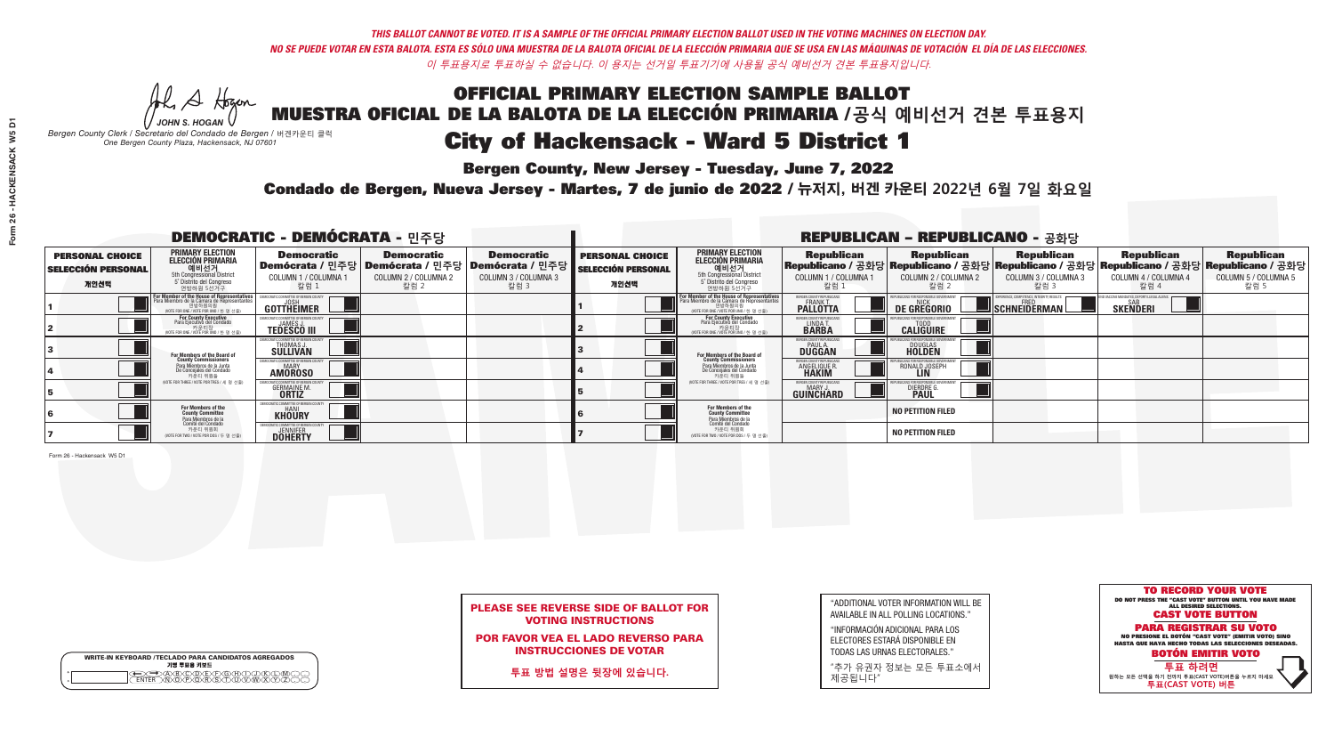## OFFICIAL PRIMARY ELECTION SAMPLE BALLOT MUESTRA OFICIAL DE LA BALOTA DE LA ELECCIÓN PRIMARIA /**공식 예비선거 견본 투표용지** *-*<br>Bergen County, New Jersey - Tuesday, June 7, 2022 City of Hackensack - Ward 5 District 1

He A Hogan *JOHN S. HOGAN*

*Bergen County Clerk / Secretario del Condado de Bergen /* 버겐카운티 클럭 *One Bergen County Plaza, Hackensack, NJ 07601*



### PLEASE SEE REVERSE SIDE OF BALLOT FOR VOTING INSTRUCTIONS

POR FAVOR VEA EL LADO REVERSO PARA INSTRUCCIONES DE VOTAR

**투표 방법 설명은 뒷장에 있습니다.**

|                    | <b>WRITE-IN KEYBOARD /TECLADO PARA CANDIDATOS AGREGADOS</b><br>기명 투표용 키보드 |
|--------------------|---------------------------------------------------------------------------|
| $\circ$<br>$\circ$ |                                                                           |

| "ADDITIONAL VOTER INFORMATION WILL BE |
|---------------------------------------|
| AVAILABLE IN ALL POLLING LOCATIONS."  |
|                                       |

"INFORMACIÓN ADICIONAL PARA LOS ELECTORES ESTARÁ DISPONIBLE EN TODAS LAS URNAS ELECTORALES."

"추가 유권자 정보는 모든 투표소에서 제공됩니다"

Condado de Bergen, Nueva Jersey - Martes, 7 de junio de 2022 / 뉴저지, 버겐 카운티 2022년 6월 7일 화요일 *One Bergen County Plaza, Hackensack, NJ 07601*

| <b>DEMOCRATIC - DEMÓCRATA - 민주당</b>                         |                                                                                                                                               |                                                                |                                                                                                        |                                                   | <b>REPUBLICAN - REPUBLICANO - 공화당</b>                       |                                                                                                                                   |                                                                 |                                                    |                                                         |                                                                                                                                                |                                                   |
|-------------------------------------------------------------|-----------------------------------------------------------------------------------------------------------------------------------------------|----------------------------------------------------------------|--------------------------------------------------------------------------------------------------------|---------------------------------------------------|-------------------------------------------------------------|-----------------------------------------------------------------------------------------------------------------------------------|-----------------------------------------------------------------|----------------------------------------------------|---------------------------------------------------------|------------------------------------------------------------------------------------------------------------------------------------------------|---------------------------------------------------|
| <b>PERSONAL CHOICE</b><br><b>SELECCIÓN PERSONAL</b><br>개인선택 | <b>PRIMARY ELECTION</b><br><b>ELECCIÓN PRIMARIA</b><br>예비선거<br><sup>5th</sup> Congressional District<br>5° Distrito del Congreso<br>연방하원 5선거구 | <b>Democratic</b><br>COLUMN 1 / COLUMNA<br>칼럼 1                | <b>Democratic</b><br>│Demócrata / 민주당│Demócrata / 민주당│Demócrata / 민주당┃<br>COLUMN 2 / COLUMNA 2<br>칼럼 2 | <b>Democratic</b><br>COLUMN 3 / COLUMNA 3<br>칼럼 3 | <b>PERSONAL CHOICE</b><br><b>SELECCIÓN PERSONAL</b><br>개인선택 | <b>PRIMARY ELECTION</b><br><b>ELECCIÓN PRIMARIA</b><br>예비선거<br>5th Congressional District<br>5 Distrito del Congreso<br>연방하원 5선거구 | <b>Republican</b><br>COLUMN 1 / COLUMNA 1<br><u>칼럼 1</u>        | <b>Republican</b><br>COLUMN 2 / COLUMNA 2<br>·칼럼 2 | <b>Republican</b><br>COLUMN 3 / COLUMNA 3<br>칼럼 3       | <b>Republican</b><br>Republicano / 공화당 Republicano / 공화당 Republicano / 공화당 Republicano / 공화당 Republicano / 공화당<br>COLUMN 4 / COLUMNA 4<br>칼럼 4 | <b>Republican</b><br>COLUMN 5 / COLUMNA 5<br>칼럼 5 |
|                                                             | For Member of the House of Representatives<br>Para Miembro de la Cámara de Representantes                                                     | COMMITTEE OF BERGEN COUN'<br><b>GOTTHEIMER</b>                 |                                                                                                        |                                                   |                                                             | For Member of the House of Representatives<br>Para Miembro de la Cámara de Representantes<br>WOTE FOR ONE / VOTE POR UNO / 한 명 선출 | BERGEN COUNTY REPUBLICANS<br><b>FRANK T.</b><br><b>PALLOTTA</b> | DE GREGORIO                                        | PERIENCE, COMPETENCE, INTEGRITY, RESULT<br>SCHNEIDERMAN | <b>SKENDERI</b>                                                                                                                                |                                                   |
|                                                             | For County Executive<br>Para Ejecutivo del Condado<br>/OTE FOR ONE / VOTE POR UNO / 한 명 선출)                                                   | <b>TEDESCO III</b>                                             |                                                                                                        |                                                   |                                                             | For County Executive<br>Para Ejecutivo del Condado<br>가운티장<br>"카운티장<br>" <sup>WOTE FOR ONE / VOTE POR UNO / 한 명 선축</sup>          | BERGEN COUNTY REPUBLICAN<br>LINDA T.                            | <b>CALIGUIRE</b>                                   |                                                         |                                                                                                                                                |                                                   |
|                                                             | <b>For Members of the Board of<br/>County Commissioners</b>                                                                                   | <b>THOMAS J.</b><br><b>SULLIVAN</b>                            |                                                                                                        |                                                   |                                                             | <b>For Members of the Board of<br/>County Commissioners</b>                                                                       | <b>BERGEN COUNTY REPUBLICAN<br/>PAUL A.<br/>DUGGAN</b>          | <b>DOUGLAS</b>                                     |                                                         |                                                                                                                                                |                                                   |
|                                                             | Para Miembros de la Junta<br>De Conceiales del Condado<br>카우티 위원들                                                                             | TIC COMMITTEE OF RERGEN COUN'<br><b>MARY</b><br><b>AMOROSO</b> |                                                                                                        |                                                   |                                                             | Para Miembros de la Junta<br>De Concejales del Condado<br>카운티 위원들                                                                 | <b>FRGEN COUNTY REPUBLICAN</b><br>ANGELIQUE R                   | RONALD JOSEPH<br><b>LIN</b>                        |                                                         |                                                                                                                                                |                                                   |
|                                                             | NOTE FOR THREE / VOTE POR TRES / 세 명 선출)                                                                                                      | <b>GERMAINE M.</b><br><b>ORTIZ</b>                             |                                                                                                        |                                                   |                                                             | (VOTE FOR THREE / VOTE POR TRES / 세 명 선출)                                                                                         | BERGEN COUNTY REPUBLICANS<br>MARY J.<br>GUINCHARD               | <b>DIERDRE</b>                                     |                                                         |                                                                                                                                                |                                                   |
|                                                             | For Members of the<br>County Committee<br><sup>p</sup> ara Miembros de la<br>Comité del Condado                                               | EMOCRATIC COMMITTEE OF BERGEN<br><b>KHOURY</b>                 |                                                                                                        |                                                   |                                                             | For Members of the<br>County Committee<br>Para Miembros de la<br>Comité del Condado                                               |                                                                 | <b>NO PETITION FILED</b>                           |                                                         |                                                                                                                                                |                                                   |
|                                                             | 카운티 위원회<br>(VOTE FOR TWO / VOTE POR DOS / 두 명 선출)                                                                                             | MOCRATIC COMMITTEE OF BERGEN<br><b>DOHERTY</b>                 |                                                                                                        |                                                   |                                                             | 카운티 위원회<br>NOTE FOR TWO / VOTE POR DOS / 두 명 선출)                                                                                  |                                                                 | <b>NO PETITION FILED</b>                           |                                                         |                                                                                                                                                |                                                   |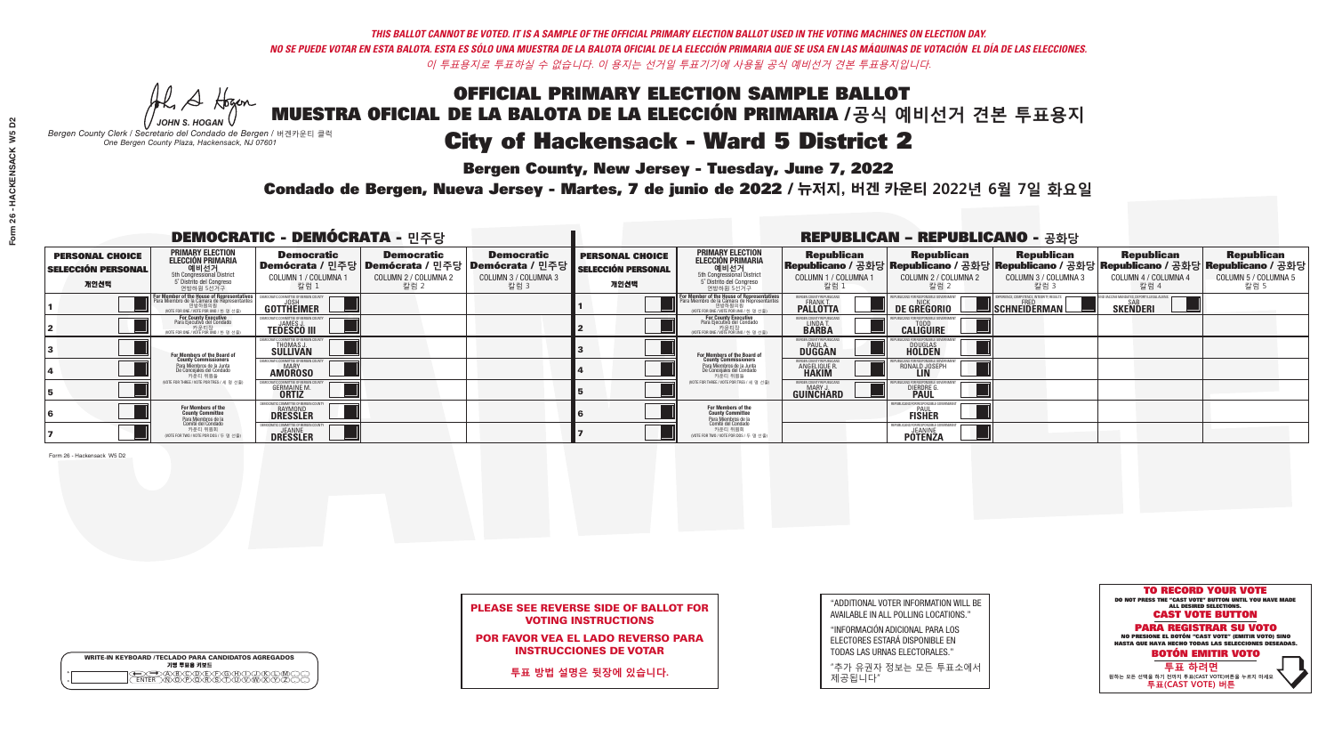*-*<br>Bergen County, New Jersey - Tuesday, June 7, 2022

He A Hogan *JOHN S. HOGAN*

| <b>WRITE-IN KEYBOARD /TECLADO PARA CANDIDATOS AGREGADOS</b><br>기명 투표용 키보드 |  |
|---------------------------------------------------------------------------|--|
| )BODEEOBDJ<br>dopodrisiduvw                                               |  |

*Bergen County Clerk / Secretario del Condado de Bergen /* 버겐카운티 클럭 *One Bergen County Plaza, Hackensack, NJ 07601*



### PLEASE SEE REVERSE SIDE OF BALLOT FOR VOTING INSTRUCTIONS

POR FAVOR VEA EL LADO REVERSO PARA INSTRUCCIONES DE VOTAR

**투표 방법 설명은 뒷장에 있습니다.**

"ADDITIONAL VOTER INFORMATION WILL BE AVAILABLE IN ALL POLLING LOCATIONS."

"INFORMACIÓN ADICIONAL PARA LOS ELECTORES ESTARÁ DISPONIBLE EN TODAS LAS URNAS ELECTORALES."

"추가 유권자 정보는 모든 투표소에서 제공됩니다"

Condado de Bergen, Nueva Jersey - Martes, 7 de junio de 2022 / 뉴저지, 버겐 카운티 2022년 6월 7일 화요일 *One Bergen County Plaza, Hackensack, NJ 07601*

| Form 26 - HACKENSACK W5 D2 |  |
|----------------------------|--|
|                            |  |
|                            |  |
|                            |  |
|                            |  |
|                            |  |
|                            |  |
|                            |  |

| <b>DEMOCRATIC - DEMÓCRATA - 민주당</b>                         |                                                                                                                                           |                                                               |                                                   |                                                                                                        | <b>REPUBLICAN - REPUBLICANO - 공화당</b>                       |                                                                                                                                               |                                                             |                                                      |                                                                                                                                                |                                                   |                                                   |  |
|-------------------------------------------------------------|-------------------------------------------------------------------------------------------------------------------------------------------|---------------------------------------------------------------|---------------------------------------------------|--------------------------------------------------------------------------------------------------------|-------------------------------------------------------------|-----------------------------------------------------------------------------------------------------------------------------------------------|-------------------------------------------------------------|------------------------------------------------------|------------------------------------------------------------------------------------------------------------------------------------------------|---------------------------------------------------|---------------------------------------------------|--|
| <b>PERSONAL CHOICE</b><br><b>SELECCIÓN PERSONAL</b><br>개인선택 | <b>PRIMARY ELECTION</b><br>ELECCIÓN PRIMARIA<br>에비선거<br>5th Congressional District<br>5 <sup>*</sup> Distrito del Congreso<br>연방하원 5선거구   | <b>Democratic</b><br>COLUMN 1 / COLUMNA 1<br>칼럼 1             | <b>Democratic</b><br>COLUMN 2 / COLUMNA 2<br>칼럼 2 | <b>Democratic</b><br>│Demócrata / 민주당│Demócrata / 민주당│Demócrata / 민주당┃<br>COLUMN 3 / COLUMNA 3<br>칼럼 3 | <b>PERSONAL CHOICE</b><br><b>SELECCIÓN PERSONAL</b><br>개인선택 | <b>PRIMARY ELECTION</b><br>ELECCIÓN PRIMARIA<br>예비선거<br>5th Congressional District<br>5 Distrito del Congreso<br>연방하원 5선거구                    | <b>Republican</b><br>COLUMN 1 / COLUMNA 1<br>칼럼 1           | <b>Republican</b><br>COLUMN 2 / COLUMNA 2<br>칼럼 2    | <b>Republican</b><br>Republicano / 공화당 Republicano / 공화당 Republicano / 공화당 Republicano / 공화당 Republicano / 공화당<br>COLUMN 3 / COLUMNA 3<br>칼럼 3 | <b>Republican</b><br>COLUMN 4 / COLUMNA 4<br>칼럼 4 | <b>Republican</b><br>COLUMN 5 / COLUMNA 5<br>칼럼 5 |  |
|                                                             | or Member of the House of Representatives<br>ara Miembro de la Cámara de Representantes<br>연방하원의원<br>(VOTE FOR ONE / VOTE POR UNO / 한명선출) | <b>GOTTHEIMER</b>                                             |                                                   |                                                                                                        |                                                             | For Member of the House of Representatives<br>Para Miembro de la Cámara de Representantes<br>연방하원의원<br>(VOTE FOR ONE / VOTE POR UNO / 한 명 선출) | ERGEN COUNTY REPUBLICAN<br><b>PALLOTTA</b>                  | DE GREGORIO                                          | SCHNEIDERMAN                                                                                                                                   | <b>SKENDERI</b>                                   |                                                   |  |
|                                                             | <b>For County Executive</b><br>Para Ejecutivo del Condado<br>(VOTE FOR ONE / VOTE POR UNO / 한 명 선출)                                       | <b>TEDESCO III</b>                                            |                                                   |                                                                                                        |                                                             | For County Executive<br>Para Ejecutivo del Condado<br>카운티장<br>"자운티장 <sub>서즈"</sub><br>"예TE FOR ONE / VOTE POR UNO / 한 명 서즈"                   | BERGEN COUNTY REPUBLICAN<br>LINDA T.                        | <b>CALIGUIRE</b>                                     |                                                                                                                                                |                                                   |                                                   |  |
|                                                             | For Members of the Board of<br>County Commissioners                                                                                       | <i><b>MOCRATIC COMMITTEE OF BERGEN COUNT</b></i><br>THOMAS J. |                                                   |                                                                                                        |                                                             | For Members of the Board of<br>County Commissioners                                                                                           | BERGEN COUNTY REPUBLICAN<br><b>PAUL A.</b><br><b>DUGGAN</b> | <b>DOUGLAS</b><br><b>HOLDEN</b>                      |                                                                                                                                                |                                                   |                                                   |  |
|                                                             | Para Miembros de la Junta<br>De Conceiales del Condado<br>카운티 위원들                                                                         | IOCRATIC COMMITTEE OF BEBGEN CI<br><b>AMOROSO</b>             |                                                   |                                                                                                        |                                                             | Para Miembros de la Junta<br>De Concejales del Condado<br>카운티 위원들                                                                             | <b>RGEN COUNTY REPUBLICAN</b><br>ANGELIQUE R                | RONALD JOSEPH                                        |                                                                                                                                                |                                                   |                                                   |  |
|                                                             | NOTE FOR THREE / VOTE POR TRES / 세 명 선출                                                                                                   | <b>GERMAINE M.</b>                                            |                                                   |                                                                                                        |                                                             | NOTE FOR THREE / VOTE POR TRES / 세 명 선출                                                                                                       | ERGEN COUNTY REPUBLICAN:<br><b>GUINCHARD</b>                | DIERDRE <sup>C</sup>                                 |                                                                                                                                                |                                                   |                                                   |  |
|                                                             | For Members of the<br>County Committee<br>Para Miembros de la<br>Comité del Condado                                                       | <i><b>AOCRATIC COMMITTEE OF BERGET</b></i><br><b>BAYMOND</b>  |                                                   |                                                                                                        |                                                             | For Members of the<br>County Committee                                                                                                        |                                                             | REPUBLICANS FOR RESPONSIBLE<br>PAUL<br><b>FISHER</b> |                                                                                                                                                |                                                   |                                                   |  |
|                                                             | 카운티 위원회<br>(VOTE FOR TWO / VOTE POR DOS / 두 명 선출)                                                                                         | <b>DRESSLER</b>                                               |                                                   |                                                                                                        |                                                             | Para Miembros de la<br>Comité del Condado<br>카운티 위원회<br>NOTE FOR TWO / VOTE POR DOS / 두 명 선출)                                                 |                                                             | REPUBLICANS FOR RESPONSIBLE (<br><b>PÔTENZA</b>      |                                                                                                                                                |                                                   |                                                   |  |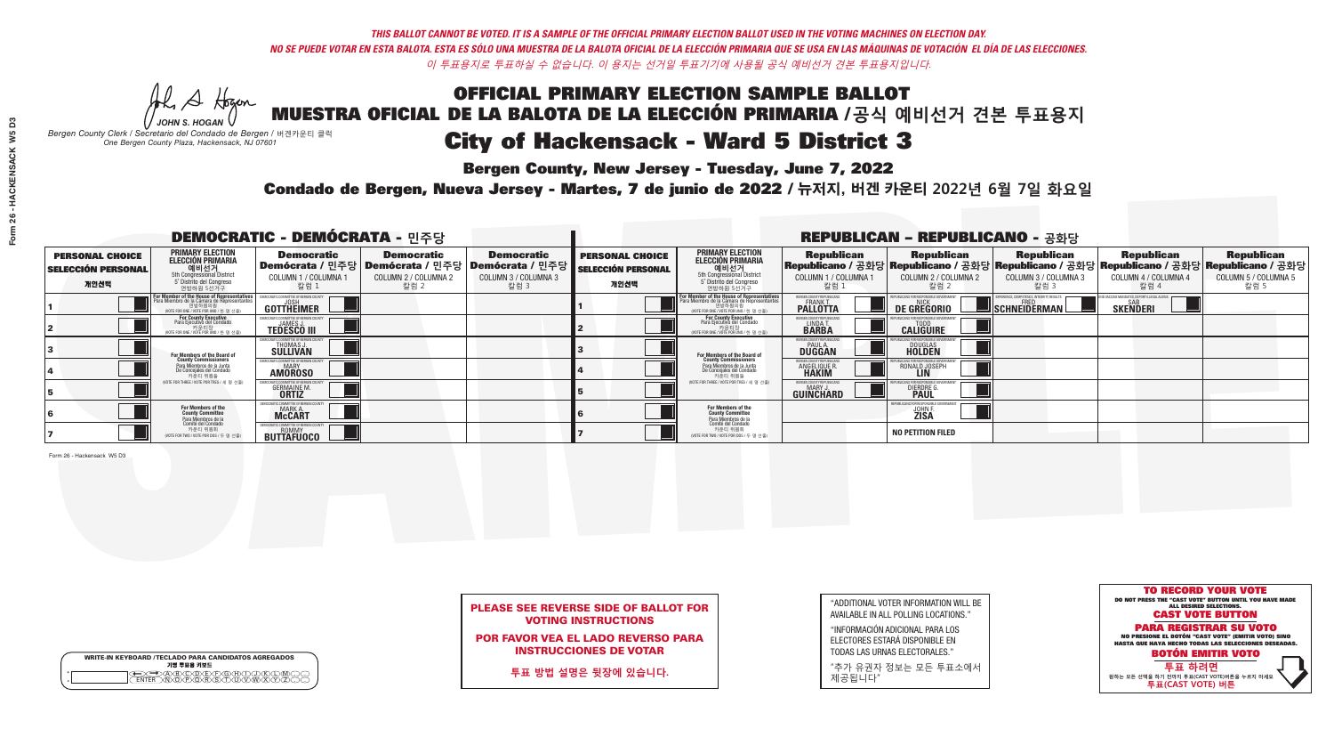*-*<br>Bergen County, New Jersey - Tuesday, June 7, 2022

Al Stogan *JOHN S. HOGAN*

|                    | <b>WRITE-IN KEYBOARD /TECLADO PARA CANDIDATOS AGREGADOS</b><br>기명 투표용 키보드 |
|--------------------|---------------------------------------------------------------------------|
| $\circ$<br>$\circ$ |                                                                           |

*Bergen County Clerk / Secretario del Condado de Bergen /* 버겐카운티 클럭 *One Bergen County Plaza, Hackensack, NJ 07601*



### PLEASE SEE REVERSE SIDE OF BALLOT FOR VOTING INSTRUCTIONS

POR FAVOR VEA EL LADO REVERSO PARA INSTRUCCIONES DE VOTAR

**투표 방법 설명은 뒷장에 있습니다.**

| "ADDITIONAL VOTER INFORMATION WILL BE         |
|-----------------------------------------------|
| AVAILABLE IN ALL POLLING LOCATIONS."          |
| <b><i>"INFODMACIÓN ADICIONAL DADA LOS</i></b> |

"INFORMACIÓN ADICIONAL PARA LOS ELECTORES ESTARÁ DISPONIBLE EN TODAS LAS URNAS ELECTORALES."

"추가 유권자 정보는 모든 투표소에서 제공됩니다"

Condado de Bergen, Nueva Jersey - Martes, 7 de junio de 2022 / 뉴저지, 버겐 카운티 2022년 6월 7일 화요일 *One Bergen County Plaza, Hackensack, NJ 07601*

| <b>DEMOCRATIC - DEMÓCRATA - 민주당</b>                         |                                                                                                                           |                                                                                                             |                                                   |                                                   | <b>REPUBLICAN - REPUBLICANO - 공화당</b>                       |                                                                                                                                          |                                                               |                                                                                                                                                |                                                   |                                                   |                                                   |
|-------------------------------------------------------------|---------------------------------------------------------------------------------------------------------------------------|-------------------------------------------------------------------------------------------------------------|---------------------------------------------------|---------------------------------------------------|-------------------------------------------------------------|------------------------------------------------------------------------------------------------------------------------------------------|---------------------------------------------------------------|------------------------------------------------------------------------------------------------------------------------------------------------|---------------------------------------------------|---------------------------------------------------|---------------------------------------------------|
| <b>PERSONAL CHOICE</b><br><b>SELECCIÓN PERSONAL</b><br>개인선택 | <b>PRIMARY ELECTION</b><br><b>ELECCIÓN PRIMARIA</b><br>예비선거<br><sup>6</sup> 예비선거<br>5° Distrito del Congreso<br>연방하원 5선거구 | <b>Democratic</b><br>│Demócrata / 민주당│Demócrata / 민주당│Demócrata / 민주당┃<br><b>COLUMN 1 / COLUMNA</b><br>칼럼 1 | <b>Democratic</b><br>COLUMN 2 / COLUMNA 2<br>칼럼 2 | <b>Democratic</b><br>COLUMN 3 / COLUMNA 3<br>칼럼 3 | <b>PERSONAL CHOICE</b><br><b>SELECCIÓN PERSONAL</b><br>개인선택 | <b>PRIMARY ELECTION</b><br><b>ELECCIÓN PRIMARIA</b><br>예비선거<br>5th Congressional District<br>5 Distrito del Congreso<br>연방하원 5선거구        | <b>Republican</b><br>COLUMN 1 / COLUMNA 1<br>칼럼 :             | <b>Republican</b><br>Republicano / 공화당 Republicano / 공화당 Republicano / 공화당 Republicano / 공화당 Republicano / 공화당<br>COLUMN 2 / COLUMNA 2<br>칼럼 2 | <b>Republican</b><br>COLUMN 3 / COLUMNA 3<br>칼럼 3 | <b>Republican</b><br>COLUMN 4 / COLUMNA 4<br>칼럼 4 | <b>Republican</b><br>COLUMN 5 / COLUMNA 5<br>칼럼 5 |
|                                                             | For Member of the House of Representatives<br>Para Miembro de la Cámara de Representantes                                 | COMMITTEE OF BERGEN COUNT<br><b>GOTTHEIMER</b>                                                              |                                                   |                                                   |                                                             | <b>For Member of the House of Representatives</b><br>Para Miembro de la Cámara de Representantes<br>WOTE FOR ONE / VOTE POR UNO / 한 명 선출 | BERGEN COUNTY REPUBLICANS<br><b>PALLOTTA</b>                  | <b>DE GREGORIO</b>                                                                                                                             | SCHNEIDERMAN                                      | SAB<br><b>SKENDERI</b>                            |                                                   |
|                                                             | For County Executive<br>Para Ejecutivo del Condado<br>'OTE FOR ONE / VOTE POR UNO / 한 명 선출)                               | <b>TEDESCO III</b>                                                                                          |                                                   |                                                   |                                                             | <b>For County Executive</b><br>Para Ejecutivo del Condado<br>,<br>기운티장<br>/OTE FOR ONE / VOTE POR UNO / 한 명 선출                           | BERGEN COUNTY REPUBLICAN<br>LINDA T.                          | <b>CALIGUIRE</b>                                                                                                                               |                                                   |                                                   |                                                   |
|                                                             | <b>For Members of the Board of<br/>County Commissioners</b>                                                               | DCRATIC COMMITTEE OF BERGEN COUN<br>THOMAS J.                                                               |                                                   |                                                   |                                                             | <b>For Members of the Board of<br/>County Commissioners</b>                                                                              | BERGEN COUNTY REPUBLICAN:<br><b>DUGGAN</b>                    | DOUGLAS<br><b>HOLDEN</b>                                                                                                                       |                                                   |                                                   |                                                   |
|                                                             | Para Miembros de la Junta<br>De Conceiales del Condado<br>카운티 위원들                                                         | DCRATIC COMMITTEE OF BERGEN COUNT<br><b>AMOROSO</b>                                                         |                                                   |                                                   |                                                             | Para Miembros de la Junta<br>De Concejales del Condado<br>카운티 위원들                                                                        | <b>RGEN COUNTY REPUBLICAN</b><br><b>ANGELIQUE R<br/>HAKIM</b> | RONALD JOSEPH                                                                                                                                  |                                                   |                                                   |                                                   |
|                                                             | (VOTE FOR THREE / VOTE POR TRES / 세 명 선출)                                                                                 | <b>GERMAINE M.</b>                                                                                          |                                                   |                                                   |                                                             | (VOTE FOR THREE / VOTE POR TRES / 세 명 선출                                                                                                 | BERGEN COUNTY REPUBLICAN:<br><b>GUINCHARD</b>                 | <b>DIERDRE</b>                                                                                                                                 |                                                   |                                                   |                                                   |
|                                                             | For Members of the<br>County Committee<br>Para Miembros de la<br>Comité del Condado                                       | VIOCRATIC COMMITTEE OF BERGEI<br>MARK A.<br><b>McCART</b>                                                   |                                                   |                                                   |                                                             | For Members of the<br>County Committee                                                                                                   |                                                               | REPUBLICANS FOR RESPONSIBLE (<br><b>JOHN F.</b><br><b>ZISA</b>                                                                                 |                                                   |                                                   |                                                   |
|                                                             | 카운티 위원회<br>(VOTE FOR TWO / VOTE POR DOS / 두 명 선출)                                                                         | <b>ROMMY</b><br>BUTTAFÜOCO                                                                                  |                                                   |                                                   |                                                             | Para Miembros de la<br>Comité del Condado<br>카운티 위원회<br>NOTE FOR TWO / VOTE POR DOS / 두 명 선출)                                            |                                                               | <b>NO PETITION FILED</b>                                                                                                                       |                                                   |                                                   |                                                   |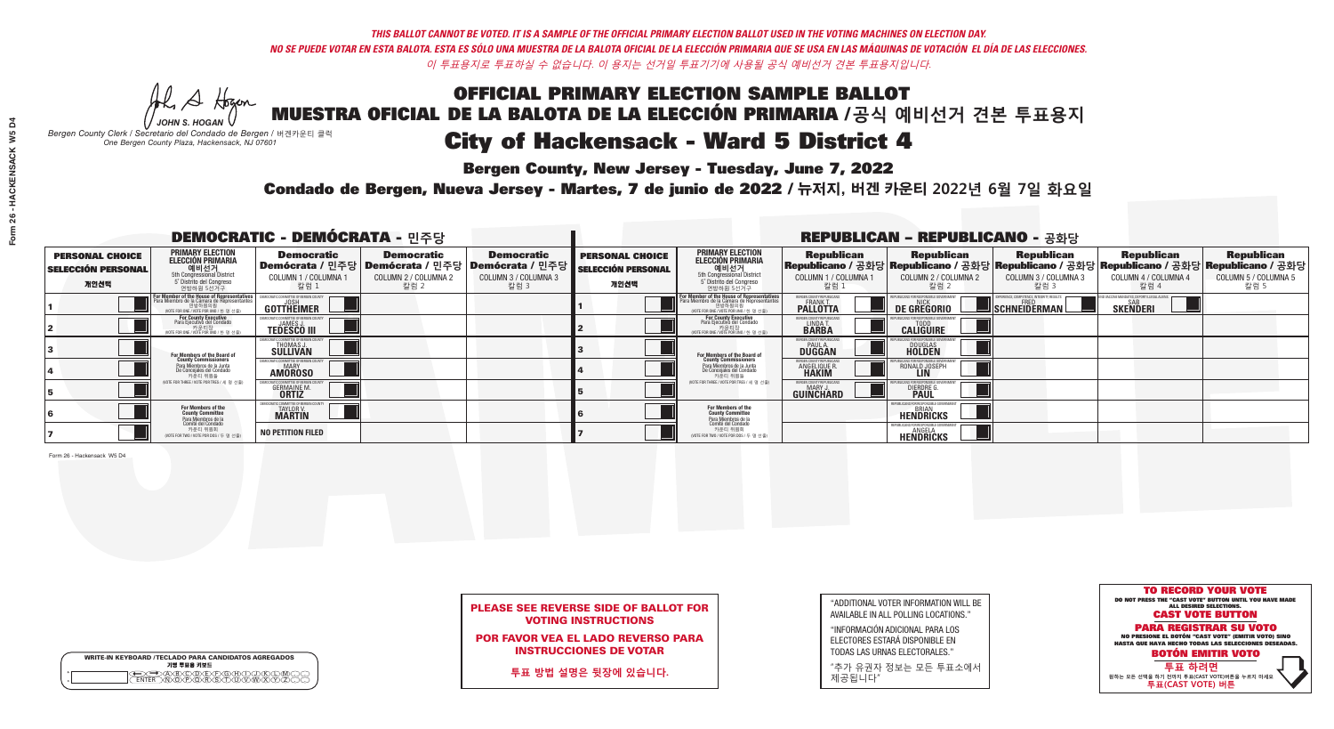## OFFICIAL PRIMARY ELECTION SAMPLE BALLOT MUESTRA OFICIAL DE LA BALOTA DE LA ELECCIÓN PRIMARIA /**공식 예비선거 견본 투표용지** *-*<br>Bergen County, New Jersey - Tuesday, June 7, 2022 City of Hackensack - Ward 5 District 4

A Hogan *JOHN S. HOGAN*

|                    | <b>WRITE-IN KEYBOARD /TECLADO PARA CANDIDATOS AGREGADOS</b><br>기명 투표용 키보드 |
|--------------------|---------------------------------------------------------------------------|
| $\circ$<br>$\circ$ |                                                                           |

*Bergen County Clerk / Secretario del Condado de Bergen /* 버겐카운티 클럭 *One Bergen County Plaza, Hackensack, NJ 07601*



### PLEASE SEE REVERSE SIDE OF BALLOT FOR VOTING INSTRUCTIONS

POR FAVOR VEA EL LADO REVERSO PARA INSTRUCCIONES DE VOTAR

**투표 방법 설명은 뒷장에 있습니다.**

"ADDITIONAL VOTER INFORMATION WILL BE AVAILABLE IN ALL POLLING LOCATIONS."

"INFORMACIÓN ADICIONAL PARA LOS ELECTORES ESTARÁ DISPONIBLE EN TODAS LAS URNAS ELECTORALES."

"추가 유권자 정보는 모든 투표소에서 제공됩니다"

Condado de Bergen, Nueva Jersey - Martes, 7 de junio de 2022 / 뉴저지, 버겐 카운티 2022년 6월 7일 화요일 *One Bergen County Plaza, Hackensack, NJ 07601*

| <b>DEMOCRATIC - DEMÓCRATA - 민주당</b>                         |                                                                                                                                               |                                                                    |                                                                                                        |                                                   | <b>REPUBLICAN - REPUBLICANO - 공화당</b>                       |                                                                                                                                   |                                                                 |                                                                   |                                                          |                                                                                                                                                |                                                   |
|-------------------------------------------------------------|-----------------------------------------------------------------------------------------------------------------------------------------------|--------------------------------------------------------------------|--------------------------------------------------------------------------------------------------------|---------------------------------------------------|-------------------------------------------------------------|-----------------------------------------------------------------------------------------------------------------------------------|-----------------------------------------------------------------|-------------------------------------------------------------------|----------------------------------------------------------|------------------------------------------------------------------------------------------------------------------------------------------------|---------------------------------------------------|
| <b>PERSONAL CHOICE</b><br><b>SELECCIÓN PERSONAL</b><br>개인선택 | <b>PRIMARY ELECTION</b><br><b>ELECCIÓN PRIMARIA</b><br>예비선거<br><sup>5th</sup> Congressional District<br>5° Distrito del Congreso<br>연방하원 5선거구 | <b>Democratic</b><br>COLUMN 1 / COLUMNA<br>칼럼 :                    | <b>Democratic</b><br>│Demócrata / 민주당│Demócrata / 민주당│Demócrata / 민주당┃<br>COLUMN 2 / COLUMNA 2<br>칼럼 2 | <b>Democratic</b><br>COLUMN 3 / COLUMNA 3<br>칼럼 3 | <b>PERSONAL CHOICE</b><br><b>SELECCIÓN PERSONAL</b><br>개인선택 | <b>PRIMARY ELECTION</b><br>ELECCIÓN PRIMARIA<br>5th Congressional District<br>5° Distrito del Congreso<br>연방하원 5선거구               | <b>Republican</b><br>COLUMN 1 / COLUMNA 1<br><u>칼럼 1</u>        | <b>Republican</b><br>COLUMN 2 / COLUMNA 2<br>·칼럼 2                | <b>Republican</b><br>COLUMN 3 / COLUMNA 3<br>칼럼 3        | <b>Republican</b><br>Republicano / 공화당 Republicano / 공화당 Republicano / 공화당 Republicano / 공화당 Republicano / 공화당<br>COLUMN 4 / COLUMNA 4<br>칼럼 4 | <b>Republican</b><br>COLUMN 5 / COLUMNA 5<br>칼럼 5 |
|                                                             | For Member of the House of Representatives<br>Para Miembro de la Cámara de Representantes                                                     | COMMITTEE OF BERGEN COUN'<br><b>GOTTHEIMER</b>                     |                                                                                                        |                                                   |                                                             | For Member of the House of Representatives<br>Para Miembro de la Cámara de Representantes<br>WOTE FOR ONE / VOTE POR UNO / 한 명 선출 | BERGEN COUNTY REPUBLICANS<br><b>FRANK T.</b><br><b>PALLOTTA</b> | DE GREGORIO                                                       | PERIENCE, COMPETENCE, INTEGRITY, RESULTS<br>SCHNEIDERMAN | <b>SKENDERI</b>                                                                                                                                |                                                   |
|                                                             | For County Executive<br>Para Ejecutivo del Condado<br>/OTE FOR ONE / VOTE POR UNO / 한 명 선출)                                                   | <b>TEDESCO III</b>                                                 |                                                                                                        |                                                   |                                                             | For County Executive<br>Para Ejecutivo del Condado<br>, "가운티장<br>"카운티장<br>^^TE FOR ONE / VOTE POR UNO / 한 명 선축                    | BERGEN COUNTY REPUBLICAN<br>LINDA T.                            | <b>CALIGUIRE</b>                                                  |                                                          |                                                                                                                                                |                                                   |
|                                                             | <b>For Members of the Board of<br/>County Commissioners</b>                                                                                   | <b>THOMAS J.</b><br><b>SULLIVAN</b>                                |                                                                                                        |                                                   |                                                             | <b>For Members of the Board of<br/>County Commissioners</b>                                                                       | <b>BERGEN COUNTY REPUBLICAN<br/>PAUL A.<br/>DUGGAN</b>          | <b>DOUGLAS</b>                                                    |                                                          |                                                                                                                                                |                                                   |
|                                                             | Para Miembros de la Junta<br>De Conceiales del Condado<br>카우티 위원들                                                                             | TIC COMMITTEE OF RERGEN COUN'<br><b>MARY</b><br><b>AMOROSO</b>     |                                                                                                        |                                                   |                                                             | Para Miembros de la Junta<br>De Concejales del Condado<br>카운티 위원들                                                                 | <b>FRGEN COUNTY REPUBLICAN</b><br>ANGELIQUE R                   | RONALD JOSEPH<br><b>LIN</b>                                       |                                                          |                                                                                                                                                |                                                   |
|                                                             | NOTE FOR THREE / VOTE POR TRES / 세 명 선출)                                                                                                      | <b>GERMAINE M.</b><br><b>ORTIZ</b>                                 |                                                                                                        |                                                   |                                                             | (VOTE FOR THREE / VOTE POR TRES / 세 명 선출)                                                                                         | BERGEN COUNTY REPUBLICANS<br>MARY J.<br>GUINCHARD               | <b>DIERDRE</b>                                                    |                                                          |                                                                                                                                                |                                                   |
|                                                             | For Members of the<br>County Committee<br>Para Miembros de la<br>Comité del Condado                                                           | EMOCRATIC COMMITTEE OF BERGEN<br><b>TAYLOR V.</b><br><b>MARTIN</b> |                                                                                                        |                                                   |                                                             | For Members of the<br>County Committee<br>Para Miembros de la<br>Comité del Condado                                               |                                                                 | EPUBLICANS FOR RESPONSIBLE GO<br><b>BRIAN</b><br><b>HENDRICKS</b> |                                                          |                                                                                                                                                |                                                   |
|                                                             | 카운티 위원회<br>NOTE FOR TWO / VOTE POR DOS / 두 명 선출)                                                                                              | <b>NO PETITION FILED</b>                                           |                                                                                                        |                                                   |                                                             | 카운티 위원회<br>(VOTE FOR TWO / VOTE POR DOS / 두 명 선출)                                                                                 |                                                                 | REPUBLICANS FOR RESPONSIBLE GOVERNMEN<br><b>HENDRICKS</b>         |                                                          |                                                                                                                                                |                                                   |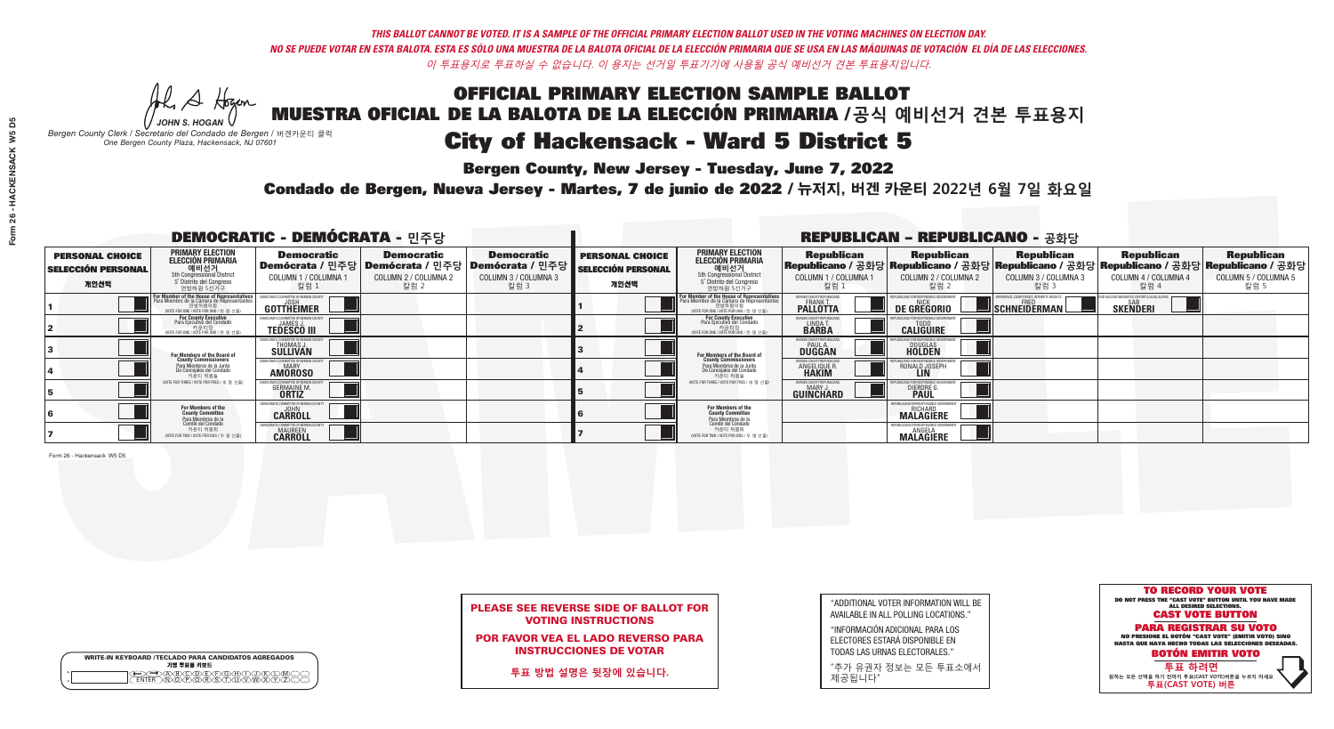## OFFICIAL PRIMARY ELECTION SAMPLE BALLOT MUESTRA OFICIAL DE LA BALOTA DE LA ELECCIÓN PRIMARIA /**공식 예비선거 견본 투표용지** *-*<br>Bergen County, New Jersey - Tuesday, June 7, 2022 City of Hackensack - Ward 5 District 5

He A Hogan *JOHN S. HOGAN*

| <b>WRITE-IN KEYBOARD /TECLADO PARA CANDIDATOS AGREGADOS</b><br>기명 투표용 키보드 |
|---------------------------------------------------------------------------|
| E BOODE E O BOOKE<br>MARPORSTUMMAY<br><b>FNTFR</b>                        |

*Bergen County Clerk / Secretario del Condado de Bergen /* 버겐카운티 클럭 *One Bergen County Plaza, Hackensack, NJ 07601*



### PLEASE SEE REVERSE SIDE OF BALLOT FOR VOTING INSTRUCTIONS

POR FAVOR VEA EL LADO REVERSO PARA INSTRUCCIONES DE VOTAR

**투표 방법 설명은 뒷장에 있습니다.**

"ADDITIONAL VOTER INFORMATION WILL BE AVAILABLE IN ALL POLLING LOCATIONS."

"INFORMACIÓN ADICIONAL PARA LOS ELECTORES ESTARÁ DISPONIBLE EN TODAS LAS URNAS ELECTORALES."

"추가 유권자 정보는 모든 투표소에서 제공됩니다"

Condado de Bergen, Nueva Jersey - Martes, 7 de junio de 2022 / 뉴저지, 버겐 카운티 2022년 6월 7일 화요일 *One Bergen County Plaza, Hackensack, NJ 07601*

Form 26 - Hackensack W5 D5

| Form 26 - HACKENSACK W5 D5 |  |
|----------------------------|--|
|                            |  |
|                            |  |
|                            |  |
|                            |  |
|                            |  |
|                            |  |
|                            |  |
|                            |  |
|                            |  |
|                            |  |
|                            |  |
|                            |  |
|                            |  |
|                            |  |
|                            |  |
|                            |  |
|                            |  |
|                            |  |
|                            |  |
|                            |  |
|                            |  |
|                            |  |
|                            |  |

| <b>DEMOCRATIC - DEMÓCRATA - 민주당</b>                         |                                                                                                                                               |                                                                 |                                                                                                        |                                                   | <b>REPUBLICAN - REPUBLICANO - 공화당</b>                       |                                                                                                                                                       |                                                     |                                                              |                                                          |                                                                                                                                                |                                                   |
|-------------------------------------------------------------|-----------------------------------------------------------------------------------------------------------------------------------------------|-----------------------------------------------------------------|--------------------------------------------------------------------------------------------------------|---------------------------------------------------|-------------------------------------------------------------|-------------------------------------------------------------------------------------------------------------------------------------------------------|-----------------------------------------------------|--------------------------------------------------------------|----------------------------------------------------------|------------------------------------------------------------------------------------------------------------------------------------------------|---------------------------------------------------|
| <b>PERSONAL CHOICE</b><br><b>SELECCIÓN PERSONAL</b><br>개인선택 | <b>PRIMARY ELECTION</b><br><b>ELECCIÓN PRIMARIA</b><br>예비선거<br><sup>5th</sup> Congressional District<br>5° Distrito del Congreso<br>연방하원 5선거구 | <b>Democratic</b><br>COLUMN 1 / COLUMNA<br>칼럼 :                 | <b>Democratic</b><br>│Demócrata / 민주당│Demócrata / 민주당│Demócrata / 민주당┃<br>COLUMN 2 / COLUMNA 2<br>칼럼 2 | <b>Democratic</b><br>COLUMN 3 / COLUMNA 3<br>칼럼 3 | <b>PERSONAL CHOICE</b><br><b>SELECCIÓN PERSONAL</b><br>개인선택 | <b>PRIMARY ELECTION</b><br><b>ELECCIÓN PRIMARIA</b><br><b>에비선거</b><br>5th Congressional District<br>5 <sup>'</sup> Distrito del Congreso<br>연방하원 5선거구 | <b>Republican</b><br>COLUMN 1 / COLUMNA 1<br>칼럼 :   | <b>Republican</b><br>COLUMN 2 / COLUMNA 2<br>칼럼 2            | <b>Republican</b><br>COLUMN 3 / COLUMNA 3<br>칼럼 3        | <b>Republican</b><br>Republicano / 공화당 Republicano / 공화당 Republicano / 공화당 Republicano / 공화당 Republicano / 공화당<br>COLUMN 4 / COLUMNA 4<br>칼럼 4 | <b>Republican</b><br>COLUMN 5 / COLUMNA 5<br>칼럼 5 |
|                                                             | For Member of the House of Representatives<br>Para Miembro de la Cámara de Representantes                                                     | COMMITTEE OF BERGEN COUNT<br><b>GOTTHEIMER</b>                  |                                                                                                        |                                                   |                                                             | <b>For Member of the House of Representatives<br/>Para Miembro de la Cámara de Representantes</b><br>NOTE FOR ONE / VOTE POR UNO / 한 명 선출             | BERGEN COUNTY REPUBLICANS<br><b>PALLOTTA</b>        | DE GREGORIO                                                  | PERIENCE, COMPETENCE, INTEGRITY, RESULTS<br>SCHNEIDERMAN | SAB<br><b>SKENDERI</b>                                                                                                                         |                                                   |
|                                                             | For County Executive<br>Para Ejecutivo del Condado<br>OTE FOR ONE / VOTE POR UNO / 한 명 선출)                                                    | <b>TEDESCO III</b>                                              |                                                                                                        |                                                   |                                                             | <b>For County Executive</b><br>Para Ejecutivo del Condado<br>.<br>VOTE FOR ONE / VOTE POR UNO / 한 명 선출                                                | BERGEN COUNTY REPUBLICAN<br>LINDA T.                | <b>CALIGUIRE</b>                                             |                                                          |                                                                                                                                                |                                                   |
|                                                             | For Members of the Board of<br>County Commissioners                                                                                           | THOMAS J.                                                       |                                                                                                        |                                                   |                                                             | <b>For Members of the Board of<br/>County Commissioners</b>                                                                                           | ERGEN COUNTY REPUBLICAN:<br>PAUL A.<br>DUGGAN       | <b>DOUGLAS</b>                                               |                                                          |                                                                                                                                                |                                                   |
|                                                             | Para Miembros de la Junta<br>De Conceiales del Condado<br>카우티 위원들                                                                             | TIC COMMITTEE OF RERGEN COLIN'<br><b>MARY</b><br><b>AMOROSO</b> |                                                                                                        |                                                   |                                                             | Para Miembros de la Junta<br>De Concejales del Condado<br>카운티 위원들                                                                                     | <b>RGEN COUNTY REPUBLICAN</b><br><b>ANGELIQUE R</b> | RONALD JOSEPH<br><b>LIN</b>                                  |                                                          |                                                                                                                                                |                                                   |
|                                                             | NOTE FOR THREE / VOTE POR TRES / 세 명 선출)                                                                                                      | <b>GERMAINE M.</b>                                              |                                                                                                        |                                                   |                                                             | NOTE FOR THREE / VOTE POR TRES / 세 명 선출                                                                                                               | BERGEN COUNTY REPUBLICANS<br><b>GUINCHARD</b>       | DIERDRE                                                      |                                                          |                                                                                                                                                |                                                   |
|                                                             | For Members of the<br>County Committee<br><sup>p</sup> ara Miembros de la<br>Comité del Condado                                               | EMOCRATIC COMMITTEE OF BERGEN<br><b>CARROLL</b>                 |                                                                                                        |                                                   |                                                             | For Members of the<br>County Committee<br>Para Miembros de la<br>Comité del Condado                                                                   |                                                     | EPUBLICANS FOR RESPONSIBLE GO<br>RICHARD<br><b>MALAGIERE</b> |                                                          |                                                                                                                                                |                                                   |
|                                                             | 카운티 위원회<br>(VOTE FOR TWO / VOTE POR DOS / 두 명 선출)                                                                                             | <b>IOCRATIC COMMITTEE OF BERGEI</b><br><b>MAUREEN</b>           |                                                                                                        |                                                   |                                                             | 카운티 위원회<br>NOTE FOR TWO / VOTE POR DOS / 두 명 선출)                                                                                                      |                                                     | REPUBLICANS FOR RESPONSIBLE GO<br><b>MALAGIERE</b>           |                                                          |                                                                                                                                                |                                                   |